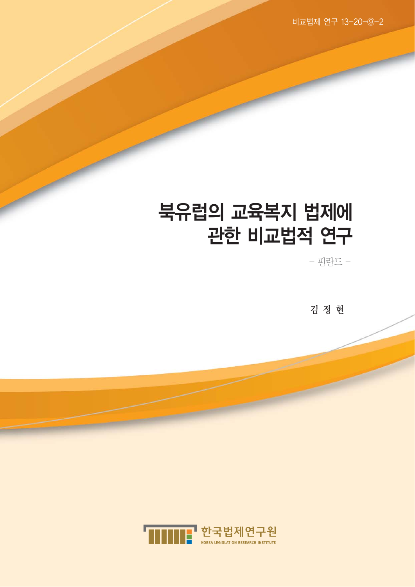비교법제 연구 13-20-⑨-2

## 북유럽의 교육복지 법제에 관한 비교법적 연구

 $-\frac{1}{2}$ 런드 -

김 정 현

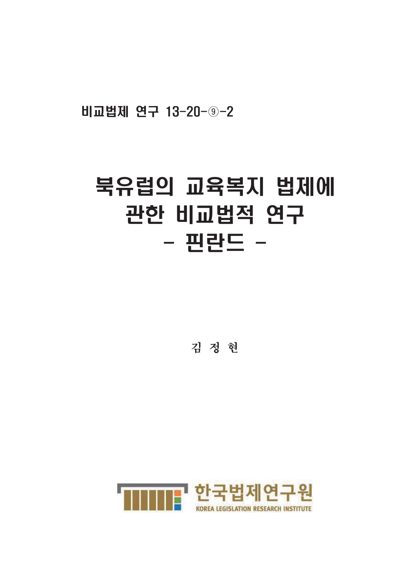비교법제 연구 13-20-9-2

# 북유럽의 교육복지 법제에 관한 비교법적 연구 - 핀란드 -

김 정 현

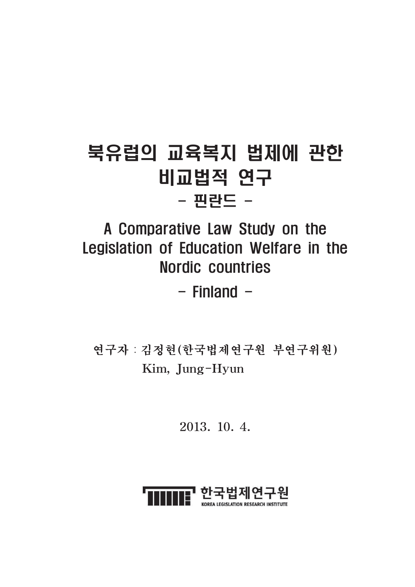## 북유럽의 교육복지 법제에 관한 비교법적 연구 - 핀란드 -

## A Comparative Law Study on the Legislation of Education Welfare in the **Nordic countries**

 $-$  Finland  $-$ 

연구자 : 김정현 (한국법제연구원 부연구위원) Kim, Jung-Hyun

2013. 10. 4.

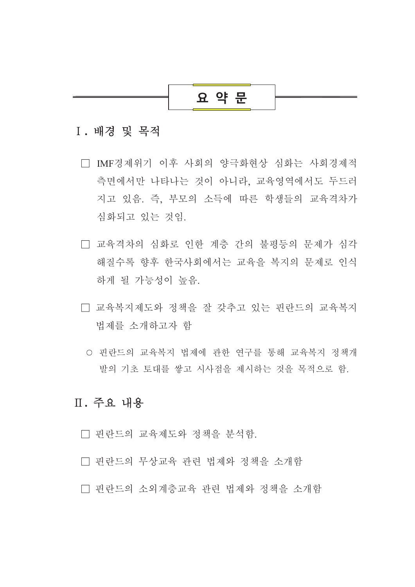## 요 약 문

#### I. 배경 및 목적

- □ IMF경제위기 이후 사회의 양극화현상 심화는 사회경제적 측면에서만 나타나는 것이 아니라. 교육영역에서도 두드러 지고 있음. 즉, 부모의 소득에 따른 학생들의 교육격차가 심화되고 있는 것임.
- □ 교육격차의 심화로 인한 계층 간의 불평등의 문제가 심각 해질수록 향후 한국사회에서는 교육을 복지의 문제로 인식 하게 될 가능성이 높음.
- □ 교육복지제도와 정책을 잘 갖추고 있는 핀란드의 교육복지 법제를 소개하고자 함
	- 핀란드의 교육복지 법제에 관한 연구를 통해 교육복지 정책개 발의 기초 토대를 쌓고 시사점을 제시하는 것을 목적으로 함.

## Ⅱ. 주요 내용

- □ 핀란드의 교육제도와 정책을 분석함.
- □ 핀란드의 무상교육 관련 법제와 정책을 소개함
- □ 핀란드의 소외계층교육 관련 법제와 정책을 소개함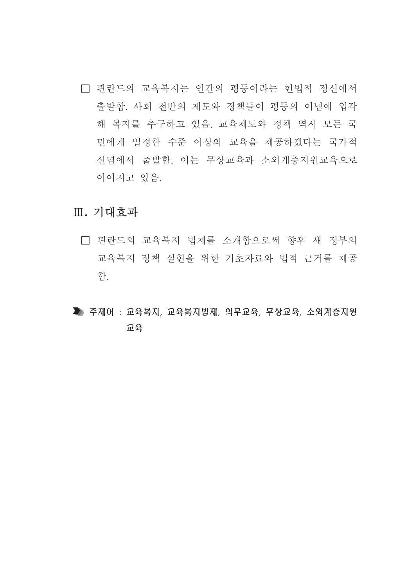□ 핀란드의 교육복지는 인간의 평등이라는 헌법적 정신에서 출발함. 사회 전반의 제도와 정책들이 평등의 이념에 입각 해 복지를 추구하고 있음. 교육제도와 정책 역시 모든 국 민에게 일정한 수준 이상의 교육을 제공하겠다는 국가적 신념에서 출발함. 이는 무상교육과 소외계층지원교육으로 이어지고 있음.

### Ⅲ. 기대효과

- □ 핀란드의 교육복지 법제를 소개함으로써 향후 새 정부의 교육복지 정책 실현을 위한 기초자료와 법적 근거를 제공 함.
- ▶ 주제어 : 교육복지, 교육복지법제, 의무교육, 무상교육, 소외계층지원 卫号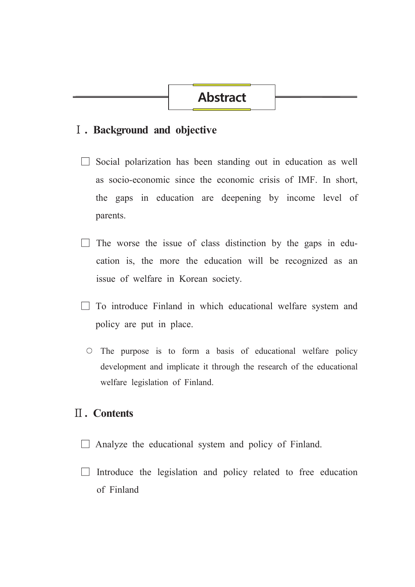## **Abstract**

#### I . Background and objective

- $\Box$  Social polarization has been standing out in education as well as socio-economic since the economic crisis of IMF. In short, the gaps in education are deepening by income level of parents.
- $\Box$  The worse the issue of class distinction by the gaps in education is, the more the education will be recognized as an issue of welfare in Korean society.
- $\Box$  To introduce Finland in which educational welfare system and policy are put in place.
	- $\circ$  The purpose is to form a basis of educational welfare policy development and implicate it through the research of the educational welfare legislation of Finland.

#### $\Pi$ . Contents

- $\Box$  Analyze the educational system and policy of Finland.
- $\Box$  Introduce the legislation and policy related to free education of Finland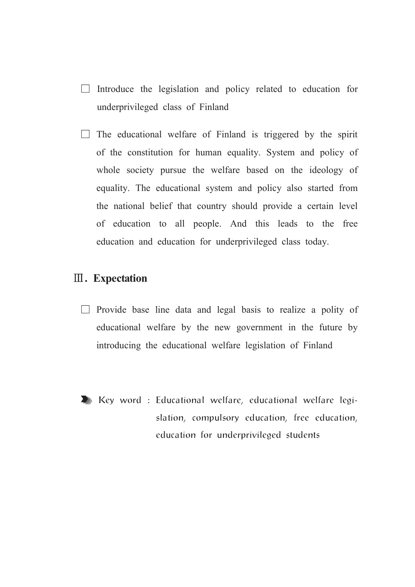- $\Box$  Introduce the legislation and policy related to education for underprivileged class of Finland
- $\Box$  The educational welfare of Finland is triggered by the spirit of the constitution for human equality. System and policy of whole society pursue the welfare based on the ideology of equality. The educational system and policy also started from the national belief that country should provide a certain level of education to all people. And this leads to the free education and education for underprivileged class today.

#### **III.** Expectation

- $\Box$  Provide base line data and legal basis to realize a polity of educational welfare by the new government in the future by introducing the educational welfare legislation of Finland
- 
- EXP Key word: Educational welfare, educational welfare legislation, compulsory education, free education, education for underprivileged students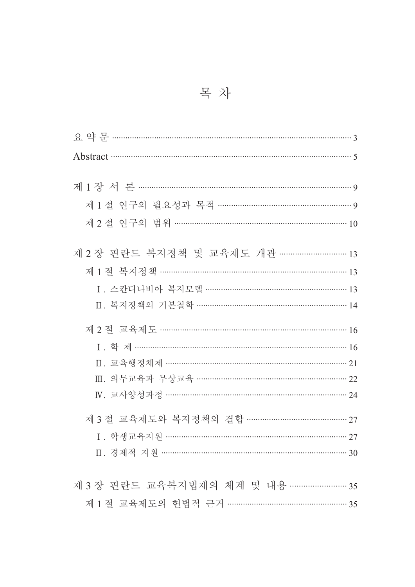| Abstract 35                                |
|--------------------------------------------|
|                                            |
| 제 2 절 연구의 범위 …………………………………………………………………… 10 |
| 제 2 장 핀란드 복지정책 및 교육제도 개관 ………………………… 13     |
| 제 1 절 복지정책 ……………………………………………………………………… 13  |
| Ⅱ. 복지정책의 기본철학 ……………………………………………………… 14     |
|                                            |
| 제 2 절 교육제도 ……………………………………………………………………… 16  |
| I. 학 제 …………………………………………………………………………………… 16 |
| Ⅱ. 교육행정체제 …………………………………………………………………… 21    |
| Ⅲ. 의무교육과 무상교육 ………………………………………………………… 22    |
|                                            |
| 제 3 절 교육제도와 복지정책의 결합 ……………………………………… 27    |
|                                            |
|                                            |
|                                            |
| 제 3 장 핀란드 교육복지법제의 체계 및 내용 ……………………… 35     |
| 제 1 절 교육제도의 헌법적 근거 …………………………………………… 35    |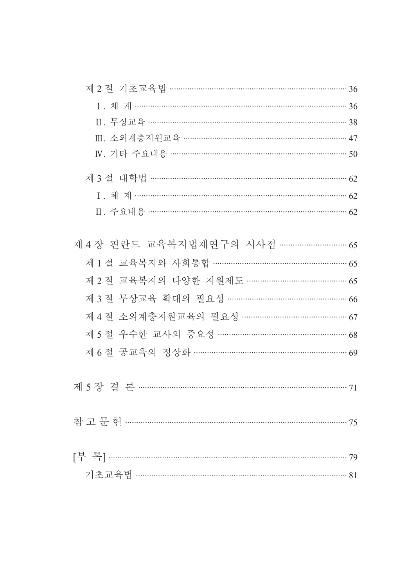| 제 2절 기초교육법 …………………………………………………………………… 36  |  |
|-------------------------------------------|--|
|                                           |  |
|                                           |  |
| Ⅲ. 소외계층지원교육 ……………………………………………………………… 47   |  |
|                                           |  |
| 제 3 절 대학법 ………………………………………………………………………… 62 |  |
|                                           |  |
| Ⅱ. 주요내용 …………………………………………………………………………… 62  |  |
|                                           |  |
| 제 4 장 핀란드 교육복지법제연구의 시사점 ………………………… 65     |  |
| 제 1 절 교육복지와 사회통합 ………………………………………………… 65   |  |
| 제 2 절 교육복지의 다양한 지원제도 …………………………………… 65    |  |
| 제 3 절 무상교육 확대의 필요성 …………………………………………… 66   |  |
| 제 4 절 소외계층지원교육의 필요성 ……………………………………… 67    |  |
| 제 5 절 우수한 교사의 중요성 ……………………………………………… 68   |  |
| 제 6절 공교육의 정상화 ………………………………………………………… 69   |  |
|                                           |  |
|                                           |  |
|                                           |  |
|                                           |  |
|                                           |  |
|                                           |  |
|                                           |  |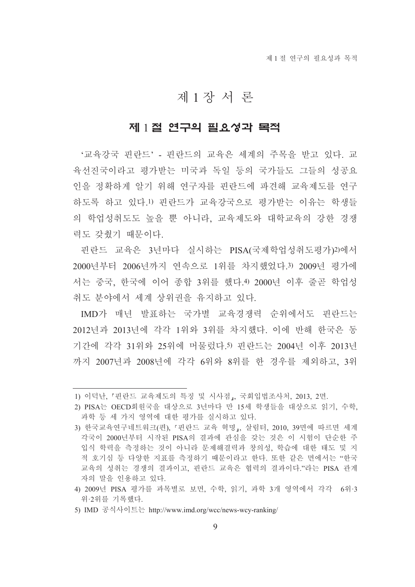## 제1장서론

#### 제 1절 연구의 필요성과 목적

'교육강국 핀란드' - 핀란드의 교육은 세계의 주목을 받고 있다. 교 육선진국이라고 평가받는 미국과 독일 등의 국가들도 그들의 성공요 인을 정확하게 알기 위해 연구자를 핀란드에 파견해 교육제도를 연구 하도록 하고 있다.1) 핀란드가 교육강국으로 평가받는 이유는 학생들 의 학업성취도도 높을 뿐 아니라. 교육제도와 대학교육의 강한 경쟁 력도 갖췄기 때문이다.

핀란드 교육은 3년마다 실시하는 PISA(국제학업성취도평가)2)에서 2000년부터 2006년까지 연속으로 1위를 차지했었다.3) 2009년 평가에 서는 중국, 한국에 이어 종합 3위를 했다.4) 2000년 이후 줄곧 학업성 취도 부야에서 세계 상위권을 유지하고 있다.

IMD가 매년 발표하는 국가별 교육경쟁력 순위에서도 핀란드는 2012년과 2013년에 각각 1위와 3위를 차지했다. 이에 반해 한국은 동 기간에 각각 31위와 25위에 머물렀다.5) 핀란드는 2004년 이후 2013년 까지 2007년과 2008년에 각각 6위와 8위를 한 경우를 제외하고 3위

<sup>1)</sup> 이덕난, 『핀란드 교육제도의 특징 및 시사점』, 국회입법조사처, 2013, 2면.

<sup>2)</sup> PISA는 OECD회원국을 대상으로 3년마다 만 15세 학생들을 대상으로 읽기, 수학, 과학 등 세 가지 영역에 대한 평가를 실시하고 있다.

<sup>3)</sup> 한국교육연구네트워크(편), 『핀란드 교육 혁명』, 살림터, 2010, 39면에 따르면 세계 각국이 2000년부터 시작된 PISA의 결과에 관심을 갖는 것은 이 시험이 단순한 주 입식 학력을 측정하는 것이 아니라 문제해결력과 창의성, 학습에 대한 태도 및 지 적 호기심 등 다양한 지표를 측정하기 때문이라고 한다. 또한 같은 면에서는 "한국 교육의 성취는 경쟁의 결과이고, 핀란드 교육은 협력의 결과이다."라는 PISA 관계 자의 말을 인용하고 있다.

<sup>4) 2009</sup>년 PISA 평가를 과목별로 보면, 수학, 읽기, 과학 3개 영역에서 각각 6위·3 위·2위를 기록했다.

<sup>5)</sup> IMD 공식사이트는 http://www.imd.org/wcc/news-wcy-ranking/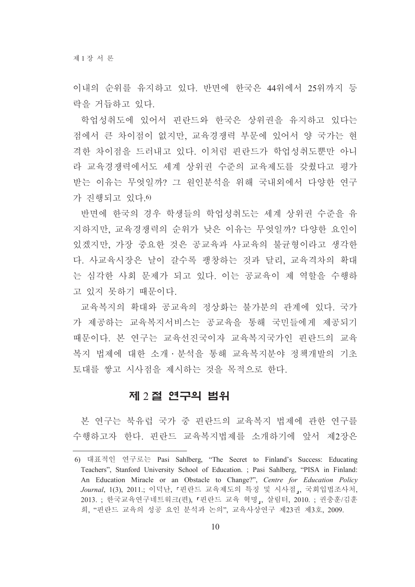이내의 순위를 유지하고 있다. 반면에 한국은 44위에서 25위까지 등 락을 거듭하고 있다.

학업성취도에 있어서 핀란드와 한국은 상위권을 유지하고 있다는 점에서 큰 차이점이 없지만, 교육경쟁력 부문에 있어서 양 국가는 현 격한 차이점을 드러내고 있다. 이처럼 핀란드가 학업성취도뿐만 아니 라 교육경쟁력에서도 세계 상위권 수준의 교육제도를 갖췄다고 평가 받는 이유는 무엇일까? 그 워인부석을 위해 국내외에서 다양한 여구 가 진행되고 있다.6)

반면에 한국의 경우 학생들의 학업성취도는 세계 상위권 수준을 유 지하지만, 교육경쟁력의 순위가 낮은 이유는 무엇일까? 다양한 요인이 있겠지만, 가장 중요한 것은 공교육과 사교육의 불균형이라고 생각한 다. 사교육시장은 날이 갈수록 팽창하는 것과 달리, 교육격차의 확대 는 심각한 사회 문제가 되고 있다. 이는 공교육이 제 역할을 수행하 고 있지 못하기 때문이다.

교육복지의 확대와 공교육의 정상화는 불가분의 관계에 있다. 국가 가 제공하는 교육복지서비스는 공교육을 통해 국민들에게 제공되기 때문이다. 본 연구는 교육선진국이자 교육복지국가인 핀란드의 교육 복지 법제에 대한 소개 · 분석을 통해 교육복지분야 정책개발의 기초 토대를 쌓고 시사점을 제시하는 것을 목적으로 한다.

#### 제 2절 연구의 범위

본 연구는 북유럽 국가 중 핀란드의 교육복지 법제에 관한 연구를 수행하고자 한다. 핀란드 교육복지법제를 소개하기에 앞서 제2장은

<sup>6)</sup> 대표적인 연구로는 Pasi Sahlberg, "The Secret to Finland's Success: Educating Teachers", Stanford University School of Education. ; Pasi Sahlberg, "PISA in Finland: An Education Miracle or an Obstacle to Change?", Centre for Education Policy Journal, 1(3), 2011.; 이덕난, 「핀란드 교육제도의 특징 및 시사점」, 국회입법조사처, 2013. ; 한국교육연구네트워크(편), 『핀란드 교육 혁명』, 살림터, 2010. ; 권충훈/김훈 희, "핀란드 교육의 성공 요인 분석과 논의", 교육사상연구 제23권 제3호, 2009.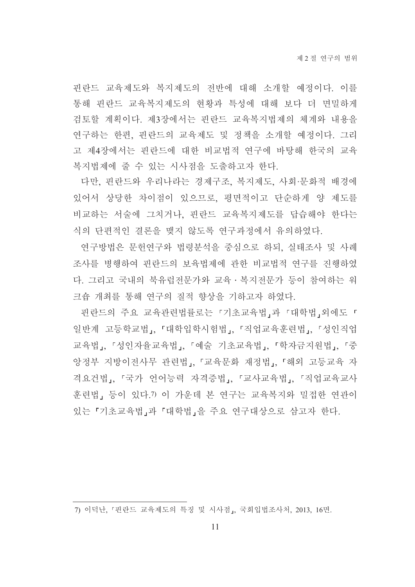핀란드 교육제도와 복지제도의 전반에 대해 소개할 예정이다. 이를 통해 핀란드 교육복지제도의 현황과 특성에 대해 보다 더 면밀하게 검토할 계획이다. 제3장에서는 핀란드 교육복지법제의 체계와 내용을 연구하는 한편, 핀란드의 교육제도 및 정책을 소개할 예정이다. 그리 고 제4장에서는 핀란드에 대한 비교법적 연구에 바탕해 한국의 교육 복지법제에 줄 수 있는 시사점을 도출하고자 한다.

다만, 핀란드와 우리나라는 경제구조, 복지제도, 사회·문화적 배경에 있어서 상당한 차이점이 있으므로, 평면적이고 단순하게 양 제도를 비교하는 서술에 그치거나, 핀란드 교육복지제도를 답습해야 한다는 식의 단편적인 결론을 맺지 않도록 연구과정에서 유의하였다.

연구방법은 문헌연구와 법령분석을 중심으로 하되, 실태조사 및 사례 조사를 병행하여 핀란드의 보육법제에 관한 비교법적 연구를 진행하였 다. 그리고 국내의 북유럽전문가와 교육·복지전문가 등이 참여하는 워 크숍 개최를 통해 연구의 질적 향상을 기하고자 하였다.

핀란드의 주요 교육관련법률로는 『기초교육법』과 『대학법』외에도 「 일반계 고등학교법」, 『대학입학시험법』, 『직업교육훈련법』, 『성인직업 교육법」, 「성인자율교육법」, 「예술 기초교육법」, 「학자금지원법」, 「중 앙정부 지방이전사무 관련법」. 「교육문화 재정법」. 「해외 고등교육 자 격요건법, 「국가 언어능력 자격증법, 「교사교육법, 「직업교육교사 훈련법, 등이 있다.7) 이 가운데 본 연구는 교육복지와 밀접한 연관이 있는 「기초교육법」과 「대학법」을 주요 연구대상으로 삼고자 한다.

<sup>7)</sup> 이덕난, 『핀란드 교육제도의 특징 및 시사점』, 국회입법조사처, 2013, 16면.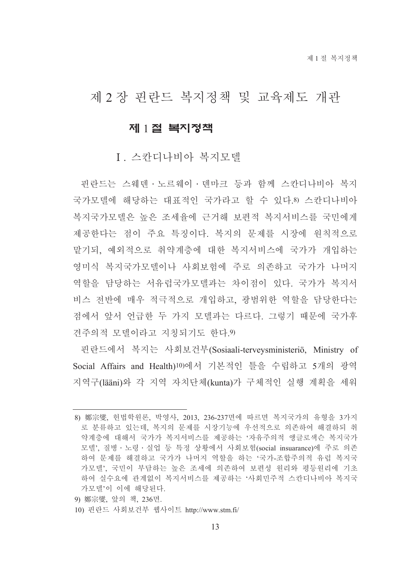## 제 2 장 핀란드 복지정책 및 교육제도 개관

#### 제 1절 복지정책

#### I 스카디나비아 복지모델

핀란드는 스웨덴 · 노르웨이 · 덴마크 등과 함께 스칸디나비아 복지 국가모델에 해당하는 대표적인 국가라고 할 수 있다.8) 스칸디나비아 복지국가모델은 높은 조세율에 근거해 보편적 복지서비스를 국민에게 제공한다는 점이 주요 특징이다. 복지의 문제를 시장에 원칙적으로 맡기되, 예외적으로 취약계층에 대한 복지서비스에 국가가 개입하는 영미식 복지국가모델이나 사회보험에 주로 의존하고 국가가 나머지 역할을 담당하는 서유럽국가모델과는 차이점이 있다. 국가가 복지서 비스 전반에 매우 적극적으로 개입하고, 광범위한 역할을 담당한다는 점에서 앞서 어급한 두 가지 모델과는 다르다. 그렇기 때문에 국가후 견주의적 모델이라고 지칭되기도 하다. 9)

핀란드에서 복지는 사회보건부(Sosiaali-terveysministeriö, Ministry of Social Affairs and Health)<sup>10)</sup>에서 기본적인 틀을 수립하고 5개의 광역 지역구(lääni)와 각 지역 자치단체(kunta)가 구체적인 실행 계획을 세워

- 9) 鄭宗燮, 앞의 책, 236면,
- 10) 핀란드 사회보건부 웹사이트 http://www.stm.fi/

<sup>8)</sup> 鄭宗燮, 헌법학원론, 박영사, 2013, 236-237면에 따르면 복지국가의 유형을 3가지 로 분류하고 있는데, 복지의 문제를 시장기능에 우선적으로 의존하여 해결하되 취 약계층에 대해서 국가가 복지서비스를 제공하는 '자유주의적 앵글로색슨 복지국가 모델' 질병 · 노령 · 실업 등 특정 상황에서 사회보험(social insuarance)에 주로 의존 하여 문제를 해결하고 국가가 나머지 역할을 하는 '국가-조합주의적 유럽 복지국 가모델' 국민이 부담하는 높은 조세에 의존하여 보편성 워리와 평등워리에 기초 하여 실수요에 관계없이 복지서비스를 제공하는 '사회민주적 스칸디나비아 복지국 가모델'이 이에 해당된다.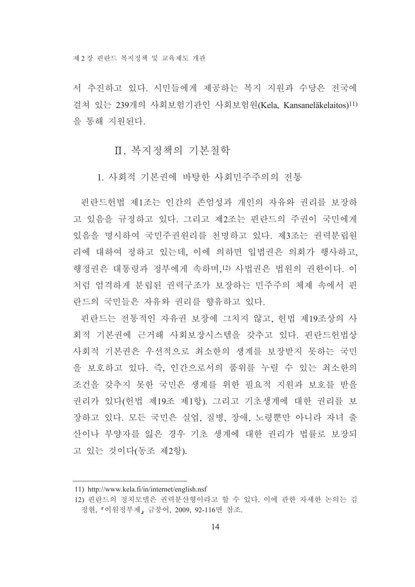서 추진하고 있다. 시민들에게 제공하는 복지 지워과 수당은 전국에 걸쳐 있는 239개의 사회보험기관인 사회보험원(Kela, Kansaneläkelaitos)<sup>11)</sup> 을 통해 지워되다.

#### Ⅱ. 복지정책의 기본철학

1. 사회적 기본권에 바탕한 사회민주주의의 전통

핀란드헌법 제1조는 인간의 존엄성과 개인의 자유와 권리를 보장하 고 있음을 규정하고 있다. 그리고 제2조는 핀란드의 주권이 국민에게 있음을 명시하여 국민주권원리를 천명하고 있다. 제3조는 권력분립원 리에 대하여 정하고 있는데, 이에 의하면 입법권은 의회가 행사하고, 행정권은 대통령과 정부에게 속하며,12) 사법권은 법원의 권한이다. 이 처럼 엄격하게 분립된 권력구조가 보장하는 민주주의 체제 속에서 핀 란드의 국민들은 자유와 권리를 향유하고 있다.

핀란드는 전통적인 자유권 보장에 그치지 않고, 헌법 제19조상의 사 회적 기본권에 근거해 사회보장시스템을 갖추고 있다. 핀란드헌법상 사회적 기본권은 우선적으로 최소한의 생계를 보장받지 못하는 국민 을 보호하고 있다. 즉, 인간으로서의 품위를 누릴 수 있는 최소한의 조건을 갖추지 못한 국민은 생계를 위한 필요적 지원과 보호를 받을 권리가 있다(헌법 제19조 제1항). 그리고 기초생계에 대한 권리를 보 장하고 있다. 모든 국민은 실업, 질병, 장애, 노령뿐만 아니라 자녀 출 산이나 부양자를 잃은 경우 기초 생계에 대한 권리가 법률로 보장되 고 있는 것이다(동조 제2항).

<sup>11)</sup> http://www.kela.fi/in/internet/english.nsf

<sup>12)</sup> 핀란드의 정치모델은 권력분산형이라고 할 수 있다. 이에 관한 자세한 논의는 김 정현, 『이원정부제』금붕어, 2009, 92-116면 참조.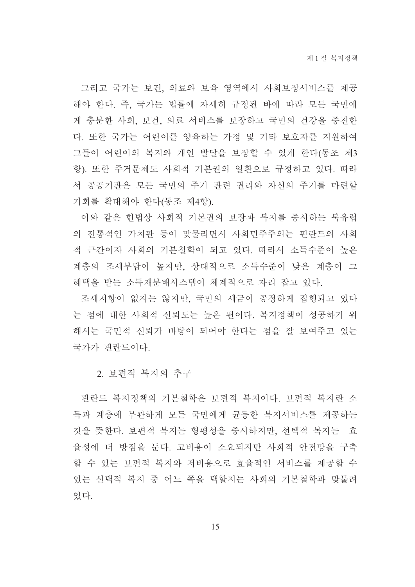그리고 국가는 보건, 의료와 보육 영역에서 사회보장서비스를 제공 해야 한다. 즉, 국가는 법률에 자세히 규정된 바에 따라 모든 국민에 게 충분한 사회, 보건, 의료 서비스를 보장하고 국민의 건강을 증진한 다. 또한 국가는 어린이를 양육하는 가정 및 기타 보호자를 지원하여 그들이 어린이의 복지와 개인 발달을 보장할 수 있게 한다(동조 제3 항). 또한 주거문제도 사회적 기본권의 일환으로 규정하고 있다. 따라 서 공공기관은 모든 국민의 주거 관련 권리와 자신의 주거를 마련할 기회를 확대해야 한다(동조 제4항).

이와 같은 헌법상 사회적 기본권의 보장과 복지를 중시하는 북유럽 의 전통적인 가치관 등이 맞물리면서 사회민주주의는 핀란드의 사회 적 근간이자 사회의 기본철학이 되고 있다. 따라서 소득수준이 높은 계층의 조세부담이 높지만, 상대적으로 소득수준이 낮은 계층이 그 혜택을 받는 소득재분배시스템이 체계적으로 자리 잡고 있다.

조세저항이 없지는 않지만, 국민의 세금이 공정하게 집행되고 있다 는 점에 대한 사회적 신뢰도는 높은 편이다. 복지정책이 성공하기 위 해서는 국민적 신뢰가 바탕이 되어야 한다는 점을 잘 보여주고 있는 국가가 핀란드이다.

2. 보편적 복지의 추구

핀란드 복지정책의 기본철학은 보편적 복지이다. 보편적 복지란 소 득과 계층에 무관하게 모든 국민에게 균등한 복지서비스를 제공하는 것을 뜻한다. 보편적 복지는 형평성을 중시하지만, 선택적 복지는 효 율성에 더 방점을 둔다. 고비용이 소요되지만 사회적 안전망을 구축 할 수 있는 보편적 복지와 저비용으로 효율적인 서비스를 제공할 수 있는 선택적 복지 중 어느 쪽을 택할지는 사회의 기본철학과 맞물려 있다.

15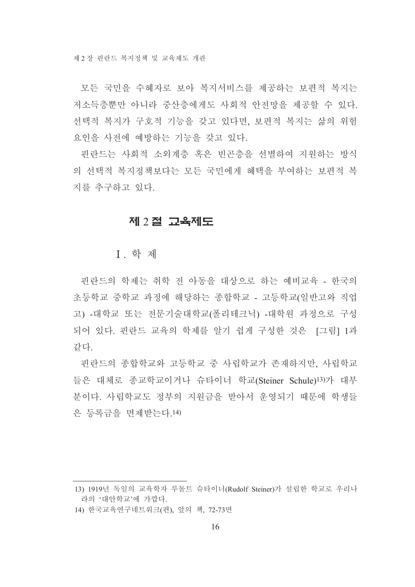모든 국민을 수혜자로 보아 복지서비스를 제공하는 보편적 복지는 저소득층뿐만 아니라 중산층에게도 사회적 안전망을 제공할 수 있다. 선택적 복지가 구호적 기능을 갖고 있다면, 보편적 복지는 삶의 위험 요인을 사전에 예방하는 기능을 갖고 있다.

핀란드는 사회적 소외계층 혹은 빈곤층을 선별하여 지원하는 방식 의 선택적 복지정책보다는 모든 국민에게 혜택을 부여하는 보편적 복 지를 추구하고 있다.

#### 제 2절 교육제도

**I** 학 제

핀란드의 학제는 취학 전 아동을 대상으로 하는 예비교육 - 한국의 초등학교 중학교 과정에 해당하는 종합학교 - 고등학교(일반고와 직업 고) -대학교 또는 전문기술대학교(폴리테크닉) -대학원 과정으로 구성 되어 있다. 핀란드 교육의 학제를 알기 쉽게 구성한 것은 [그림] 1과 같다.

핀란드의 종합학교와 고등학교 중 사립학교가 존재하지만 사립학교 들은 대체로 종교학교이거나 슈타이너 학교(Steiner Schule)13)가 대부 분이다. 사립학교도 정부의 지워금을 받아서 운영되기 때문에 학생들 은 등록금을 면제받는다.14)

<sup>13) 1919</sup>년 독일의 교육학자 루돌트 슈타이너(Rudolf Steiner)가 설립한 학교로 우리나 라의 '대안학교'에 가깝다.

<sup>14)</sup> 한국교육연구네트워크(편), 앞의 책, 72-73면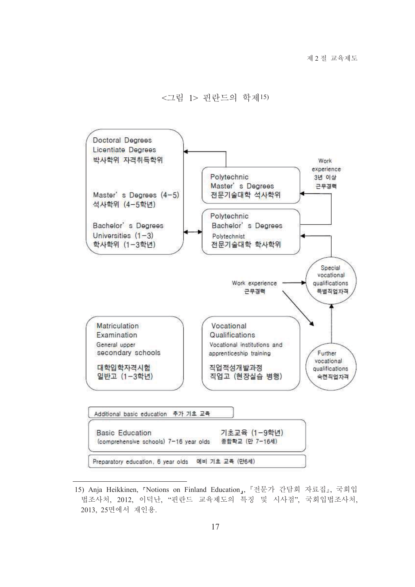<그림 1> 핀란드의 학제15)



<sup>15)</sup> Anja Heikkinen, 『Notions on Finland Education』, 『전문가 간담회 자료집』, 국회입 법조사처, 2012, 이덕난, "핀란드 교육제도의 특징 및 시사점", 국회입법조사처, 2013, 25면에서 재인용.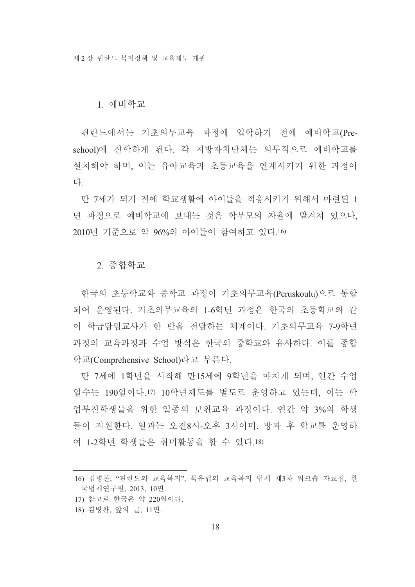#### 1. 예비학교

핀란드에서는 기초의무교육 과정에 입학하기 전에 예비학교(Preschool)에 진학하게 된다. 각 지방자치단체는 의무적으로 예비학교를 설치해야 하며, 이는 유아교육과 초등교육을 여계시키기 위한 과정이 다

만 7세가 되기 전에 학교생활에 아이들을 적응시키기 위해서 마련된 1 넌 과정으로 예비학교에 보내는 것은 학부모의 자율에 맡겨져 있으나. 2010년 기주으로 약 96%의 아이들이 참여하고 있다.16)

2. 종합학교

한국의 초등학교와 중학교 과정이 기초의무교육(Peruskoulu)으로 통합 되어 우영된다. 기초의무교육의 1-6학년 과정은 한국의 초등학교와 같 이 학급담임교사가 한 반을 전담하는 체계이다. 기초의무교육 7-9학년 과정의 교육과정과 수업 방식은 한국의 중학교와 유사하다. 이를 종합 학교(Comprehensive School)라고 부른다.

만 7세에 1학년을 시작해 만15세에 9학년을 마치게 되며, 연간 수업 일수는 190일이다.17) 10학년제도를 별도로 운영하고 있는데, 이는 학 업부진학생들을 위한 일종의 보완교육 과정이다. 여간 약 3%의 학생 들이 지워하다. 일과는 오전8시-오후 3시이며 방과 후 학교를 운영하 여 1-2학년 학생들은 취미활동을 할 수 있다.18)

<sup>16)</sup> 김병찬. "핀란드의 교육복지". 북유럽의 교육복지 법제 제3차 워크숍 자료집. 한 국법제연구원, 2013, 10면.

<sup>17)</sup> 참고로 한국은 약 220일이다.

<sup>18)</sup> 김병찬, 앞의 글, 11면.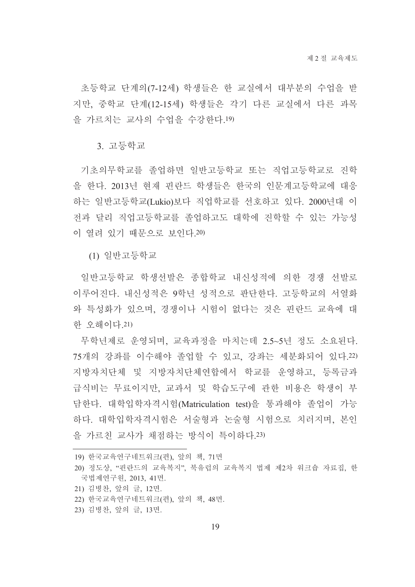초등학교 단계의(7-12세) 학생들은 한 교실에서 대부분의 수업을 받 지만, 중학교 단계(12-15세) 학생들은 각기 다른 교실에서 다른 과목 을 가르치는 교사의 수업을 수강한다.19)

3. 고등학교

기초의무학교를 졸업하면 일반고등학교 또는 직업고등학교로 진학 을 한다. 2013년 현재 핀란드 학생들은 한국의 인문계고등학교에 대응 하는 일반고등학교(Lukio)보다 직업학교를 선호하고 있다. 2000년대 이 전과 달리 직업고등학교를 졸업하고도 대학에 진학할 수 있는 가능성 이 열려 있기 때문으로 보인다.20)

(1) 일반고등학교

일반고등학교 학생선발은 종합학교 내신성적에 의한 경쟁 선발로 이루어진다. 내신성적은 9학년 성적으로 판단한다. 고등학교의 서열화 와 특성화가 있으며, 경쟁이나 시험이 없다는 것은 핀란드 교육에 대 한 오해이다.21)

무학년제로 우영되며, 교육과정을 마치는데 2.5~5년 정도 소요된다. 75개의 강좌를 이수해야 졸업할 수 있고, 강좌는 세분화되어 있다.22) 지방자치단체 및 지방자치단체연합에서 학교를 운영하고, 등록금과 급식비는 무료이지만, 교과서 및 학습도구에 관한 비용은 학생이 부 담한다. 대학입학자격시험(Matriculation test)을 통과해야 졸업이 가능 하다. 대학입학자격시험은 서술형과 논술형 시험으로 치러지며, 본인 을 가르친 교사가 채점하는 방식이 특이하다. 23)

21) 김병찬, 앞의 글, 12면.

23) 김병찬, 앞의 글, 13면.

<sup>19)</sup> 한국교육연구네트워크(편), 앞의 책, 71면

<sup>20)</sup> 정도상, "핀란드의 교육복지", 북유럽의 교육복지 법제 제2차 워크숍 자료집, 한 국법제연구원, 2013, 41면.

<sup>22)</sup> 한국교육연구네트워크(편), 앞의 책, 48면.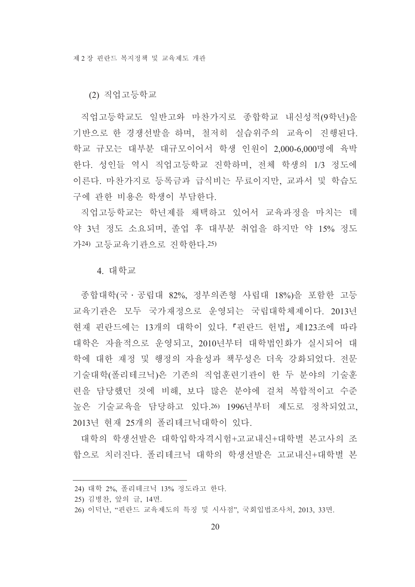(2) 직업고등학교

직업고등학교도 일반고와 마찬가지로 종합학교 내신성적(9학년)을 기반으로 한 경쟁선발을 하며, 철저히 실습위주의 교육이 진행된다. 학교 규모는 대부분 대규모이어서 학생 인원이 2,000-6,000명에 육박 한다. 성인들 역시 직업고등학교 진학하며, 전체 학생의 1/3 정도에 이른다. 마찬가지로 등록금과 급식비는 무료이지만, 교과서 및 학습도 구에 관한 비용은 학생이 부담하다.

직업고등학교는 학년제를 채택하고 있어서 교육과정을 마치는 데 약 3년 정도 소요되며, 졸업 후 대부분 취업을 하지만 약 15% 정도 가24) 고등교육기관으로 진학한다.25)

4. 대학교

종합대학(국 · 공립대 82%, 정부의존형 사립대 18%)을 포함한 고등 교육기관은 모두 국가재정으로 운영되는 국립대학체제이다. 2013년 현재 핀란드에는 13개의 대학이 있다. 「핀란드 헌법」제123조에 따라 대학은 자율적으로 운영되고, 2010년부터 대학법인화가 실시되어 대 학에 대한 재정 및 행정의 자율성과 책무성은 더욱 강화되었다. 전문 기술대학(폴리테크닉)은 기존의 직업훈련기관이 한 두 분야의 기술훈 련을 담당했던 것에 비해, 보다 많은 분야에 걸쳐 복합적이고 수준 높은 기술교육을 담당하고 있다.26) 1996년부터 제도로 정착되었고, 2013년 현재 25개의 폴리테크닉대학이 있다.

대학의 학생선발은 대학입학자격시험+고교내신+대학별 본고사의 조 합으로 치러진다. 폴리테크닉 대학의 학생선발은 고교내신+대학별 본

<sup>24)</sup> 대학 2%, 폴리테크닉 13% 정도라고 한다.

<sup>25)</sup> 김병찬, 앞의 글, 14면.

<sup>26)</sup> 이덕난, "핀란드 교육제도의 특징 및 시사점", 국회입법조사처, 2013, 33면.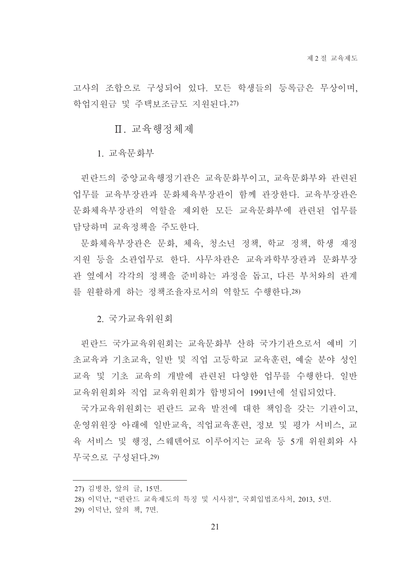고사의 조합으로 구성되어 있다. 모든 학생들의 등록금은 무상이며, 학업지워금 및 주택보조금도 지워되다. 27)

Ⅱ. 교육행정체제

1. 교육무화부

핀란드의 중앙교육행정기관은 교육문화부이고, 교육문화부와 관련된 업무를 교육부장관과 문화체육부장관이 함께 관장한다. 교육부장관은 문화체육부장관의 역할을 제외한 모든 교육무화부에 관련되 업무를 담당하며 교육정책을 주도하다.

문화체육부장관은 문화, 체육, 청소년 정책, 학교 정책, 학생 재정 지워 등을 소관업무로 한다. 사무차관은 교육과학부장관과 문화부장 관 옆에서 각각의 정책을 준비하는 과정을 돕고, 다른 부처와의 관계 를 원활하게 하는 정책조율자로서의 역할도 수행한다.28)

2. 국가교육위워회

핀란드 국가교육위워회는 교육문화부 산하 국가기관으로서 예비 기 초교육과 기초교육, 일반 및 직업 고등학교 교육훈련, 예술 분야 성인 교육 및 기초 교육의 개발에 관련된 다양한 업무를 수행한다. 일반 교육위원회와 직업 교육위원회가 합병되어 1991년에 설립되었다.

국가교육위워회는 핀란드 교육 발전에 대한 책임을 갖는 기관이고. 운영위원장 아래에 일반교육, 직업교육훈련, 정보 및 평가 서비스, 교 육 서비스 및 행정, 스웨덴어로 이루어지는 교육 등 5개 위원회와 사 무국으로 구성된다.29)

<sup>27)</sup> 김병찬, 앞의 글, 15면.

<sup>28)</sup> 이덕난, "핀란드 교육제도의 특징 및 시사점", 국회입법조사처, 2013, 5면.

<sup>29)</sup> 이덕난, 앞의 책, 7면.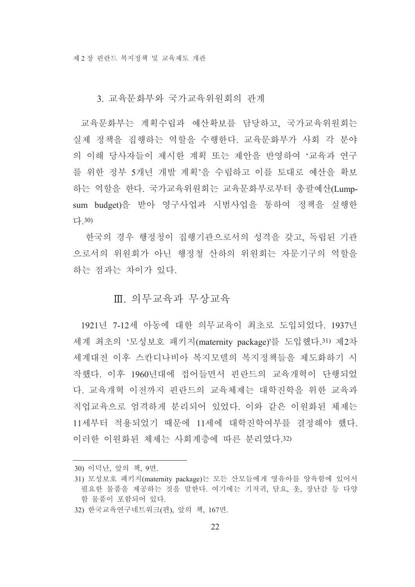3. 교육문화부와 국가교육위워회의 관계

교육문화부는 계획수립과 예산확보를 담당하고, 국가교육위원회는 실제 정책을 집행하는 역할을 수행하다. 교육문화부가 사회 각 분야 의 이해 당사자들이 제시한 계획 또는 제안을 반영하여 '교육과 연구 를 위한 정부 5개년 개발 계획'을 수립하고 이를 토대로 예산을 확보 하는 역할을 한다. 국가교육위원회는 교육문화부로부터 총괄예산(Lumpsum budget)을 받아 영구사업과 시범사업을 통하여 정책을 실행한 다 30)

한국의 경우 행정청이 집행기관으로서의 성격을 갖고, 독립된 기관 으로서의 위원회가 아닌 행정청 산하의 위원회는 자문기구의 역할을 하는 점과는 차이가 있다.

#### Ⅲ. 의무교육과 무상교육

1921년 7-12세 아동에 대한 의무교육이 최초로 도입되었다. 1937년 세계 최초의 '모성보호 패키지(maternity package)'를 도입했다.31) 제2차 세계대전 이후 스카디나비아 복지모델의 복지정책들을 제도화하기 시 작했다. 이후 1960년대에 접어들면서 핀란드의 교육개혁이 단행되었 다. 교육개혁 이전까지 핀란드의 교육체제는 대학진학을 위한 교육과 직업교육으로 엄격하게 부리되어 있었다. 이와 같은 이워화된 체제는 11세부터 적용되었기 때문에 11세에 대학진학여부를 결정해야 했다. 이러한 이원화된 체제는 사회계층에 따른 분리였다.32)

<sup>30)</sup> 이덕난, 앞의 책, 9면.

<sup>31)</sup> 모성보호 패키지(maternity package)는 모든 산모들에게 영유아를 양육함에 있어서 필요한 물품을 제공하는 것을 말한다. 여기에는 기저귀, 담요, 옷, 장난감 등 다양 함 물품이 포함되어 있다.

<sup>32)</sup> 한국교육연구네트워크(편), 앞의 책, 167면.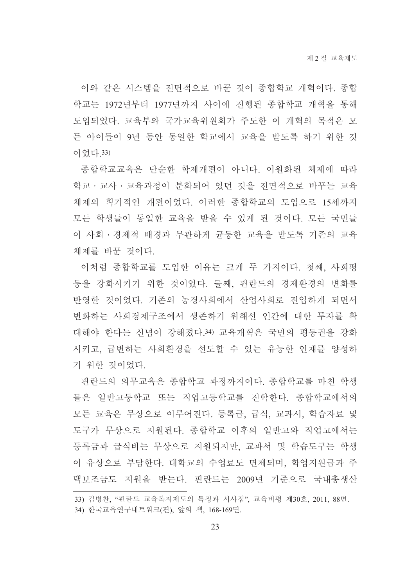이와 같은 시스템을 전면적으로 바꾼 것이 종합학교 개혁이다. 종합 학교는 1972년부터 1977년까지 사이에 진행된 종합학교 개혁을 통해 도입되었다. 교육부와 국가교육위워회가 주도한 이 개혁의 목적은 모 든 아이들이 9년 동안 동일한 학교에서 교육을 받도록 하기 위한 것 이었다. 33)

종합학교교육은 단순한 학제개편이 아니다. 이원화된 체제에 따라 학교 · 교사 · 교육과정이 분화되어 있던 것을 전면적으로 바꾸는 교육 체제의 획기적인 개편이었다. 이러한 종합학교의 도입으로 15세까지 모든 학생들이 동일한 교육을 받을 수 있게 된 것이다. 모든 국민들 이 사회ㆍ경제적 배경과 무관하게 균등한 교육을 받도록 기존의 교육 체제를 바꾼 것이다.

이처럼 종합학교를 도입한 이유는 크게 두 가지이다. 첫째, 사회평 등을 강화시키기 위한 것이었다. 둘째, 핀란드의 경제환경의 변화를 반영한 것이었다. 기존의 농경사회에서 산업사회로 진입하게 되면서 변화하는 사회경제구조에서 생존하기 위해선 인간에 대한 투자를 확 대해야 한다는 신념이 강해졌다.34) 교육개혁은 국민의 평등권을 강화 시키고, 급변하는 사회환경을 선도할 수 있는 유능한 인재를 양성하 기 위한 것이었다.

핀란드의 의무교육은 종합학교 과정까지이다. 종합학교를 마친 학생 들은 일반고등학교 또는 직업고등학교를 진학하다. 종합학교에서의 모든 교육은 무상으로 이루어진다. 등록금, 급식, 교과서, 학습자료 및 도구가 무상으로 지원된다. 종합학교 이후의 일반고와 직업고에서는 등록금과 급식비는 무상으로 지원되지만, 교과서 및 학습도구는 학생 이 유상으로 부담한다. 대학교의 수업료도 면제되며, 학업지원금과 주 택보조금도 지원을 받는다. 핀란드는 2009년 기준으로 국내총생산

<sup>33)</sup> 김병찬, "핀란드 교육복지제도의 특징과 시사점", 교육비평 제30호, 2011, 88면.

<sup>34)</sup> 한국교육연구네트워크(편), 앞의 책, 168-169면.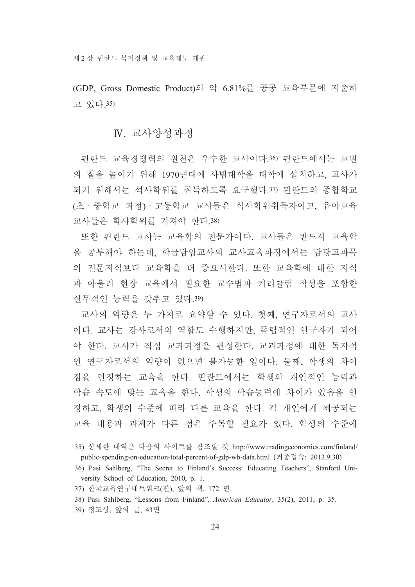(GDP, Gross Domestic Product)의 약 6.81%를 공공 교육부문에 지출하 고 있다 35)

#### N. 교사양성과정

핀란드 교육경쟁력의 원천은 우수한 교사이다.36) 핀란드에서는 교원 의 질을 높이기 위해 1970년대에 사범대학을 대학에 설치하고, 교사가 되기 위해서는 석사학위를 취득하도록 요구했다.37) 핀란드의 종합학교 (초 · 중학교 과정) · 고등학교 교사들은 석사학위취득자이고, 유아교육 교사들은 학사학위를 가져야 한다.38)

또한 핀란드 교사는 교육학의 전문가이다. 교사들은 반드시 교육학 을 공부해야 하는데, 학급담임교사의 교사교육과정에서는 담당교과목 의 전문지식보다 교육학을 더 중요시한다. 또한 교육학에 대한 지식 과 아울러 현장 교육에서 필요한 교수법과 커리큘럼 작성을 포함한 실무적인 능력을 갖추고 있다.39)

교사의 역량은 두 가지로 요약할 수 있다. 첫째. 여구자로서의 교사 이다. 교사는 강사로서의 역할도 수행하지만, 독립적인 연구자가 되어 야 한다. 교사가 직접 교과과정을 편성한다. 교과과정에 대한 독자적 인 연구자로서의 역량이 없으면 불가능한 일이다. 둘째, 학생의 차이 점을 인정하는 교육을 한다. 핀란드에서는 학생의 개인적인 능력과 학습 속도에 맞는 교육을 한다. 학생의 학습능력에 차이가 있음을 인 정하고, 학생의 수준에 따라 다른 교육을 한다. 각 개인에게 제공되는 교육 내용과 과제가 다른 점은 주목할 필요가 있다. 학생의 수주에

39) 정도상, 앞의 글, 43면.

<sup>35)</sup> 상세한 내역은 다음의 사이트를 참조할 것 http://www.tradingeconomics.com/finland/ public-spending-on-education-total-percent-of-gdp-wb-data.html (최종접속: 2013.9.30)

<sup>36)</sup> Pasi Sahlberg, "The Secret to Finland's Success: Educating Teachers", Stanford University School of Education, 2010, p. 1.

<sup>37)</sup> 한국교육연구네트워크(편), 앞의 책, 172 면.

<sup>38)</sup> Pasi Sahlberg, "Lessons from Finland", American Educator, 35(2), 2011, p. 35.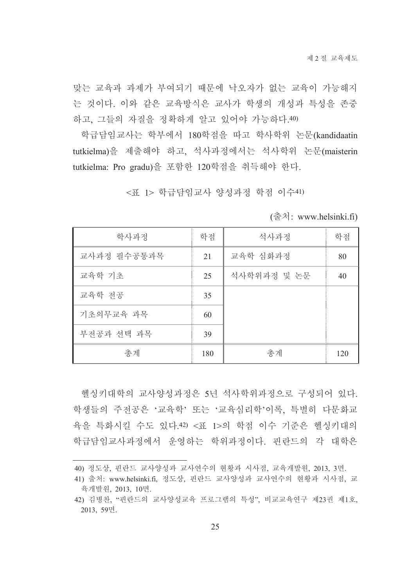맞는 교육과 과제가 부여되기 때문에 낙오자가 없는 교육이 가능해지 는 것이다. 이와 같은 교육방식은 교사가 학생의 개성과 특성을 존중 하고, 그들의 자질을 정확하게 알고 있어야 가능하다.40)

학급담임교사는 학부에서 180학점을 따고 학사학위 논문(kandidaatin tutkielma)을 제출해야 하고, 석사과정에서는 석사학위 논문(maisterin tutkielma: Pro gradu)을 포함한 120학점을 취득해야 한다.

<표 1> 학급담임교사 양성과정 학점 이수41)

| $\therefore$ www.helsinki.fi) |  |  |
|-------------------------------|--|--|
|                               |  |  |

| 학사과정        | 학점  | 석사과정        | 학점  |
|-------------|-----|-------------|-----|
| 교사과정 필수공통과목 | 21  | 교육학 심화과정    | 80  |
| 교육학 기초      | 25  | 석사학위과정 및 논문 | 40  |
| 교육학 전공      | 35  |             |     |
| 기초의무교육 과목   | 60  |             |     |
| 부전공과 선택 과목  | 39  |             |     |
| 총계          | 180 | 총계          | 120 |

헬싱키대학의 교사양성과정은 5년 석사학위과정으로 구성되어 있다. 학생들의 주전공은 '교육학' 또는 '교육심리학'이록, 특별히 다문화교 육을 특화시킬 수도 있다.42) <표 1>의 학점 이수 기준은 헬싱키대의 학급담임교사과정에서 운영하는 학위과정이다. 핀란드의 각 대학은

<sup>40)</sup> 정도상, 핀란드 교사양성과 교사연수의 현황과 시사점, 교육개발원, 2013, 3면.

<sup>41)</sup> 출처: www.helsinki.fi, 정도상, 핀란드 교사양성과 교사연수의 현황과 시사점, 교 육개발원, 2013, 10면.

<sup>42)</sup> 김병찬, "핀란드의 교사양성교육 프로그램의 특성", 비교교육연구 제23권 제1호, 2013, 59면.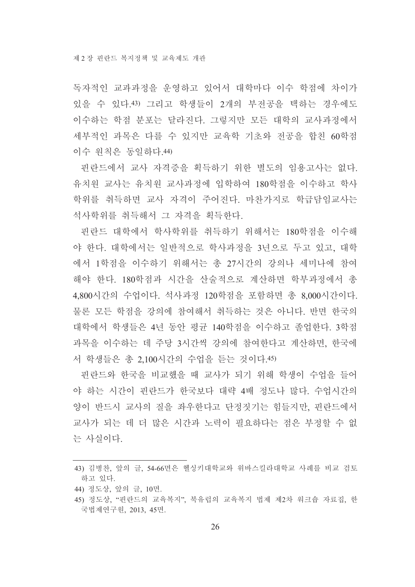독자적인 교과과정을 우영하고 있어서 대학마다 이수 학점에 차이가 있을 수 있다.43) 그리고 학생들이 2개의 부전공을 택하는 경우에도 이수하는 학점 분포는 달라진다. 그렇지만 모든 대학의 교사과정에서 세부적인 과목은 다를 수 있지만 교육학 기초와 전공을 합친 60학점 이수 워칙은 동일하다.44)

핀란드에서 교사 자격증을 획득하기 위한 별도의 임용고사는 없다. 유치워 교사는 유치워 교사과정에 입학하여 180학점을 이수하고 학사 학위를 취득하면 교사 자격이 주어진다. 마찬가지로 학급담임교사는 석사학위를 취득해서 그 자격을 획득한다.

핀란드 대학에서 학사학위를 취득하기 위해서는 180학점을 이수해 야 한다. 대학에서는 일반적으로 학사과정을 3년으로 두고 있고, 대학 에서 1학점을 이수하기 위해서는 총 27시간의 강의나 세미나에 참여 해야 한다. 180학점과 시간을 산술적으로 계산하면 학부과정에서 총 4,800시간의 수업이다. 석사과정 120학점을 포함하면 총 8.000시간이다. 물론 모든 학점을 강의에 참여해서 취득하는 것은 아니다. 반면 한국의 대학에서 학생들은 4년 동안 평규 140학점을 이수하고 졸업한다. 3학점 과목을 이수하는 데 주당 3시간씩 강의에 참여한다고 계산하면, 한국에 서 학생들은 총 2,100시간의 수업을 듣는 것이다.45)

핀란드와 한국을 비교했을 때 교사가 되기 위해 학생이 수업을 들어 야 하는 시간이 핀란드가 한국보다 대략 4배 정도나 많다. 수업시간의 양이 반드시 교사의 질을 좌우한다고 단정짓기는 힘들지만, 핀란드에서 교사가 되는 데 더 많은 시간과 노력이 필요하다는 점은 부정할 수 없 는 사실이다.

44) 정도상, 앞의 글, 10면.

<sup>43)</sup> 김병찬, 앞의 글, 54-66면은 헬싱키대학교와 위바스킬라대학교 사례를 비교 검토 하고 있다.

<sup>45)</sup> 정도상. "핀란드의 교육복지". 북유럽의 교육복지 법제 제2차 워크숍 자료집. 한 국법제연구원, 2013, 45면.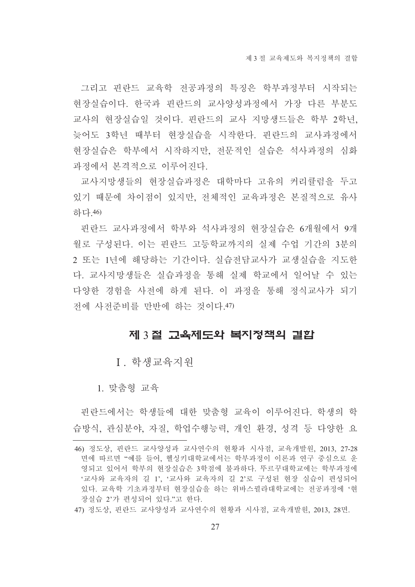그리고 핀란드 교육학 전공과정의 특징은 학부과정부터 시작되는 현장실습이다. 한국과 핀란드의 교사양성과정에서 가장 다른 부분도 교사의 현장실습일 것이다. 핀란드의 교사 지망생드들은 학부 2학년, 늦어도 3학년 때부터 현장실습을 시작한다. 핀란드의 교사과정에서 현장실습은 학부에서 시작하지만, 전문적인 실습은 석사과정의 심화 과정에서 본격적으로 이루어진다.

교사지망생들의 현장실습과정은 대학마다 고유의 커리큘럼을 두고 있기 때문에 차이점이 있지만, 전체적인 교육과정은 본질적으로 유사 하다 46)

핀란드 교사과정에서 학부와 석사과정의 혁장실습은 6개월에서 9개 월로 구성된다. 이는 핀란드 고등학교까지의 실제 수업 기간의 3분의 2 또는 1년에 해당하는 기간이다. 실습전담교사가 교생실습을 지도한 다. 교사지망생들은 실습과정을 통해 실제 학교에서 일어날 수 있는 다양한 경험을 사전에 하게 된다. 이 과정을 통해 정식교사가 되기 전에 사전준비를 만반에 하는 것이다.47)

#### 제 3절 교육제도와 복지정책의 결합

I 학생교육지워

1. 맞춤형 교육

핀란드에서는 학생들에 대한 맞춤형 교육이 이루어진다. 학생의 학 습방식, 관심분야, 자질, 학업수행능력, 개인 환경, 성격 등 다양한 요

<sup>46)</sup> 정도상, 핀란드 교사양성과 교사연수의 현황과 시사점, 교육개발원, 2013, 27-28 면에 따르면 "예를 들어, 헬싱키대학교에서는 학부과정이 이론과 연구 중심으로 운 영되고 있어서 학부의 현장실습은 3학점에 불과하다. 뚜르꾸대학교에는 학부과정에 '교사와 교육자의 길 1', '교사와 교육자의 길 2'로 구성된 현장 실습이 편성되어 있다. 교육학 기초과정부터 현장실습을 하는 위바스뀔라대학교에는 전공과정에 '현 장실습 2'가 편성되어 있다."고 한다.

<sup>47)</sup> 정도상, 핀란드 교사양성과 교사연수의 현황과 시사점, 교육개발원, 2013, 28면.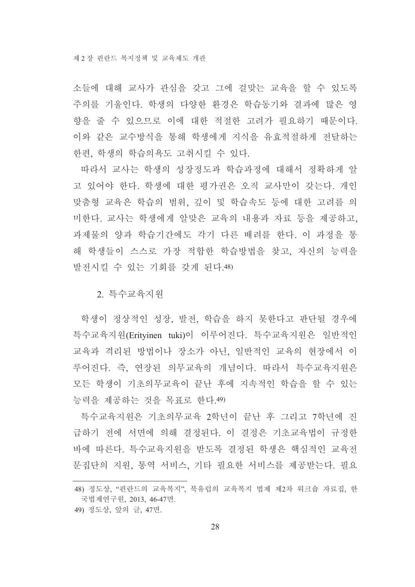소들에 대해 교사가 관심을 갖고 그에 걸맞는 교육을 할 수 있도록 주의를 기울인다. 학생의 다양한 화경은 학습동기와 결과에 많은 영 향을 줄 수 있으므로 이에 대한 적절한 고려가 필요하기 때문이다. 이와 같은 교수방식을 통해 학생에게 지식을 유효적절하게 전달하는 한편, 학생의 학습의욕도 고취시킬 수 있다.

따라서 교사는 학생의 성장정도과 학습과정에 대해서 정확하게 알 고 있어야 한다. 학생에 대한 평가권은 오직 교사만이 갖는다. 개인 맞춤형 교육은 학습의 범위, 깊이 및 학습속도 등에 대한 고려를 의 미한다. 교사는 학생에게 알맞은 교육의 내용과 자료 등을 제공하고. 과제물의 양과 학습기간에도 각기 다른 배려를 한다. 이 과정을 통 해 학생들이 스스로 가장 적합한 학습방법을 찾고, 자신의 능력을 발전시킬 수 있는 기회를 갖게 된다.48)

2. 특수교육지워

학생이 정상적인 성장, 발전, 학습을 하지 못한다고 판단될 경우에 특수교육지원(Erityinen tuki)이 이루어진다. 특수교육지원은 일반적인 교육과 격리된 방법이나 장소가 아닌, 일반적인 교육의 현장에서 이 루어진다. 즉, 연장된 의무교육의 개념이다. 따라서 특수교육지원은 모든 학생이 기초의무교육이 끝난 후에 지속적인 학습을 할 수 있는 능력을 제공하는 것을 목표로 하다.49)

특수교육지워은 기초의무교육 2학년이 끝난 후 그리고 7학년에 진 급하기 전에 서면에 의해 결정된다. 이 결정은 기초교육법이 규정한 바에 따른다. 특수교육지원을 받도록 결정된 학생은 핵심적인 교육전 문집단의 지원, 통역 서비스, 기타 필요한 서비스를 제공받는다. 필요

<sup>48)</sup> 정도상, "핀란드의 교육복지", 북유럽의 교육복지 법제 제2차 워크숍 자료집, 한 국법제연구원, 2013, 46-47면.

<sup>49)</sup> 정도상, 앞의 글, 47면.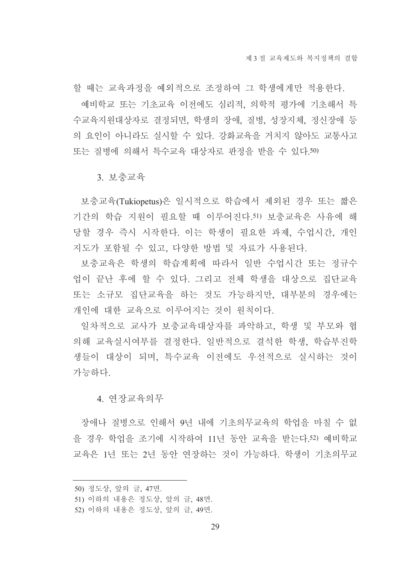할 때는 교육과정을 예외적으로 조정하여 그 학생에게만 적용하다. 예비학교 또는 기초교육 이전에도 심리적 의학적 평가에 기초해서 특 수교육지원대상자로 결정되면, 학생의 장애, 질병, 성장지체, 정신장애 등 의 요인이 아니라도 실시할 수 있다. 강화교육을 거치지 않아도 교통사고 또는 질병에 의해서 특수교육 대상자로 판정을 받을 수 있다.50)

3 보충교육

보충교육(Tukiopetus)은 일시적으로 학습에서 제외된 경우 또는 짧은 기간의 학습 지원이 필요할 때 이루어진다.51) 보충교육은 사유에 해 당할 경우 즉시 시작한다. 이는 학생이 필요한 과제, 수업시간, 개인 지도가 포함될 수 있고, 다양한 방법 및 자료가 사용되다.

보충교육은 학생의 학습계획에 따라서 일반 수업시간 또는 정규수 업이 끝난 후에 할 수 있다. 그리고 전체 학생을 대상으로 집단교육 또는 소규모 집단교육을 하는 것도 가능하지만, 대부분의 경우에는 개인에 대한 교육으로 이루어지는 것이 워칙이다.

일차적으로 교사가 보충교육대상자를 파악하고, 학생 및 부모와 협 의해 교육실시여부를 결정하다. 일반적으로 결석하 학생, 학습부지학 생들이 대상이 되며, 특수교육 이전에도 우선적으로 실시하는 것이 가능하다

#### 4. 여장교육의무

장애나 질병으로 인해서 9년 내에 기초의무교육의 학업을 마칠 수 없 을 경우 학업을 조기에 시작하여 11년 동안 교육을 받는다.52) 예비학교 교육은 1년 또는 2년 동안 연장하는 것이 가능하다. 학생이 기초의무교

<sup>50)</sup> 정도상, 앞의 글, 47면.

<sup>51)</sup> 이하의 내용은 정도상, 앞의 글, 48면.

<sup>52)</sup> 이하의 내용은 정도상, 앞의 글, 49면.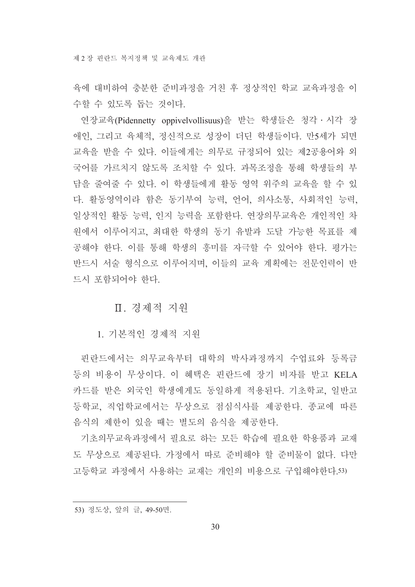육에 대비하여 충분한 주비과정을 거친 후 정상적인 학교 교육과정을 이 수할 수 있도록 돕는 것이다.

연장교육(Pidennetty oppivelvollisuus)을 받는 학생들은 청각 · 시각 장 애인, 그리고 육체적, 정신적으로 성장이 더딘 학생들이다. 만5세가 되면 교육을 받을 수 있다. 이들에게는 의무로 규정되어 있는 제2공용어와 외 국어를 가르치지 않도록 조치할 수 있다. 과목조정을 통해 학생들의 부 담을 줄여줄 수 있다. 이 학생들에게 활동 영역 위주의 교육을 할 수 있 다. 활동영역이라 함은 동기부여 능력, 언어, 의사소통, 사회적인 능력, 일상적인 활동 능력, 인지 능력을 포함한다. 연장의무교육은 개인적인 차 원에서 이루어지고, 최대한 학생의 동기 유발과 도달 가능한 목표를 제 공해야 한다. 이를 통해 학생의 흥미를 자극할 수 있어야 한다. 평가는 반드시 서술 형식으로 이루어지며, 이들의 교육 계획에는 전문인력이 반 드시 포함되어야 한다.

#### Ⅱ. 경제적 지워

1. 기본적인 경제적 지워

핀란드에서는 의무교육부터 대학의 박사과정까지 수업료와 등록금 등의 비용이 무상이다. 이 혜택은 핀란드에 장기 비자를 받고 KELA 카드를 받은 외국인 학생에게도 동일하게 적용되다. 기초학교, 일반고 등학교, 직업학교에서는 무상으로 점심식사를 제공한다. 종교에 따른 음식의 제한이 있을 때는 별도의 음식을 제공한다.

기초의무교육과정에서 필요로 하는 모든 학습에 필요한 학용품과 교재 도 무상으로 제공된다. 가정에서 따로 주비해야 할 주비물이 없다. 다만 고등학교 과정에서 사용하는 교재는 개인의 비용으로 구입해야한다.53)

<sup>53)</sup> 정도상, 앞의 글, 49-50면.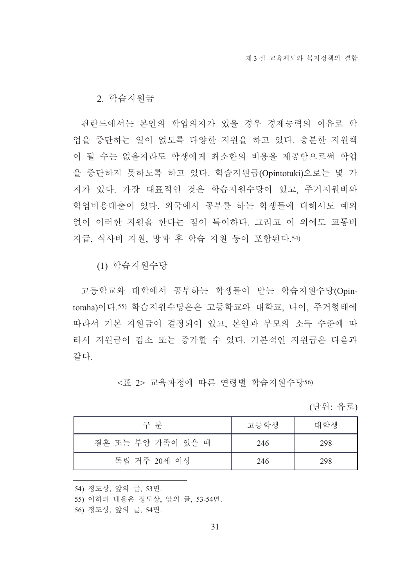2. 학습지워금

핀란드에서는 본인의 학업의지가 있을 경우 경제능력의 이유로 학 업을 중단하는 일이 없도록 다양한 지원을 하고 있다. 충분한 지원책 이 될 수는 없을지라도 학생에게 최소한의 비용을 제공함으로써 학업 을 중단하지 못하도록 하고 있다. 학습지워금(Opintotuki)으로는 몇 가 지가 있다. 가장 대표적인 것은 학습지원수당이 있고, 주거지원비와 학업비용대출이 있다. 외국에서 공부를 하는 학생들에 대해서도 예외 없이 이러한 지원을 한다는 점이 특이하다. 그리고 이 외에도 교통비 지급, 식사비 지원, 방과 후 학습 지원 등이 포함된다.54)

(1) 학습지워수당

고등학교와 대학에서 공부하는 학생들이 받는 학습지원수당(Opintoraha)이다.55) 학습지원수당은은 고등학교와 대학교, 나이, 주거형태에 따라서 기본 지원금이 결정되어 있고, 본인과 부모의 소득 수준에 따 라서 지워금이 감소 또는 증가할 수 있다. 기본적인 지워금은 다음과 같다.

<표 2> 교육과정에 따른 연령별 학습지원수당56)

(단위: 유로)

| 구 부               | 고등학생 | 대학생 |
|-------------------|------|-----|
| 결혼 또는 부양 가족이 있을 때 | 246  | 298 |
| 독립 거주 20세 이상      | 246  | 298 |

54) 정도상, 앞의 글, 53면.

56) 정도상, 앞의 글, 54면.

<sup>55)</sup> 이하의 내용은 정도상, 앞의 글, 53-54면.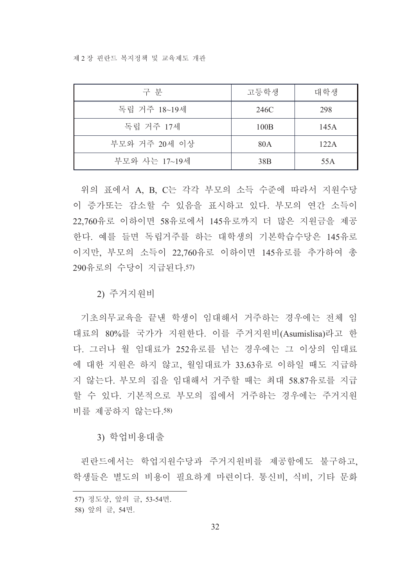제 2 장 핀란드 복지정책 및 교육제도 개관

| 구 분           | 고등학생            | 대학생   |
|---------------|-----------------|-------|
| 독립 거주 18~19세  | 246C            | 298   |
| 독립 거주 17세     | 100B            | 145 A |
| 부모와 거주 20세 이상 | 80A             | 122A  |
| 부모와 사는 17~19세 | 38 <sub>B</sub> | 55A   |

위의 표에서 A, B, C는 각각 부모의 소득 수준에 따라서 지원수당 이 증가또는 감소할 수 있음을 표시하고 있다. 부모의 연간 소득이 22,760유로 이하이면 58유로에서 145유로까지 더 많은 지원금을 제공 한다. 예를 들면 독립거주를 하는 대학생의 기본학습수당은 145유로 이지만, 부모의 소득이 22.760유로 이하이면 145유로를 추가하여 총 290유로의 수당이 지급된다.57)

2) 주거지원비

기초의무교육을 끝내 학생이 임대해서 거주하는 경우에는 전체 임 대료의 80%를 국가가 지원한다. 이를 주거지원비(Asumislisa)라고 한 다. 그러나 월 임대료가 252유로를 넘는 경우에는 그 이상의 임대료 에 대한 지원은 하지 않고, 월임대료가 33.63유로 이하일 때도 지급하 지 않는다. 부모의 집을 임대해서 거주할 때는 최대 58.87유로를 지급 할 수 있다. 기본적으로 부모의 집에서 거주하는 경우에는 주거지워 비를 제공하지 않는다.58)

3) 학업비용대출

핀란드에서는 학업지원수당과 주거지원비를 제공함에도 불구하고, 학생들은 별도의 비용이 필요하게 마련이다. 통신비, 식비, 기타 문화

<sup>57)</sup> 정도상, 앞의 글, 53-54면.

<sup>58)</sup> 앞의 글, 54면.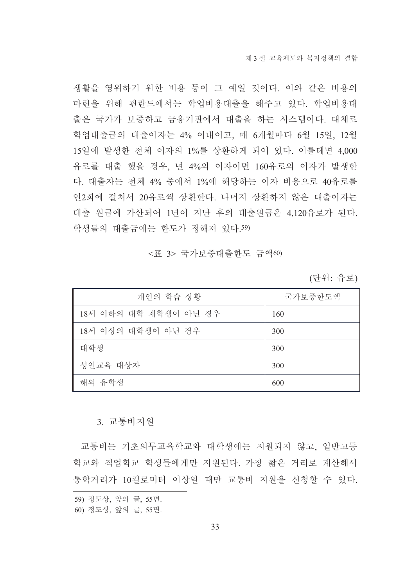생활을 영위하기 위한 비용 등이 그 예일 것이다. 이와 같은 비용의 마련을 위해 핀란드에서는 학업비용대출을 해주고 있다. 학업비용대 출은 국가가 보증하고 금융기관에서 대출을 하는 시스템이다. 대체로 학업대출금의 대출이자는 4% 이내이고, 매 6개월마다 6월 15일, 12월 15일에 발생한 전체 이자의 1%를 상환하게 되어 있다. 이를테면 4,000 유로를 대출 했을 경우, 년 4%의 이자이면 160유로의 이자가 발생한 다. 대출자는 전체 4% 중에서 1%에 해당하는 이자 비용으로 40유로를 연2회에 걸쳐서 20유로씩 상환한다. 나머지 상환하지 않은 대출이자는 대출 원금에 가산되어 1년이 지난 후의 대출원금은 4,120유로가 된다. 학생들의 대출금에는 한도가 정해져 있다.59)

#### <표 3> 국가보증대출한도 금액60)

(단위: 유로)

| 개인의 학습 상황             | 국가보증한도액 |
|-----------------------|---------|
| 18세 이하의 대학 재학생이 아닌 경우 | 160     |
| 18세 이상의 대학생이 아닌 경우    | 300     |
| 대학생                   | 300     |
| 성인교육 대상자              | 300     |
| 해외 유학생                | 600     |

#### 3. 교통비지원

교통비는 기초의무교육학교와 대학생에는 지워되지 않고, 일반고등 학교와 직업학교 학생들에게만 지워된다. 가장 짧은 거리로 계산해서 통학거리가 10킬로미터 이상일 때만 교통비 지원을 신청할 수 있다.

<sup>59)</sup> 정도상, 앞의 글, 55면.

<sup>60)</sup> 정도상, 앞의 글, 55면.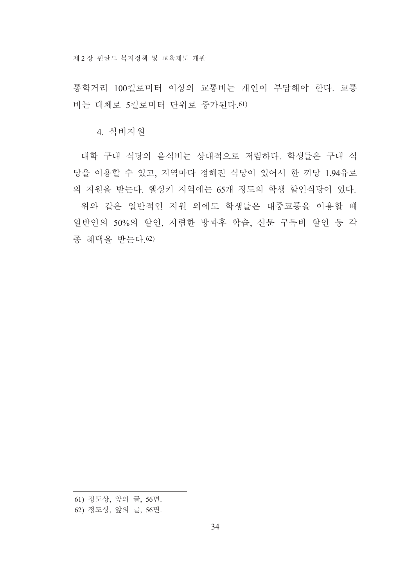통학거리 100킬로미터 이상의 교통비는 개인이 부담해야 한다. 교통 비는 대체로 5킬로미터 단위로 증가된다. 61)

4. 식비지원

대학 구내 식당의 음식비는 상대적으로 저렴하다. 학생들은 구내 식 당을 이용할 수 있고, 지역마다 정해진 식당이 있어서 한 끼당 1.94유로 의 지원을 받는다. 헬싱키 지역에는 65개 정도의 학생 할인식당이 있다. 위와 같은 일반적인 지원 외에도 학생들은 대중교통을 이용할 떄

일반인의 50%의 할인, 저렴한 방과후 학습, 신문 구독비 할인 등 각 종 혜택을 받는다. 62)

<sup>61)</sup> 정도상, 앞의 글, 56면.

<sup>62)</sup> 정도상, 앞의 글, 56면.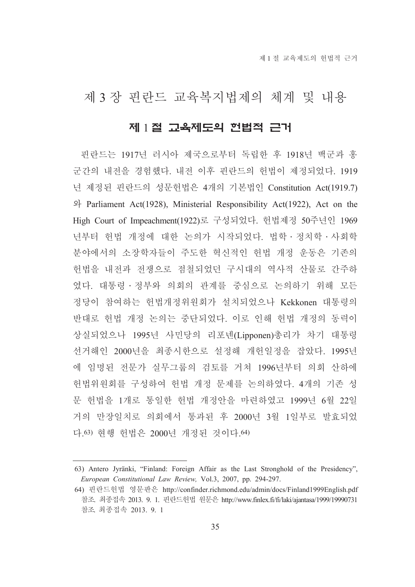### 제 3 장 핀란드 교육복지법제의 체계 및 내용

#### 제 1절 교육제도의 헌법적 근거

핀란드는 1917년 러시아 제국으로부터 독립한 후 1918년 백군과 홍 군간의 내전을 경험했다. 내전 이후 핀란드의 헌법이 제정되었다. 1919 년 제정된 핀란드의 성문헌법은 4개의 기본법인 Constitution Act(1919.7) 와 Parliament Act(1928), Ministerial Responsibility Act(1922), Act on the High Court of Impeachment(1922)로 구성되었다. 헌법제정 50주년인 1969 년부터 헌법 개정에 대한 논의가 시작되었다. 법학 · 정치학 · 사회학 분야에서의 소장학자들이 주도한 혁신적인 헌법 개정 운동은 기존의 헌법을 내전과 전쟁으로 점철되었던 구시대의 역사적 산물로 간주하 였다. 대통령 · 정부와 의회의 관계를 중심으로 논의하기 위해 모든 정당이 참여하는 헌법개정위원회가 설치되었으나 Kekkonen 대통령의 반대로 헌법 개정 논의는 중단되었다. 이로 인해 헌법 개정의 동력이 상실되었으나 1995년 사민당의 리포넨(Lipponen)총리가 차기 대통령 선거해인 2000년을 최종시한으로 설정해 개헌일정을 잡았다. 1995년 에 임명된 전문가 실무그룹의 검토를 거쳐 1996년부터 의회 산하에 헌법위원회를 구성하여 헌법 개정 문제를 논의하였다. 4개의 기존 성 문 헌법을 1개로 통일한 헌법 개정안을 마련하였고 1999년 6월 22일 거의 만장일치로 의회에서 통과된 후 2000년 3월 1일부로 발효되었 다.63) 현행 헌법은 2000년 개정된 것이다.64)

<sup>63)</sup> Antero Jyränki, "Finland: Foreign Affair as the Last Stronghold of the Presidency", European Constitutional Law Review, Vol.3, 2007, pp. 294-297.

<sup>64)</sup> 핀란드헌법 영문판은 http://confinder.richmond.edu/admin/docs/Finland1999English.pdf 참조. 최종접속 2013. 9. 1. 핀란드헌법 원문은 http://www.finlex.fi/fi/laki/ajantasa/1999/19990731 참조 최종접속 2013. 9. 1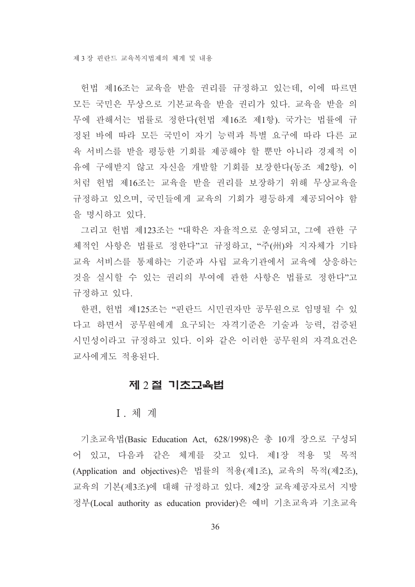헌법 제16조는 교육을 받을 권리를 규정하고 있는데, 이에 따르면 모든 국민은 무상으로 기본교육을 받을 권리가 있다. 교육을 받을 의 무에 관해서는 법률로 정한다(헌법 제16조 제1항). 국가는 법률에 규 정된 바에 따라 모든 국민이 자기 능력과 특별 요구에 따라 다른 교 육 서비스를 받을 평등한 기회를 제공해야 할 뿐만 아니라 경제적 이 유에 구애받지 않고 자신을 개발할 기회를 보장한다(동조 제2항). 이 처럼 헌법 제16조는 교육을 받을 권리를 보장하기 위해 무상교육을 규정하고 있으며, 국민들에게 교육의 기회가 평등하게 제공되어야 함 을 명시하고 있다.

그리고 헌법 제123조는 "대학은 자율적으로 운영되고, 그에 관한 구 체적인 사항은 법률로 정한다"고 규정하고, "주(州)와 지자체가 기타 교육 서비스를 통제하는 기준과 사립 교육기관에서 교육에 상응하는 것을 실시할 수 있는 권리의 부여에 관한 사항은 법률로 정한다"고 규정하고 있다.

한편, 헌법 제125조는 "핀란드 시민권자만 공무원으로 임명될 수 있 다고 하면서 공무원에게 요구되는 자격기준은 기술과 능력, 검증된 시민성이라고 규정하고 있다. 이와 같은 이러한 공무원의 자격요건은 교사에게도 적용되다.

#### <u>제 2 절 기초교육법</u>

#### I. 체 계

기초교육법(Basic Education Act, 628/1998)은 총 10개 장으로 구성되 어 있고, 다음과 같은 체계를 갖고 있다. 제1장 적용 및 목적 (Application and objectives)은 법률의 적용(제1조), 교육의 목적(제2조), 교육의 기본(제3조)에 대해 규정하고 있다. 제2장 교육제공자로서 지방 정부(Local authority as education provider)은 예비 기초교육과 기초교육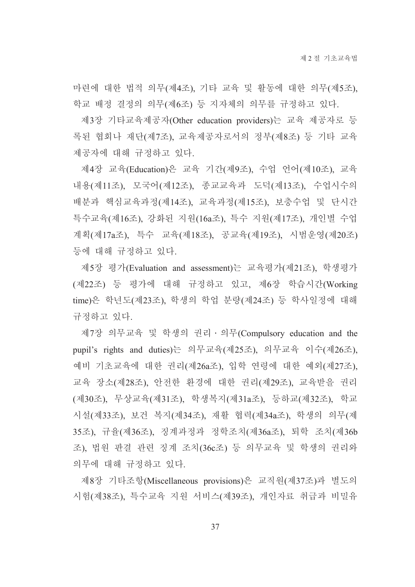마련에 대한 법적 의무(제4조), 기타 교육 및 활동에 대한 의무(제5조), 학교 배정 결정의 의무(제6조) 등 지자체의 의무를 규정하고 있다.

제3장 기타교육제공자(Other education providers)는 교육 제공자로 등 록된 협회나 재단(제7조), 교육제공자로서의 정부(제8조) 등 기타 교육 제공자에 대해 규정하고 있다.

제4장 교육(Education)은 교육 기간(제9조), 수업 언어(제10조), 교육 내용(제11조), 모국어(제12조), 종교교육과 도덕(제13조), 수업시수의 배분과 핵심교육과정(제14조), 교육과정(제15조), 보충수업 및 단시간 특수교육(제16조), 강화된 지원(16a조), 특수 지원(제17조), 개인별 수업 계획(제17a조), 특수 교육(제18조), 공교육(제19조), 시범운영(제20조) 등에 대해 규정하고 있다.

제5장 평가(Evaluation and assessment)는 교육평가(제21조), 학생평가 (제22조) 등 평가에 대해 규정하고 있고, 제6장 학습시간(Working time)은 학년도(제23조), 학생의 학업 분량(제24조) 등 학사일정에 대해 규정하고 있다.

제7장 의무교육 및 학생의 권리 · 의무(Compulsory education and the pupil's rights and duties)는 의무교육(제25조), 의무교육 이수(제26조), 예비 기초교육에 대한 권리(제26a조), 입학 연령에 대한 예외(제27조), 교육 장소(제28조), 안전한 환경에 대한 권리(제29조), 교육받을 권리 (제30조), 무상교육(제31조), 학생복지(제31a조), 등하교(제32조), 학교 시설(제33조), 보건 복지(제34조), 재활 협력(제34a조), 학생의 의무(제 35조), 규율(제36조), 징계과정과 정학조치(제36a조), 퇴학 조치(제36b 조), 법원 판결 관련 징계 조치(36c조) 등 의무교육 및 학생의 권리와 의무에 대해 규정하고 있다.

제8장 기타조항(Miscellaneous provisions)은 교직원(제37조)과 별도의 시험(제38조), 특수교육 지원 서비스(제39조), 개인자료 취급과 비밀유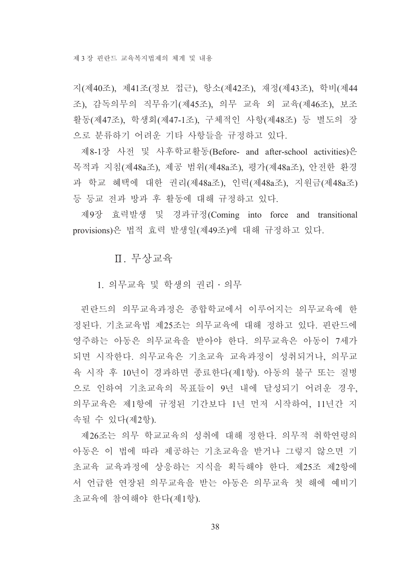지(제40조), 제41조(정보 접근), 항소(제42조), 재정(제43조), 학비(제44 조), 감독의무의 직무유기(제45조), 의무 교육 외 교육(제46조), 보조 활동(제47조), 학생회(제47-1조), 구체적인 사항(제48조) 등 별도의 장 으로 분류하기 어려운 기타 사항들을 규정하고 있다.

제8-1장 사전 및 사후학교활동(Before- and after-school activities)은 목적과 지침(제48a조), 제공 범위(제48a조), 평가(제48a조), 안전한 환경 과 학교 혜택에 대한 권리(제48a조), 인력(제48a조), 지원금(제48a조) 등 등교 전과 방과 후 활동에 대해 규정하고 있다.

제9장 효력발생 및 경과규정(Coming into force and transitional provisions)은 법적 효력 발생일(제49조)에 대해 규정하고 있다.

Ⅱ. 무상교육

1. 의무교육 및 학생의 권리 · 의무

핀란드의 의무교육과정은 종합학교에서 이루어지는 의무교육에 한 정된다. 기초교육법 제25조는 의무교육에 대해 정하고 있다. 핀란드에 영주하는 아동은 의무교육을 받아야 한다. 의무교육은 아동이 7세가 되면 시작한다. 의무교육은 기초교육 교육과정이 성취되거나. 의무교 육 시작 후 10년이 경과하면 종료한다(제1항). 아동의 불구 또는 질병 으로 인하여 기초교육의 목표들이 9년 내에 달성되기 어려운 경우. 의무교육은 제1항에 규정된 기간보다 1년 먼저 시작하여, 11년간 지 속될 수 있다(제2항).

제26조는 의무 학교교육의 성취에 대해 정한다. 의무적 취학여령의 아동은 이 법에 따라 제공하는 기초교육을 받거나 그렇지 않으면 기 초교육 교육과정에 상응하는 지식을 획득해야 한다. 제25조 제2항에 서 언급한 연장된 의무교육을 받는 아동은 의무교육 첫 해에 예비기 초교육에 참여해야 한다(제1항).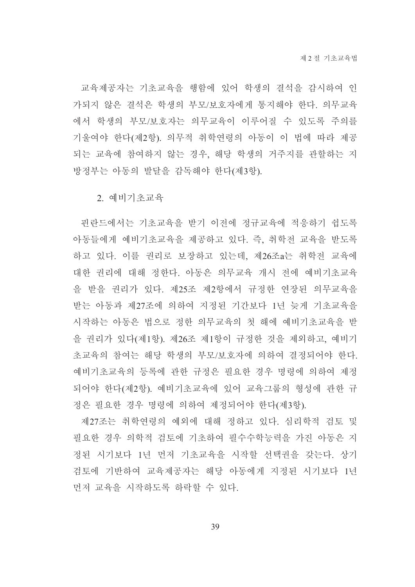교육제공자는 기초교육을 행함에 있어 학생의 결석을 감시하여 인 가되지 않은 결석은 학생의 부모/보호자에게 통지해야 한다. 의무교육 에서 학생의 부모/보호자는 의무교육이 이루어질 수 있도록 주의를 기울여야 한다(제2항). 의무적 취학연령의 아동이 이 법에 따라 제공 되는 교육에 참여하지 않는 경우, 해당 학생의 거주지를 관할하는 지 방정부는 아동의 발달을 감독해야 한다(제3항).

2. 예비기초교육

핀란드에서는 기초교육을 받기 이전에 정규교육에 적응하기 쉽도록 아동들에게 예비기초교육을 제공하고 있다. 즉, 취학전 교육을 받도록 하고 있다. 이를 권리로 보장하고 있는데, 제26조a는 취학전 교육에 대한 권리에 대해 정한다. 아동은 의무교육 개시 전에 예비기초교육 을 받을 권리가 있다. 제25조 제2항에서 규정한 연장된 의무교육을 받는 아동과 제27조에 의하여 지정된 기간보다 1년 늦게 기초교육을 시작하는 아동은 법으로 정한 의무교육의 첫 해에 예비기초교육을 받 을 권리가 있다(제1항). 제26조 제1항이 규정한 것을 제외하고, 예비기 초교육의 참여는 해당 학생의 부모/보호자에 의하여 결정되어야 한다. 예비기초교육의 등록에 관한 규정은 필요한 경우 명령에 의하여 제정 되어야 한다(제2항). 예비기초교육에 있어 교육그룹의 형성에 관한 규 정은 필요한 경우 명령에 의하여 제정되어야 한다(제3항).

제27조는 취학연령의 예외에 대해 정하고 있다. 심리학적 검토 및 필요한 경우 의학적 검토에 기초하여 필수수학능력을 가진 아동은 지 정된 시기보다 1년 먼저 기초교육을 시작할 선택권을 갖는다. 상기 검토에 기반하여 교육제공자는 해당 아동에게 지정된 시기보다 1년 먼저 교육을 시작하도록 하락할 수 있다.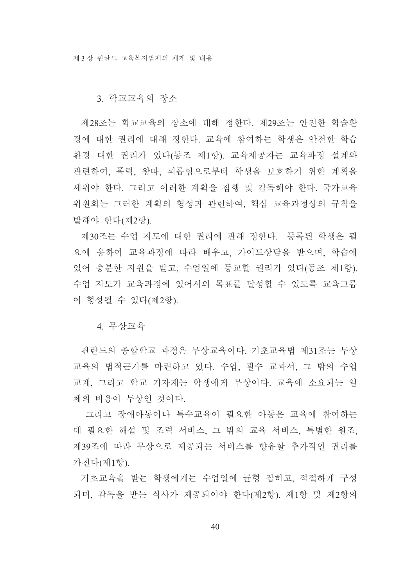#### 3. 학교교육의 장소

제28조는 학교교육의 장소에 대해 정한다. 제29조는 안전한 학습환 경에 대한 권리에 대해 정한다. 교육에 참여하는 학생은 안전한 학습 환경 대한 권리가 있다(동조 제1항). 교육제공자는 교육과정 설계와 관련하여, 폭력, 왕따, 괴롭힘으로부터 학생을 보호하기 위한 계획을 세워야 한다. 그리고 이러한 계획을 집행 및 감독해야 한다. 국가교육 위워회는 그러한 계획의 형성과 관련하여, 핵심 교육과정상의 규칙을 발해야 한다(제2항).

제30조는 수업 지도에 대한 권리에 관해 정한다. 등록된 학생은 필 요에 응하여 교육과정에 따라 배우고, 가이드상담을 받으며, 학습에 있어 충분한 지원을 받고, 수업일에 등교할 권리가 있다(동조 제1항). 수업 지도가 교육과정에 있어서의 목표를 달성할 수 있도록 교육그룹 이 형성될 수 있다(제2항).

#### 4. 무상교육

핀란드의 종합학교 과정은 무상교육이다. 기초교육법 제31조는 무상 교육의 법적근거를 마련하고 있다. 수업, 필수 교과서, 그 밖의 수업 교재, 그리고 학교 기자재는 학생에게 무상이다. 교육에 소요되는 일 체의 비용이 무상인 것이다.

그리고 장애아동이나 특수교육이 필요한 아동은 교육에 참여하는 데 필요한 해설 및 조력 서비스, 그 밖의 교육 서비스, 특별한 워조, 제39조에 따라 무상으로 제공되는 서비스를 향유할 추가적인 권리를 가진다(제1항).

기초교육을 받는 학생에게는 수업일에 균형 잡히고, 적절하게 구성 되며, 감독을 받는 식사가 제공되어야 한다(제2항). 제1항 및 제2항의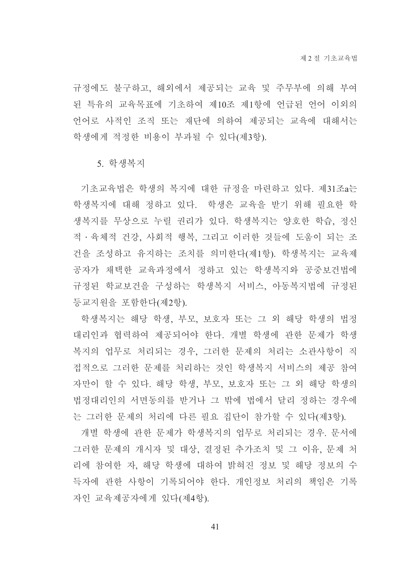규정에도 불구하고, 해외에서 제공되는 교육 및 주무부에 의해 부여 된 특유의 교육목표에 기초하여 제10조 제1항에 언급된 언어 이외의 언어로 사적인 조직 또는 재단에 의하여 제공되는 교육에 대해서는 학생에게 적정한 비용이 부과될 수 있다(제3항).

5. 학생복지

기초교육법은 학생의 복지에 대한 규정을 마련하고 있다. 제31조a는 학생복지에 대해 정하고 있다. 학생은 교육을 받기 위해 필요한 학 생복지를 무상으로 누릴 권리가 있다. 학생복지는 양호한 학습, 정신 적 · 육체적 건강, 사회적 행복, 그리고 이러한 것들에 도움이 되는 조 건을 조성하고 유지하는 조치를 의미한다(제1항). 학생복지는 교육제 공자가 채택한 교육과정에서 정하고 있는 학생복지와 공중보건법에 규정된 학교보건을 구성하는 학생복지 서비스, 아동복지법에 규정된 등교지원을 포함한다(제2항).

학생복지는 해당 학생, 부모, 보호자 또는 그 외 해당 학생의 법정 대리인과 협력하여 제공되어야 한다. 개별 학생에 관한 문제가 학생 복지의 업무로 처리되는 경우, 그러한 문제의 처리는 소관사항이 직 접적으로 그러한 문제를 처리하는 것인 학생복지 서비스의 제공 참여 자만이 할 수 있다. 해당 학생, 부모, 보호자 또는 그 외 해당 학생의 법정대리인의 서면동의를 받거나 그 밖에 법에서 달리 정하는 경우에 는 그러한 문제의 처리에 다른 필요 집단이 참가할 수 있다(제3항).

개별 학생에 관한 문제가 학생복지의 업무로 처리되는 경우. 문서에 그러한 문제의 개시자 및 대상, 결정된 추가조치 및 그 이유, 문제 처 리에 참여한 자, 해당 학생에 대하여 밝혀진 정보 및 해당 정보의 수 득자에 관한 사항이 기록되어야 한다. 개인정보 처리의 책임은 기록 자인 교육제공자에게 있다(제4항).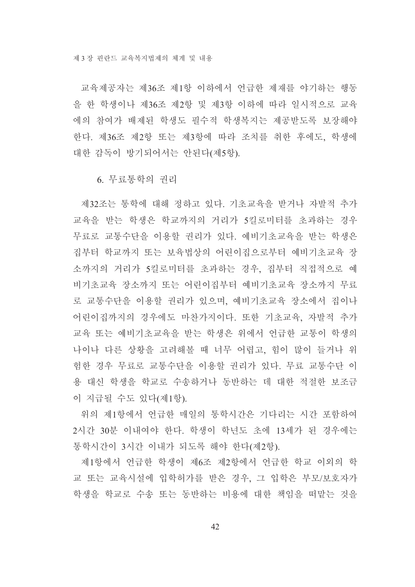교육제공자는 제36조 제1항 이하에서 언급한 제재를 야기하는 행동 을 한 학생이나 제36조 제2항 및 제3항 이하에 따라 일시적으로 교육 에의 참여가 배제된 학생도 필수적 학생복지는 제공받도록 보장해야 한다. 제36조 제2항 또는 제3항에 따라 조치를 취한 후에도, 학생에 대한 감독이 방기되어서는 안된다(제5항).

6. 무료통학의 권리

제32조는 통학에 대해 정하고 있다. 기초교육을 받거나 자발적 추가 교육을 받는 학생은 학교까지의 거리가 5킬로미터를 초과하는 경우 무료로 교통수단을 이용할 권리가 있다. 예비기초교육을 받는 학생은 집부터 학교까지 또는 보육법상의 어린이집으로부터 예비기초교육 장 소까지의 거리가 5킬로미터를 초과하는 경우, 집부터 직접적으로 예 비기초교육 장소까지 또는 어린이집부터 예비기초교육 장소까지 무료 로 교통수단을 이용할 권리가 있으며, 예비기초교육 장소에서 집이나 어린이집까지의 경우에도 마찬가지이다. 또한 기초교육, 자발적 추가 교육 또는 예비기초교육을 받는 학생은 위에서 언급한 교통이 학생의 나이나 다른 상황을 고려해볼 때 너무 어렵고, 힘이 많이 들거나 위 험한 경우 무료로 교통수단을 이용할 권리가 있다. 무료 교통수단 이 용 대신 학생을 학교로 수송하거나 동반하는 데 대한 적절한 보조금 이 지급될 수도 있다(제1항).

위의 제1항에서 언급한 매일의 통학시간은 기다리는 시간 포함하여 2시간 30분 이내여야 한다. 학생이 학년도 초에 13세가 된 경우에는 통학시간이 3시간 이내가 되도록 해야 한다(제2항).

제1항에서 언급한 학생이 제6조 제2항에서 언급한 학교 이외의 학 교 또는 교육시설에 입학허가를 받은 경우, 그 입학은 부모/보호자가 학생을 학교로 수송 또는 동반하는 비용에 대한 책임을 떠맡는 것을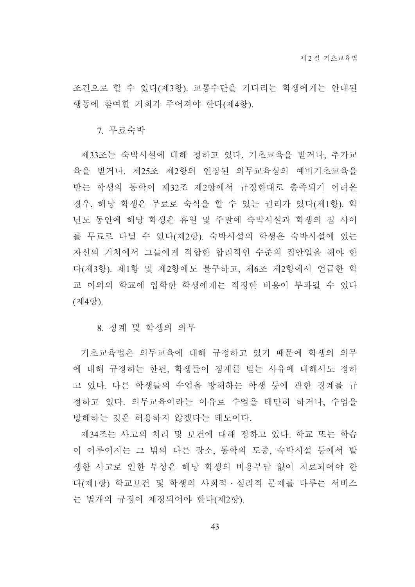조건으로 할 수 있다(제3항). 교통수단을 기다리는 학생에게는 안내된 행동에 참여할 기회가 주어져야 한다(제4항).

7. 무료숙박

제33조는 숙박시설에 대해 정하고 있다. 기초교육을 받거나, 추가교 육을 받거나. 제25조 제2항의 연장된 의무교육상의 예비기초교육을 받는 학생의 통학이 제32조 제2항에서 규정한대로 충족되기 어려운 경우, 해당 학생은 무료로 숙식을 할 수 있는 권리가 있다(제1항). 학 년도 동안에 해당 학생은 휴일 및 주말에 숙박시설과 학생의 집 사이 를 무료로 다닐 수 있다(제2항). 숙박시설의 학생은 숙박시설에 있는 자신의 거처에서 그들에게 적합한 합리적인 수준의 집안일을 해야 한 다(제3항). 제1항 및 제2항에도 불구하고, 제6조 제2항에서 언급한 학 교 이외의 학교에 입학한 학생에게는 적정한 비용이 부과될 수 있다 (제4항).

8. 징계 및 학생의 의무

기초교육법은 의무교육에 대해 규정하고 있기 때문에 학생의 의무 에 대해 규정하는 한편, 학생들이 징계를 받는 사유에 대해서도 정하 고 있다. 다른 학생들의 수업을 방해하는 학생 등에 관한 징계를 규 정하고 있다. 의무교육이라는 이유로 수업을 태만히 하거나, 수업을 방해하는 것은 허용하지 않겠다는 태도이다.

제34조는 사고의 처리 및 보건에 대해 정하고 있다. 학교 또는 학습 이 이루어지는 그 밖의 다른 장소, 통학의 도중, 숙박시설 등에서 발 생한 사고로 인한 부상은 해당 학생의 비용부담 없이 치료되어야 한 다(제1항) 학교보건 및 학생의 사회적 ·심리적 문제를 다루는 서비스 는 별개의 규정이 제정되어야 한다(제2항).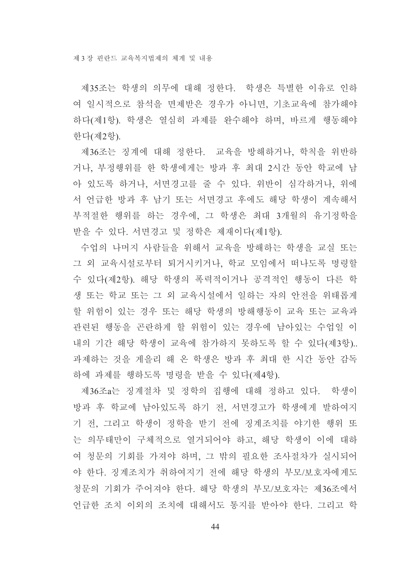제35조는 학생의 의무에 대해 정한다. 학생은 특별한 이유로 인하 여 일시적으로 참석을 면제받은 경우가 아니면, 기초교육에 참가해야 하다(제1항). 학생은 열심히 과제를 완수해야 하며, 바르게 행동해야 한다(제2항).

제36조는 징계에 대해 정한다. 교육을 방해하거나, 학칙을 위반하 거나, 부정행위를 한 학생에게는 방과 후 최대 2시간 동안 학교에 남 아 있도록 하거나, 서면경고를 줄 수 있다. 위반이 심각하거나, 위에 서 언급한 방과 후 남기 또는 서면경고 후에도 해당 학생이 계속해서 부적절한 행위를 하는 경우에, 그 학생은 최대 3개월의 유기정학을 받을 수 있다. 서면경고 및 정학은 제재이다(제1항).

수업의 나머지 사람들을 위해서 교육을 방해하는 학생을 교실 또는 그 외 교육시설로부터 퇴거시키거나, 학교 모임에서 떠나도록 명령할 수 있다(제2항). 해당 학생의 폭력적이거나 공격적인 행동이 다른 학 생 또는 학교 또는 그 외 교육시설에서 일하는 자의 안전을 위태롭게 할 위험이 있는 경우 또는 해당 학생의 방해행동이 교육 또는 교육과 관련된 행동을 곤란하게 할 위험이 있는 경우에 남아있는 수업일 이 내의 기간 해당 학생이 교육에 참가하지 못하도록 할 수 있다(제3항).. 과제하는 것을 게을리 해 온 학생은 방과 후 최대 한 시간 동안 감독 하에 과제를 행하도록 명령을 받을 수 있다(제4항).

제36조a는 징계절차 및 정학의 집행에 대해 정하고 있다. 학생이 방과 후 학교에 남아있도록 하기 전, 서면경고가 학생에게 발하여지 기 전, 그리고 학생이 정학을 받기 전에 징계조치를 야기한 행위 또 는 의무태만이 구체적으로 열거되어야 하고, 해당 학생이 이에 대하 여 청문의 기회를 가져야 하며, 그 밖의 필요한 조사절차가 실시되어 야 한다. 징계조치가 취하여지기 전에 해당 학생의 부모/보호자에게도 청문의 기회가 주어져야 한다. 해당 학생의 부모/보호자는 제36조에서 언급한 조치 이외의 조치에 대해서도 통지를 받아야 한다. 그리고 학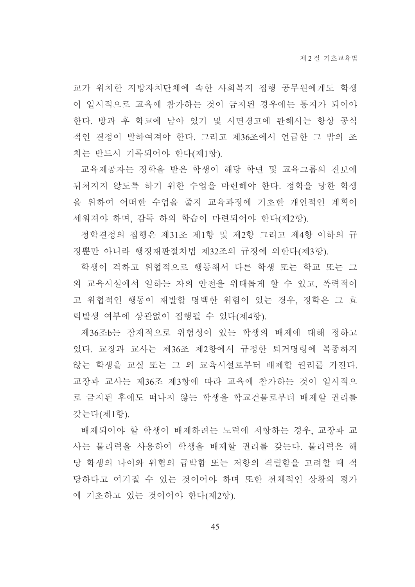교가 위치한 지방자치단체에 속한 사회복지 집행 공무원에게도 학생 이 일시적으로 교육에 참가하는 것이 금지된 경우에는 통지가 되어야 한다. 방과 후 학교에 남아 있기 및 서면경고에 관해서는 항상 공식 적인 결정이 발하여져야 한다. 그리고 제36조에서 언급한 그 밖의 조 치는 반드시 기록되어야 한다(제1항).

교육제공자는 정학을 받은 학생이 해당 학년 및 교육그룹의 진보에 뒤처지지 않도록 하기 위한 수업을 마련해야 한다. 정학을 당한 학생 을 위하여 어떠한 수업을 줄지 교육과정에 기초한 개인적인 계획이 세워져야 하며, 감독 하의 학습이 마련되어야 한다(제2항).

정학결정의 집행은 제31조 제1항 및 제2항 그리고 제4항 이하의 규 정뿐만 아니라 행정재판절차법 제32조의 규정에 의한다(제3항).

학생이 격하고 위협적으로 행동해서 다른 학생 또는 학교 또는 그 외 교육시설에서 일하는 자의 안전을 위태롭게 할 수 있고, 폭력적이 고 위협적인 행동이 재발할 명백한 위험이 있는 경우, 정학은 그 효 력발생 여부에 상관없이 집행될 수 있다(제4항).

제36조b는 잠재적으로 위험성이 있는 학생의 배제에 대해 정하고 있다. 교장과 교사는 제36조 제2항에서 규정한 퇴거명령에 복종하지 않는 학생을 교실 또는 그 외 교육시설로부터 배제할 권리를 가진다. 교장과 교사는 제36조 제3항에 따라 교육에 참가하는 것이 일시적으 로 금지된 후에도 떠나지 않는 학생을 학교거물로부터 배제할 권리를 갖는다(제1항).

배제되어야 할 학생이 배제하려는 노력에 저항하는 경우, 교장과 교 사는 물리력을 사용하여 학생을 배제할 권리를 갖는다. 물리력은 해 당 학생의 나이와 위협의 급박함 또는 저항의 격렬함을 고려할 때 적 당하다고 여겨질 수 있는 것이어야 하며 또한 전체적인 상황의 평가 에 기초하고 있는 것이어야 한다(제2항).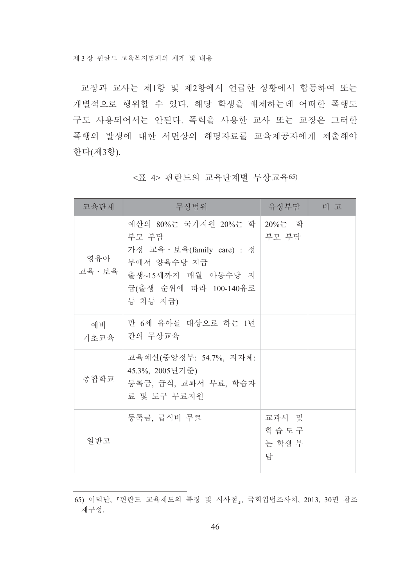교장과 교사는 제1항 및 제2항에서 언급한 상황에서 합동하여 또는 개별적으로 행위할 수 있다. 해당 학생을 배제하는데 어떠한 폭행도 구도 사용되어서는 안된다. 폭력을 사용한 교사 또는 교장은 그러한 폭행의 발생에 대한 서면상의 해명자료를 교육제공자에게 제출해야 한다(제3항).

| 교육단계           | 무상범위                                                                                                                                            | 유상부담 비 고                     |  |
|----------------|-------------------------------------------------------------------------------------------------------------------------------------------------|------------------------------|--|
| 영유아<br>교육 · 보육 | 예산의 80%는 국가지원 20%는 학   20%는 학<br>부모 부담<br>가정 교육 · 보육(family care) : 정<br>부에서 양육수당 지급<br>출생~15세까지 매월 아동수당 지<br>급(출생 순위에 따라 100-140유로<br>등 차등 지급) | 부모 부담                        |  |
| 예비<br>기초교육     | 만 6세 유아를 대상으로 하는 1년<br>간의 무상교육                                                                                                                  |                              |  |
| 종합학교           | 교육예산(중앙정부: 54.7%, 지자체:<br>45.3%, 2005년기준)<br>등록금, 급식, 교과서 무료, 학습자<br>료 및 도구 무료지원                                                                |                              |  |
| 일반고            | 등록금, 급식비 무료                                                                                                                                     | 교과서 및<br>학습도구<br>는 학생 부<br>담 |  |

<표 4> 핀란드의 교육단계별 무상교육65)

<sup>65)</sup> 이덕난, 『핀란드 교육제도의 특징 및 시사점』, 국회입법조사처, 2013, 30면 참조 재구성.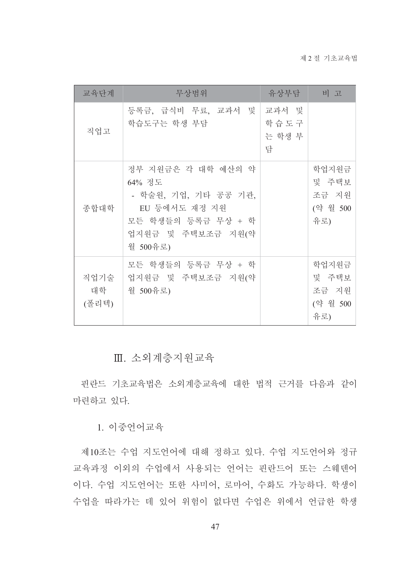| 교육단계                | 무상범위                                                                                                                         | 유상부담 비 고                     |                                            |
|---------------------|------------------------------------------------------------------------------------------------------------------------------|------------------------------|--------------------------------------------|
| 직업고                 | 등록금, 급식비 무료, 교과서 및<br>학습도구는 학생 부담                                                                                            | 교과서 및<br>학습도구<br>는 학생 부<br>담 |                                            |
| 종합대학                | 정부 지원금은 각 대학 예산의 약<br>64% 정도<br>- 학술원, 기업, 기타 공공 기관,<br>EU 등에서도 재정 지원<br>모든 학생들의 등록금 무상 + 학<br>업지원금 및 주택보조금 지원(약<br>월 500유로) |                              | 학업지원금<br>및 주택보<br>조금 지원<br>(약 월 500<br>유로) |
| 직업기술<br>대학<br>(폴리텍) | 모든 학생들의 등록금 무상 + 학<br>업지원금 및 주택보조금 지원(약<br>월 500유로)                                                                          |                              | 학업지원금<br>및 주택보<br>조금 지원<br>(약 월 500<br>유로) |

Ⅲ. 소외계층지원교육

핀란드 기초교육법은 소외계층교육에 대한 법적 근거를 다음과 같이 마련하고 있다.

1. 이중언어교육

제10조는 수업 지도언어에 대해 정하고 있다. 수업 지도언어와 정규 교육과정 이외의 수업에서 사용되는 언어는 핀란드어 또는 스웨덴어 이다. 수업 지도언어는 또한 사미어, 로마어, 수화도 가능하다. 학생이 수업을 따라가는 데 있어 위험이 없다면 수업은 위에서 언급한 학생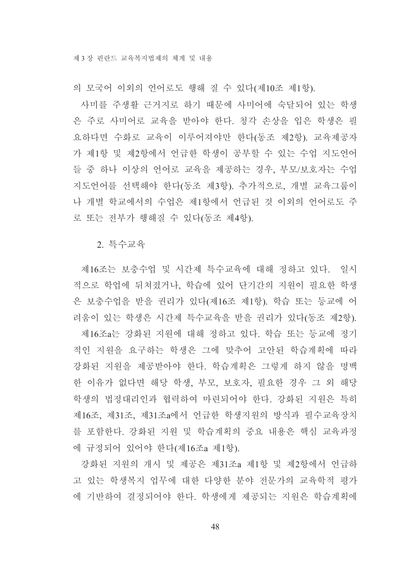의 모국어 이외의 언어로도 행해 질 수 있다(제10조 제1항).

사미를 주생활 근거지로 하기 때문에 사미어에 숙달되어 있는 학생 은 주로 사미어로 교육을 받아야 한다. 청각 손상을 입은 학생은 필 요하다면 수화로 교육이 이루어져야만 한다(동조 제2항). 교육제공자 가 제1항 및 제2항에서 언급한 학생이 공부할 수 있는 수업 지도언어 들 중 하나 이상의 언어로 교육을 제공하는 경우, 부모/보호자는 수업 지도언어를 선택해야 한다(동조 제3항). 추가적으로, 개별 교육그룹이 나 개별 학교에서의 수업은 제1항에서 언급된 것 이외의 언어로도 주 로 또는 전부가 행해질 수 있다(동조 제4항).

2 특수교육

제16조는 보충수업 및 시간제 특수교육에 대해 정하고 있다. 일시 적으로 학업에 뒤쳐졌거나, 학습에 있어 단기간의 지원이 필요한 학생 은 보충수업을 받을 권리가 있다(제16조 제1항). 학습 또는 등교에 어 려움이 있는 학생은 시간제 특수교육을 받을 권리가 있다(동조 제2항). 제16조a는 강화된 지원에 대해 정하고 있다. 학습 또는 등교에 정기 적인 지원을 요구하는 학생은 그에 맞추어 고안된 학습계획에 따라 강화된 지원을 제공받아야 한다. 학습계획은 그렇게 하지 않을 명백 한 이유가 없다면 해당 학생, 부모, 보호자, 필요한 경우 그 외 해당 학생의 법정대리인과 협력하여 마련되어야 한다. 강화된 지원은 특히 제16조, 제31조, 제31조a에서 언급한 학생지원의 방식과 필수교육장치 를 포함한다. 강화된 지원 및 학습계획의 중요 내용은 핵심 교육과정 에 규정되어 있어야 한다(제16조a 제1항).

강화된 지원의 개시 및 제공은 제31조a 제1항 및 제2항에서 언급하 고 있는 학생복지 업무에 대한 다양한 분야 전문가의 교육학적 평가 에 기반하여 결정되어야 한다. 학생에게 제공되는 지원은 학습계획에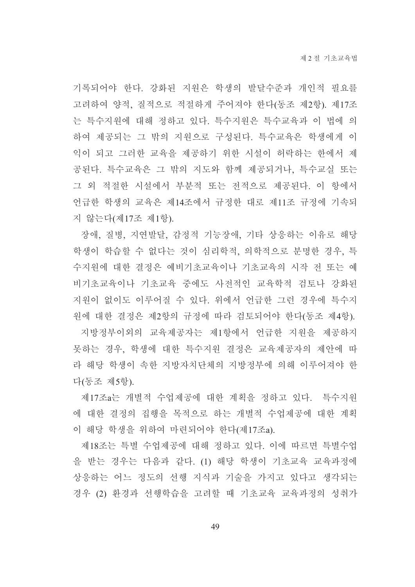기록되어야 한다. 강화된 지원은 학생의 발달수준과 개인적 필요를 고려하여 양적. 질적으로 적절하게 주어져야 한다(동조 제2항). 제17조 는 특수지워에 대해 정하고 있다. 특수지워은 특수교육과 이 법에 의 하여 제공되는 그 밖의 지원으로 구성된다. 특수교육은 학생에게 이 익이 되고 그러한 교육을 제공하기 위한 시설이 허락하는 한에서 제 공된다. 특수교육은 그 밖의 지도와 함께 제공되거나. 특수교실 또는 그 외 적절한 시설에서 부분적 또는 전적으로 제공된다. 이 항에서 언급한 학생의 교육은 제14조에서 규정한 대로 제11조 규정에 기속되 지 않는다(제17조 제1항).

장애, 질병, 지연발달, 감정적 기능장애, 기타 상응하는 이유로 해당 학생이 학습할 수 없다는 것이 심리학적, 의학적으로 분명한 경우, 특 수지원에 대한 결정은 예비기초교육이나 기초교육의 시작 전 또는 예 비기초교육이나 기초교육 중에도 사전적인 교육학적 검토나 강화된 지원이 없이도 이루어질 수 있다. 위에서 언급한 그런 경우에 특수지 워에 대한 결정은 제2항의 규정에 따라 검토되어야 한다(동조 제4항).

지방정부이외의 교육제공자는 제1항에서 언급한 지원을 제공하지 못하는 경우, 학생에 대한 특수지원 결정은 교육제공자의 제안에 따 라 해당 학생이 속한 지방자치단체의 지방정부에 의해 이루어져야 한 다(동조 제5항).

제17조a는 개별적 수업제공에 대한 계획을 정하고 있다. 특수지워 에 대한 결정의 집행을 목적으로 하는 개별적 수업제공에 대한 계획 이 해당 학생을 위하여 마련되어야 한다(제17조a).

제18조는 특별 수업제공에 대해 정하고 있다. 이에 따르면 특별수업 을 받는 경우는 다음과 같다. (1) 해당 학생이 기초교육 교육과정에 상응하는 어느 정도의 선행 지식과 기술을 가지고 있다고 생각되는 경우 (2) 환경과 선행학습을 고려할 때 기초교육 교육과정의 성취가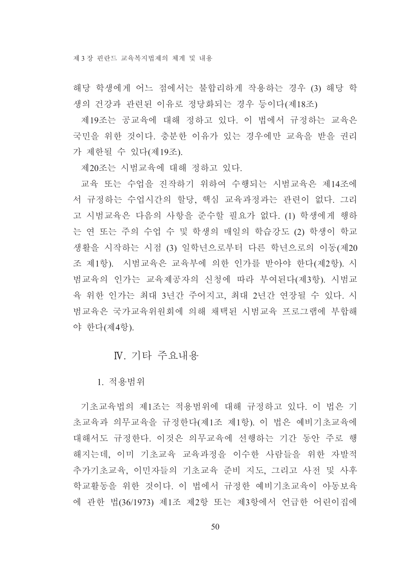제 3 장 핀란드 교육복지법제의 체계 및 내용

해당 학생에게 어느 점에서는 불합리하게 작용하는 경우 (3) 해당 학 생의 건강과 관련된 이유로 정당화되는 경우 등이다(제18조)

제19조는 공교육에 대해 정하고 있다. 이 법에서 규정하는 교육은 국민을 위한 것이다. 충분한 이유가 있는 경우에만 교육을 받을 권리 가 제한될 수 있다(제19조).

제20조는 시범교육에 대해 정하고 있다.

교육 또는 수업을 진작하기 위하여 수행되는 시범교육은 제14조에 서 규정하는 수업시간의 할당, 핵심 교육과정과는 관련이 없다. 그리 고 시범교육은 다음의 사항을 준수할 필요가 없다. (1) 학생에게 행하 는 연 또는 주의 수업 수 및 학생의 매일의 학습강도 (2) 학생이 학교 생활을 시작하는 시점 (3) 일학년으로부터 다른 학년으로의 이동(제20 조 제1항). 시범교육은 교육부에 의한 인가를 받아야 한다(제2항). 시 범교육의 인가는 교육제공자의 신청에 따라 부여된다(제3항). 시범교 육 위한 인가는 최대 3년간 주어지고, 최대 2년간 연장될 수 있다. 시 범교육은 국가교육위워회에 의해 채택된 시범교육 프로그램에 부합해 야 한다(제4항).

# N. 기타 주요내용

1. 적용범위

기초교육법의 제1조는 적용범위에 대해 규정하고 있다. 이 법은 기 초교육과 의무교육을 규정한다(제1조 제1항). 이 법은 예비기초교육에 대해서도 규정한다. 이것은 의무교육에 선행하는 기간 동안 주로 행 해지는데, 이미 기초교육 교육과정을 이수한 사람들을 위한 자발적 추가기초교육, 이민자들의 기초교육 준비 지도, 그리고 사전 및 사후 학교활동을 위한 것이다. 이 법에서 규정한 예비기초교육이 아동보육 에 관한 법(36/1973) 제1조 제2항 또는 제3항에서 언급한 어린이집에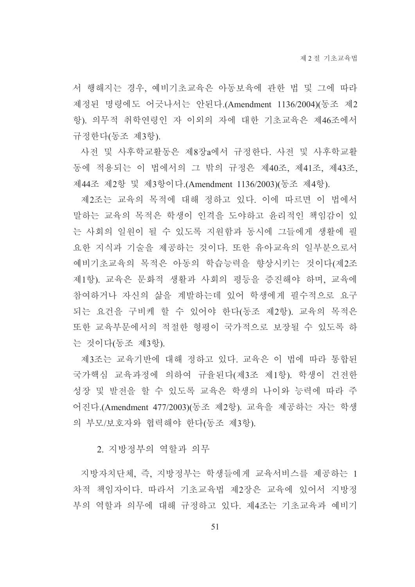서 행해지는 경우, 예비기초교육은 아동보육에 관한 법 및 그에 따라 제정된 명령에도 어긋나서는 안된다.(Amendment 1136/2004)(동조 제2 항). 의무적 취학연령인 자 이외의 자에 대한 기초교육은 제46조에서 규정한다(동조 제3항).

사전 및 사후학교활동은 제8장a에서 규정한다. 사전 및 사후학교활 동에 적용되는 이 법에서의 그 밖의 규정은 제40조, 제41조, 제43조, 제44조 제2항 및 제3항이다.(Amendment 1136/2003)(동조 제4항).

제2조는 교육의 목적에 대해 정하고 있다. 이에 따르면 이 법에서 말하는 교육의 목적은 학생이 인격을 도야하고 윤리적인 책임감이 있 는 사회의 일원이 될 수 있도록 지원함과 동시에 그들에게 생활에 필 요한 지식과 기술을 제공하는 것이다. 또한 유아교육의 일부분으로서 예비기초교육의 목적은 아동의 학습능력을 향상시키는 것이다(제2조 제1항). 교육은 문화적 생활과 사회의 평등을 증진해야 하며, 교육에 참여하거나 자신의 삶을 계발하는데 있어 학생에게 필수적으로 요구 되는 요건을 구비케 할 수 있어야 한다(동조 제2항). 교육의 목적은 또한 교육부문에서의 적절한 형평이 국가적으로 보장될 수 있도록 하 는 것이다(동조 제3항).

제3조는 교육기반에 대해 정하고 있다. 교육은 이 법에 따라 통합된 국가핵심 교육과정에 의하여 규율된다(제3조 제1항). 학생이 건전한 성장 및 발전을 할 수 있도록 교육은 학생의 나이와 능력에 따라 주 어진다.(Amendment 477/2003)(동조 제2항). 교육을 제공하는 자는 학생 의 부모/보호자와 협력해야 한다(동조 제3항).

2. 지방정부의 역할과 의무

지방자치단체, 즉, 지방정부는 학생들에게 교육서비스를 제공하는 1 차적 책임자이다. 따라서 기초교육법 제2장은 교육에 있어서 지방정 부의 역할과 의무에 대해 규정하고 있다. 제4조는 기초교육과 예비기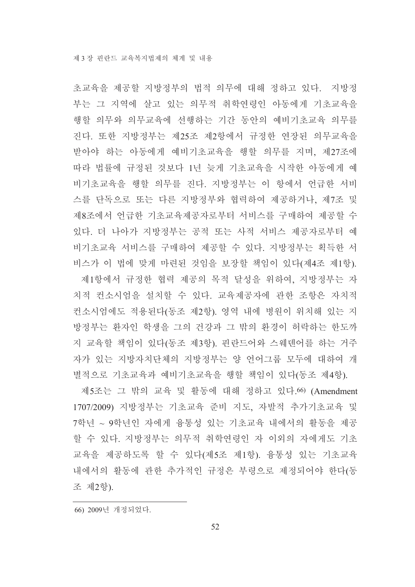초교육을 제공할 지방정부의 법적 의무에 대해 정하고 있다. 지방정 부는 그 지역에 살고 있는 의무적 취학연령인 아동에게 기초교육을 행할 의무와 의무교육에 선행하는 기간 동안의 예비기초교육 의무를 진다. 또한 지방정부는 제25조 제2항에서 규정한 연장된 의무교육을 받아야 하는 아동에게 예비기초교육을 행할 의무를 지며, 제27조에 따라 법률에 규정된 것보다 1년 늦게 기초교육을 시작한 아동에게 예 비기초교육을 행할 의무를 진다. 지방정부는 이 항에서 언급한 서비 스를 단독으로 또는 다른 지방정부와 협력하여 제공하거나, 제7조 및 제8조에서 언급한 기초교육제공자로부터 서비스를 구매하여 제공할 수 있다. 더 나아가 지방정부는 공적 또는 사적 서비스 제공자로부터 예 비기초교육 서비스를 구매하여 제공할 수 있다. 지방정부는 획득한 서 비스가 이 법에 맞게 마련된 것임을 보장할 책임이 있다(제4조 제1항). 제1항에서 규정한 협력 제공의 목적 달성을 위하여, 지방정부는 자 치적 컨소시엄을 설치할 수 있다. 교육제공자에 관한 조항은 자치적 컨소시엄에도 적용된다(동조 제2항). 영역 내에 병원이 위치해 있는 지 방정부는 환자인 학생을 그의 건강과 그 밖의 환경이 허락하는 한도까 지 교육할 책임이 있다(동조 제3항). 핀란드어와 스웨덴어를 하는 거주 자가 있는 지방자치단체의 지방정부는 양 언어그룹 모두에 대하여 개

제5조는 그 밖의 교육 및 활동에 대해 정하고 있다. 66) (Amendment 1707/2009) 지방정부는 기초교육 준비 지도, 자발적 추가기초교육 및 7학년 ~ 9학년인 자에게 융통성 있는 기초교육 내에서의 활동을 제공 할 수 있다. 지방정부는 의무적 취학연령인 자 이외의 자에게도 기초 교육을 제공하도록 할 수 있다(제5조 제1항). 융통성 있는 기초교육 내에서의 활동에 관한 추가적인 규정은 부령으로 제정되어야 한다(동 조 제2항).

별적으로 기초교육과 예비기초교육을 행할 책임이 있다(동조 제4항).

66) 2009년 개정되었다.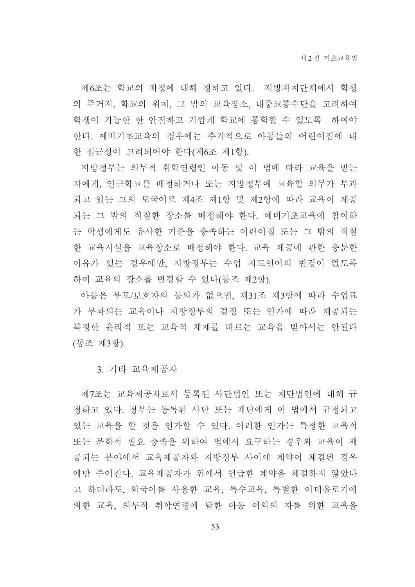제6조는 학교의 배정에 대해 정하고 있다. 지방자치단체에서 학생 의 주거지, 학교의 위치, 그 밖의 교육장소, 대중교통수단을 고려하여 학생이 가능한 한 안전하고 가깝게 학교에 통학할 수 있도록 하여야 한다. 예비기초교육의 경우에는 추가적으로 아동들의 어린이집에 대 한 접근성이 고려되어야 한다(제6조 제1항).

지방정부는 의무적 취학연령인 아동 및 이 법에 따라 교육을 받는 자에게, 인근학교를 배정하거나 또는 지방정부에 교육할 의무가 부과 되고 있는 그의 모국어로 제4조 제1항 및 제2항에 따라 교육이 제공 되는 그 밖의 적절한 장소를 배정해야 한다. 예비기초교육에 참여하 는 학생에게도 유사한 기준을 충족하는 어린이집 또는 그 밖의 적절 한 교육시설을 교육장소로 배정해야 한다. 교육 제공에 관한 충분한 이유가 있는 경우에만, 지방정부는 수업 지도언어의 변경이 없도록 하여 교육의 장소를 변경할 수 있다(동조 제2항).

아동은 부모/보호자의 동의가 없으면, 제31조 제3항에 따라 수업료 가 부과되는 교육이나 지방정부의 결정 또는 인가에 따라 제공되는 특정한 유리적 또는 교육적 체제를 따르는 교육을 받아서는 안된다 (동조 제3항).

3. 기타 교육제공자

제7조는 교육제공자로서 등록된 사단법인 또는 재단법인에 대해 규 정하고 있다. 정부는 등록된 사단 또는 재단에게 이 법에서 규정되고 있는 교육을 할 것을 인가할 수 있다. 이러한 인가는 특정한 교육적 또는 문화적 필요 충족을 위하여 법에서 요구하는 경우와 교육이 제 공되는 분야에서 교육제공자와 지방정부 사이에 계약이 체결된 경우 에만 주어진다. 교육제공자가 위에서 언급한 계약을 체결하지 않았다 고 하더라도, 외국어를 사용한 교육, 특수교육, 특별한 이데올로기에 의한 교육, 의무적 취학여령에 달한 아동 이외의 자를 위한 교육을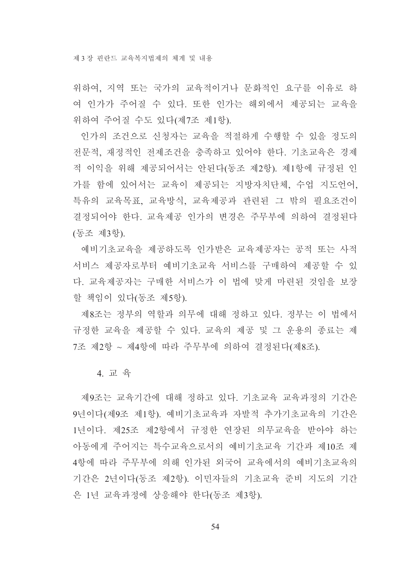위하여, 지역 또는 국가의 교육적이거나 문화적인 요구를 이유로 하 여 인가가 주어질 수 있다. 또한 인가는 해외에서 제공되는 교육을 위하여 주어질 수도 있다(제7조 제1항).

인가의 조건으로 신청자는 교육을 적절하게 수행할 수 있을 정도의 전문적, 재정적인 전제조건을 충족하고 있어야 한다. 기초교육은 경제 적 이익을 위해 제공되어서는 안된다(동조 제2항). 제1항에 규정된 인 가를 함에 있어서는 교육이 제공되는 지방자치단체, 수업 지도언어, 특유의 교육목표, 교육방식, 교육제공과 관련된 그 밖의 필요조건이 결정되어야 한다. 교육제공 인가의 변경은 주무부에 의하여 결정된다 (동조 제3항).

예비기초교육을 제공하도록 인가받은 교육제공자는 공적 또는 사적 서비스 제공자로부터 예비기초교육 서비스를 구매하여 제공할 수 있 다. 교육제공자는 구매한 서비스가 이 법에 맞게 마려된 것임을 보장 할 책임이 있다(동조 제5항).

제8조는 정부의 역할과 의무에 대해 정하고 있다. 정부는 이 법에서 규정한 교육을 제공할 수 있다. 교육의 제공 및 그 운용의 종료는 제 7조 제2항 ~ 제4항에 따라 주무부에 의하여 결정된다(제8조).

4. 교 육

제9조는 교육기간에 대해 정하고 있다. 기초교육 교육과정의 기간은 9년이다(제9조 제1항). 예비기초교육과 자발적 추가기초교육의 기간은 1년이다. 제25조 제2항에서 규정한 연장된 의무교육을 받아야 하는 아동에게 주어지는 특수교육으로서의 예비기초교육 기간과 제10조 제 4항에 따라 주무부에 의해 인가된 외국어 교육에서의 예비기초교육의 기간은 2년이다(동조 제2항). 이민자들의 기초교육 준비 지도의 기간 은 1년 교육과정에 상응해야 한다(동조 제3항).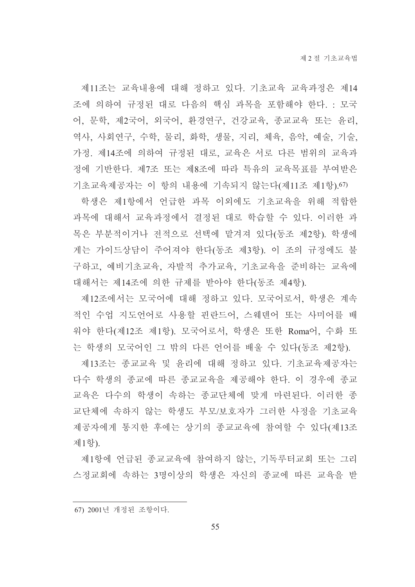제11조는 교육내용에 대해 정하고 있다. 기초교육 교육과정은 제14 조에 의하여 규정된 대로 다음의 핵심 과목을 포함해야 한다. : 모국 어, 문학, 제2국어, 외국어, 환경연구, 건강교육, 종교교육 또는 윤리, 역사, 사회연구, 수학, 물리, 화학, 생물, 지리, 체육, 음악, 예술, 기술, 가정. 제14조에 의하여 규정된 대로, 교육은 서로 다른 범위의 교육과 정에 기반한다. 제7조 또는 제8조에 따라 특유의 교육목표를 부여받은 기초교육제공자는 이 항의 내용에 기속되지 않는다(제11조 제1항).67)

학생은 제1항에서 언급한 과목 이외에도 기초교육을 위해 적합한 과목에 대해서 교육과정에서 결정된 대로 학습할 수 있다. 이러한 과 목은 부분적이거나 전적으로 선택에 맡겨져 있다(동조 제2항). 학생에 게는 가이드상담이 주어져야 한다(동조 제3항). 이 조의 규정에도 불 구하고, 예비기초교육, 자발적 추가교육, 기초교육을 준비하는 교육에 대해서는 제14조에 의한 규제를 받아야 한다(동조 제4항).

제12조에서는 모국어에 대해 정하고 있다. 모국어로서, 학생은 계속 적인 수업 지도언어로 사용할 핀란드어, 스웨덴어 또는 사미어를 배 워야 한다(제12조 제1항). 모국어로서, 학생은 또한 Roma어, 수화 또 는 학생의 모국어인 그 밖의 다른 언어를 배울 수 있다(동조 제2항).

제13조는 종교교육 및 윤리에 대해 정하고 있다. 기초교육제공자는 다수 학생의 종교에 따른 종교교육을 제공해야 한다. 이 경우에 종교 교육은 다수의 학생이 속하는 종교단체에 맞게 마련된다. 이러한 종 교단체에 속하지 않는 학생도 부모/보호자가 그러한 사정을 기초교육 제공자에게 통지한 후에는 상기의 종교교육에 참여할 수 있다(제13조 제1항).

제1항에 언급된 종교교육에 참여하지 않는, 기독루터교회 또는 그리 스정교회에 속하는 3명이상의 학생은 자신의 종교에 따른 교육을 받

<sup>67) 2001</sup>년 개정된 조항이다.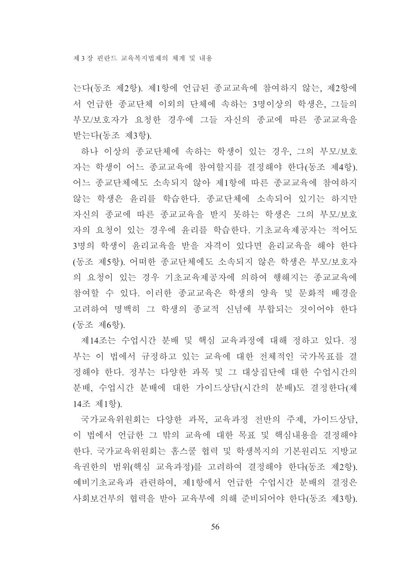는다(동조 제2항). 제1항에 언급된 종교교육에 참여하지 않는, 제2항에 서 언급한 종교단체 이외의 단체에 속하는 3명이상의 학생은, 그들의 부모/보호자가 요청한 경우에 그들 자신의 종교에 따른 종교교육을 받는다(동조 제3항).

하나 이상의 종교단체에 속하는 학생이 있는 경우, 그의 부모/보호 자는 학생이 어느 종교교육에 참여할지를 결정해야 한다(동조 제4항). 어느 종교단체에도 소속되지 않아 제1항에 따른 종교교육에 참여하지 않는 학생은 윤리를 학습한다. 종교단체에 소속되어 있기는 하지만 자신의 종교에 따른 종교교육을 받지 못하는 학생은 그의 부모/보호 자의 요청이 있는 경우에 윤리를 학습한다. 기초교육제공자는 적어도 3명의 학생이 윤리교육을 받을 자격이 있다면 윤리교육을 해야 한다 (동조 제5항). 어떠한 종교단체에도 소속되지 않은 학생은 부모/보호자 의 요청이 있는 경우 기초교육제공자에 의하여 행해지는 종교교육에 참여할 수 있다. 이러한 종교교육은 학생의 양육 및 문화적 배경을 고려하여 명백히 그 학생의 종교적 신념에 부합되는 것이어야 한다 (동조 제6항).

제14조는 수업시간 분배 및 핵심 교육과정에 대해 정하고 있다. 정 부는 이 법에서 규정하고 있는 교육에 대한 전체적인 국가목표를 결 정해야 한다. 정부는 다양한 과목 및 그 대상집단에 대한 수업시간의 분배. 수업시간 분배에 대한 가이드상담(시간의 분배)도 결정한다(제 14조 제1항).

국가교육위원회는 다양한 과목, 교육과정 전반의 주제, 가이드상담, 이 법에서 언급한 그 밖의 교육에 대한 목표 및 핵심내용을 결정해야 한다. 국가교육위원회는 홈스쿨 협력 및 학생복지의 기본원리도 지방교 육권한의 범위(핵심 교육과정)를 고려하여 결정해야 한다(동조 제2항). 예비기초교육과 관련하여, 제1항에서 언급한 수업시간 분배의 결정은 사회보건부의 협력을 받아 교육부에 의해 준비되어야 한다(동조 제3항).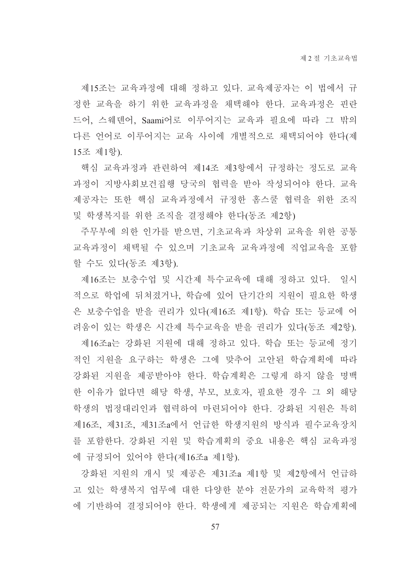제15조는 교육과정에 대해 정하고 있다. 교육제공자는 이 법에서 규 정한 교육을 하기 위한 교육과정을 채택해야 한다. 교육과정은 핀란 드어, 스웨덴어, Saami어로 이루어지는 교육과 필요에 따라 그 밖의 다른 언어로 이루어지는 교육 사이에 개별적으로 채택되어야 한다(제 15조 제1항).

핵심 교육과정과 관련하여 제14조 제3항에서 규정하는 정도로 교육 과정이 지방사회보건집행 당국의 협력을 받아 작성되어야 한다. 교육 제공자는 또한 핵심 교육과정에서 규정한 홈스쿨 협력을 위한 조직 및 학생복지를 위한 조직을 결정해야 한다(동조 제2항)

주무부에 의한 인가를 받으면, 기초교육과 차상위 교육을 위한 공통 교육과정이 채택될 수 있으며 기초교육 교육과정에 직업교육을 포함 할 수도 있다(동조 제3항).

제16조는 보충수업 및 시간제 특수교육에 대해 정하고 있다. 일시 적으로 학업에 뒤쳐졌거나. 학습에 있어 단기간의 지원이 필요한 학생 은 보충수업을 받을 권리가 있다(제16조 제1항). 학습 또는 등교에 어 려움이 있는 학생은 시간제 특수교육을 받을 권리가 있다(동조 제2항).

제16조a는 강화된 지원에 대해 정하고 있다. 학습 또는 등교에 정기 적인 지원을 요구하는 학생은 그에 맞추어 고안된 학습계획에 따라 강화된 지원을 제공받아야 한다. 학습계획은 그렇게 하지 않을 명백 한 이유가 없다면 해당 학생, 부모, 보호자, 필요한 경우 그 외 해당 학생의 법정대리인과 협력하여 마련되어야 한다. 강화된 지원은 특히 제16조, 제31조, 제31조a에서 언급한 학생지원의 방식과 필수교육장치 를 포함한다. 강화된 지원 및 학습계획의 중요 내용은 핵심 교육과정 에 규정되어 있어야 한다(제16조a 제1항).

강화된 지원의 개시 및 제공은 제31조a 제1항 및 제2항에서 언급하 고 있는 학생복지 업무에 대한 다양한 분야 전문가의 교육학적 평가 에 기반하여 결정되어야 한다. 학생에게 제공되는 지원은 학습계획에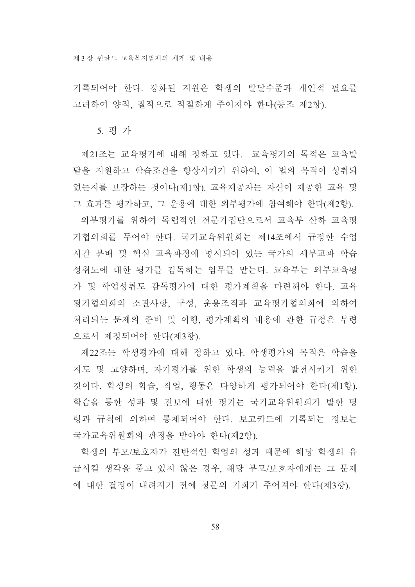기록되어야 한다. 강화된 지원은 학생의 발달수준과 개인적 필요를 고려하여 양적, 질적으로 적절하게 주어져야 한다(동조 제2항).

#### 5. 평 가

제21조는 교육평가에 대해 정하고 있다. 교육평가의 목적은 교육발 달을 지원하고 학습조건을 향상시키기 위하여, 이 법의 목적이 성취되 었는지를 보장하는 것이다(제1항). 교육제공자는 자신이 제공한 교육 및 그 효과를 평가하고, 그 우용에 대한 외부평가에 참여해야 한다(제2항).

외부평가를 위하여 독립적인 전문가집단으로서 교육부 산하 교육평 가협의회를 두어야 한다. 국가교육위원회는 제14조에서 규정한 수업 시간 분배 및 핵심 교육과정에 명시되어 있는 국가의 세부교과 학습 성취도에 대한 평가를 감독하는 임무를 맡는다. 교육부는 외부교육평 가 및 학업성취도 감독평가에 대한 평가계획을 마련해야 한다. 교육 평가협의회의 소관사항, 구성, 운용조직과 교육평가협의회에 의하여 처리되는 문제의 준비 및 이행, 평가계획의 내용에 관한 규정은 부령 으로서 제정되어야 한다(제3항).

제22조는 학생평가에 대해 정하고 있다. 학생평가의 목적은 학습을 지도 및 고양하며, 자기평가를 위한 학생의 능력을 발전시키기 위한 것이다. 학생의 학습, 작업, 행동은 다양하게 평가되어야 한다(제1항). 학습을 통한 성과 및 진보에 대한 평가는 국가교육위원회가 발한 명 령과 규칙에 의하여 통제되어야 한다. 보고카드에 기록되는 정보는 국가교육위원회의 판정을 받아야 한다(제2항).

학생의 부모/보호자가 전반적인 학업의 성과 때문에 해당 학생의 유 급시킬 생각을 품고 있지 않은 경우, 해당 부모/보호자에게는 그 문제 에 대한 결정이 내려지기 전에 청문의 기회가 주어져야 한다(제3항).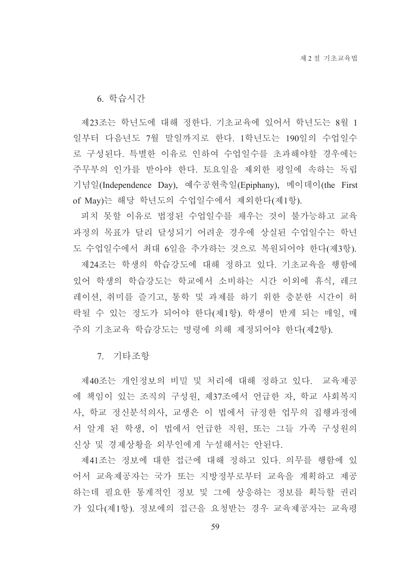6. 학습시간

제23조는 학년도에 대해 정한다. 기초교육에 있어서 학년도는 8월 1 일부터 다음년도 7월 말일까지로 한다. 1학년도는 190일의 수업일수 로 구성된다. 특별한 이유로 인하여 수업일수를 초과해야할 경우에는 주무부의 인가를 받아야 한다. 토요일을 제외한 평일에 속하는 독립 기념일(Independence Day), 예수공현축일(Epiphany), 메이데이(the First of May)는 해당 학년도의 수업일수에서 제외한다(제1항).

피치 못할 이유로 법정된 수업일수를 채우는 것이 불가능하고 교육 과정의 목표가 달리 달성되기 어려운 경우에 상실된 수업일수는 학년 도 수업일수에서 최대 6일을 추가하는 것으로 복원되어야 한다(제3항).

제24조는 학생의 학습강도에 대해 정하고 있다. 기초교육을 행함에 있어 학생의 학습강도는 학교에서 소비하는 시간 이외에 휴식, 레크 레이션, 취미를 즐기고, 통학 및 과제를 하기 위한 충분한 시간이 허 락될 수 있는 정도가 되어야 한다(제1항). 학생이 받게 되는 매일, 매 주의 기초교육 학습강도는 명령에 의해 제정되어야 한다(제2항).

7. 기타조항

제40조는 개인정보의 비밀 및 처리에 대해 정하고 있다. 교육제공 에 책임이 있는 조직의 구성원, 제37조에서 언급한 자, 학교 사회복지 사, 학교 정신분석의사, 교생은 이 법에서 규정한 업무의 집행과정에 서 알게 된 학생, 이 법에서 언급한 직원, 또는 그들 가족 구성원의 신상 및 경제상황을 외부인에게 누설해서는 안된다.

제41조는 정보에 대한 접근에 대해 정하고 있다. 의무를 행함에 있 어서 교육제공자는 국가 또는 지방정부로부터 교육을 계획하고 제공 하는데 필요한 통계적인 정보 및 그에 상응하는 정보를 획득할 권리 가 있다(제1항). 정보에의 접근을 요청받는 경우 교육제공자는 교육평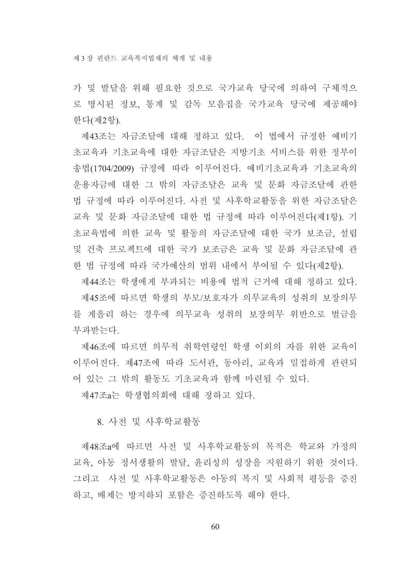가 및 발달을 위해 필요한 것으로 국가교육 당국에 의하여 구체적으 로 명시된 정보, 통계 및 감독 모음집을 국가교육 당국에 제공해야 한다(제2항).

제43조는 자금조달에 대해 정하고 있다. 이 법에서 규정한 예비기 초교육과 기초교육에 대한 자금조달은 지방기초 서비스를 위한 정부이 송법(1704/2009) 규정에 따라 이루어진다. 예비기초교육과 기초교육의 운용자금에 대한 그 밖의 자금조달은 교육 및 문화 자금조달에 관한 법 규정에 따라 이루어진다. 사전 및 사후학교활동을 위한 자금조달은 교육 및 문화 자금조달에 대한 법 규정에 따라 이루어진다(제1항). 기 초교육법에 의한 교육 및 활동의 자금조달에 대한 국가 보조금. 설립 및 거축 프로젝트에 대한 국가 보조금은 교육 및 문화 자금조달에 관 한 법 규정에 따라 국가예산의 범위 내에서 부여될 수 있다(제2항).

제44조는 학생에게 부과되는 비용에 법적 근거에 대해 정하고 있다. 제45조에 따르면 학생의 부모/보호자가 의무교육의 성취의 보장의무 를 게을리 하는 경우에 의무교육 성취의 보장의무 위반으로 벌금을 부과받는다

제46조에 따르면 의무적 취학연령인 학생 이외의 자를 위한 교육이 이루어진다. 제47조에 따라 도서관, 동아리, 교육과 밀접하게 관련되 어 있는 그 밖의 활동도 기초교육과 함께 마련될 수 있다.

제47조a는 학생협의회에 대해 정하고 있다.

8. 사전 및 사후학교활동

제48조a에 따르면 사전 및 사후학교활동의 목적은 학교와 가정의 교육, 아동 정서생활의 발달, 유리성의 성장을 지워하기 위한 것이다. 그리고 사전 및 사후학교활동은 아동의 복지 및 사회적 평등을 증진 하고, 배제는 방지하되 포함은 증진하도록 해야 한다.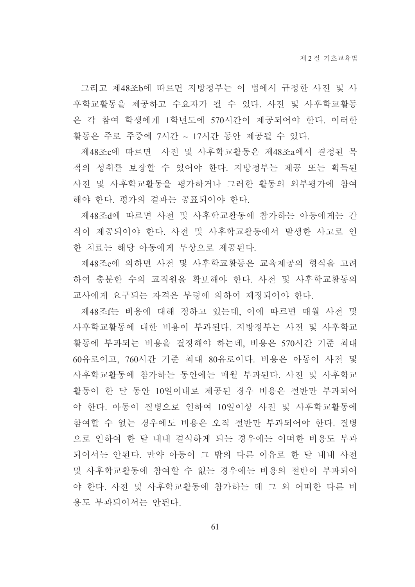그리고 제48조b에 따르면 지방정부는 이 법에서 규정한 사전 및 사 후학교활동을 제공하고 수요자가 될 수 있다. 사전 및 사후학교활동 은 각 참여 학생에게 1학년도에 570시간이 제공되어야 한다. 이러한 활동은 주로 주중에 7시간 ~ 17시간 동안 제공될 수 있다.

제48조c에 따르면 사전 및 사후학교활동은 제48조a에서 결정된 목 적의 성취를 보장할 수 있어야 한다. 지방정부는 제공 또는 획득된 사전 및 사후학교활동을 평가하거나 그러한 활동의 외부평가에 참여 해야 한다. 평가의 결과는 공표되어야 한다.

제48조d에 따르면 사전 및 사후학교활동에 참가하는 아동에게는 간 식이 제공되어야 한다. 사전 및 사후학교활동에서 발생한 사고로 인 한 치료는 해당 아동에게 무상으로 제공된다.

제48조e에 의하면 사전 및 사후학교활동은 교육제공의 형식을 고려 하여 충분한 수의 교직원을 확보해야 한다. 사전 및 사후학교활동의 교사에게 요구되는 자격은 부령에 의하여 제정되어야 한다.

제48조f는 비용에 대해 정하고 있는데, 이에 따르면 매월 사전 및 사후학교활동에 대한 비용이 부과되다. 지방정부는 사전 및 사후학교 활동에 부과되는 비용을 결정해야 하는데, 비용은 570시간 기준 최대 60유로이고, 760시간 기준 최대 80유로이다. 비용은 아동이 사전 및 사후학교활동에 참가하는 동안에는 매월 부과된다. 사전 및 사후학교 활동이 한 달 동안 10일이내로 제공된 경우 비용은 절반만 부과되어 야 한다. 아동이 질병으로 인하여 10일이상 사전 및 사후학교활동에 참여할 수 없는 경우에도 비용은 오직 절반만 부과되어야 한다. 질병 으로 인하여 한 달 내내 결석하게 되는 경우에는 어떠한 비용도 부과 되어서는 안된다. 만약 아동이 그 밖의 다른 이유로 한 달 내내 사전 및 사후학교활동에 참여할 수 없는 경우에는 비용의 절반이 부과되어 야 한다. 사전 및 사후학교활동에 참가하는 데 그 외 어떠한 다른 비 용도 부과되어서는 아되다.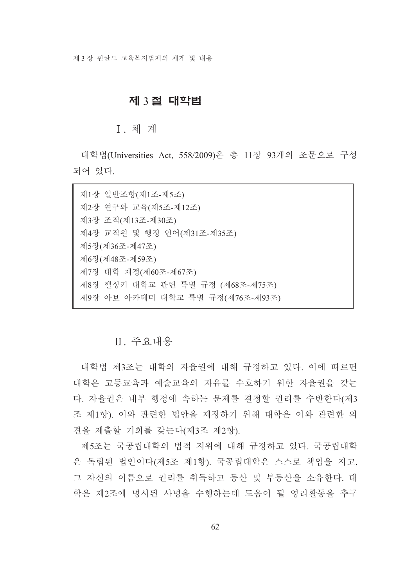## 제 3절 대학법

## **I** 체계

대학법(Universities Act, 558/2009)은 총 11장 93개의 조문으로 구성 되어 있다.

| 제1장 일반조항(제1조-제5조)                |
|----------------------------------|
| 제2장 연구와 교육(제5조-제12조)             |
| 제3장 조직(제13조-제30조)                |
| 제4장 교직원 및 행정 언어(제31조-제35조)       |
| 제5장(제36조-제47조)                   |
| 제6장(제48조-제59조)                   |
| 제7장 대학 재정(제60조-제67조)             |
| 제8장 헬싱키 대학교 관련 특별 규정 (제68조-제75조) |
| 제9장 아보 아카데미 대학교 특별 규정(제76조-제93조) |

# Ⅱ. 주요내용

대학법 제3조는 대학의 자율권에 대해 규정하고 있다. 이에 따르면 대학은 고등교육과 예술교육의 자유를 수호하기 위한 자율권을 갖는 다. 자율권은 내부 행정에 속하는 문제를 결정할 권리를 수반한다(제3 조 제1항). 이와 관련한 법안을 제정하기 위해 대학은 이와 관련한 의 견을 제출할 기회를 갖는다(제3조 제2항).

제5조는 국공립대학의 법적 지위에 대해 규정하고 있다. 국공립대학 은 독립된 법인이다(제5조 제1항). 국공립대학은 스스로 책임을 지고, 그 자신의 이름으로 권리를 취득하고 동산 및 부동산을 소유한다. 대 학은 제2조에 명시된 사명을 수행하는데 도움이 될 영리활동을 추구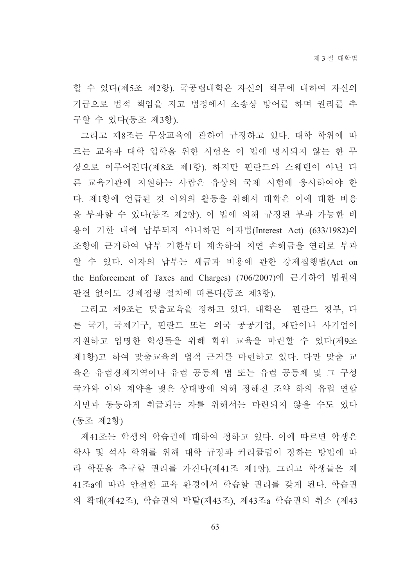할 수 있다(제5조 제2항). 국공립대학은 자신의 책무에 대하여 자신의 기금으로 법적 책임을 지고 법정에서 소송상 방어를 하며 권리를 추 구할 수 있다(동조 제3항).

그리고 제8조는 무상교육에 관하여 규정하고 있다. 대학 학위에 따 르는 교육과 대학 입학을 위한 시험은 이 법에 명시되지 않는 한 무 상으로 이루어진다(제8조 제1항). 하지만 핀란드와 스웨덴이 아닌 다 른 교육기관에 지원하는 사람은 유상의 국제 시험에 응시하여야 한 다. 제1항에 언급된 것 이외의 활동을 위해서 대학은 이에 대한 비용 을 부과할 수 있다(동조 제2항). 이 법에 의해 규정된 부과 가능한 비 용이 기한 내에 납부되지 아니하면 이자법(Interest Act) (633/1982)의 조항에 근거하여 납부 기한부터 계속하여 지연 손해금을 연리로 부과 할 수 있다. 이자의 납부는 세금과 비용에 관한 강제집행법(Act on the Enforcement of Taxes and Charges) (706/2007)에 근거하여 법원의 판결 없이도 강제집행 절차에 따른다(동조 제3항).

그리고 제9조는 맞춤교육을 정하고 있다. 대학은 \_핀란드 정부, 다 른 국가, 국제기구, 핀란드 또는 외국 공공기업, 재단이나 사기업이 지원하고 임명한 학생들을 위해 학위 교육을 마련할 수 있다(제9조 제1항)고 하여 맞춤교육의 법적 근거를 마련하고 있다. 다만 맞춤 교 육은 유럽경제지역이나 유럽 공동체 법 또는 유럽 공동체 및 그 구성 국가와 이와 계약을 맺은 상대방에 의해 정해진 조약 하의 유럽 연합 시민과 동등하게 취급되는 자를 위해서는 마련되지 않을 수도 있다 (동조 제2항)

제41조는 학생의 학습권에 대하여 정하고 있다. 이에 따르면 학생은 학사 및 석사 학위를 위해 대학 규정과 커리큘럼이 정하는 방법에 따 라 학문을 추구할 권리를 가진다(제41조 제1항). 그리고 학생들은 제 41조a에 따라 안전한 교육 환경에서 학습할 권리를 갖게 된다. 학습권 의 확대(제42조), 학습권의 박탈(제43조), 제43조a 학습권의 취소 (제43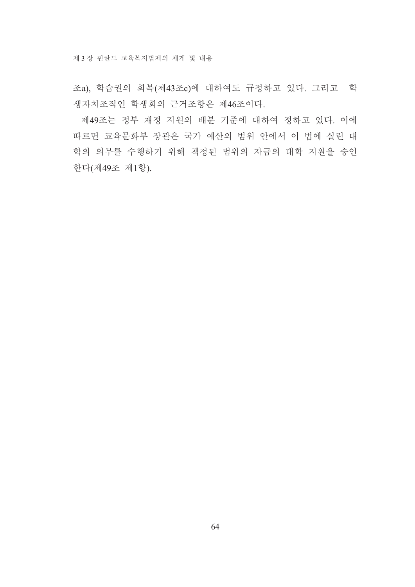제 3장 핀란드 교육복지법제의 체계 및 내용

조a), 학습권의 회복(제43조c)에 대하여도 규정하고 있다. 그리고 학 생자치조직인 학생회의 근거조항은 제46조이다.

제49조는 정부 재정 지원의 배분 기준에 대하여 정하고 있다. 이에 따르면 교육문화부 장관은 국가 예산의 범위 안에서 이 법에 실린 대 학의 의무를 수행하기 위해 책정된 범위의 자금의 대학 지원을 승인 한다(제49조 제1항).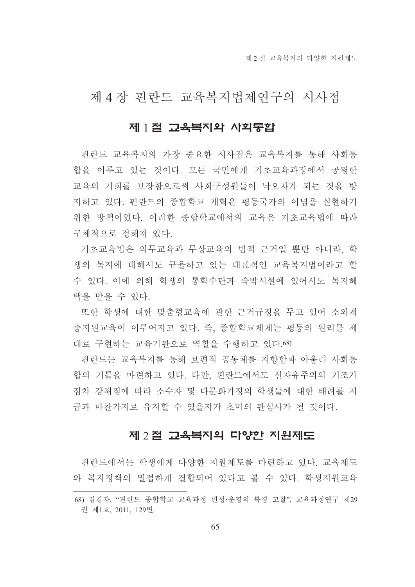# 제 4 장 핀란드 교육복지법제연구의 시사점

### 제 1절 고육복지와 사회통합

핀란드 교육복지의 가장 중요한 시사점은 교육복지를 통해 사회통 합을 이루고 있는 것이다. 모든 국민에게 기초교육과정에서 공평한 교육의 기회를 보장함으로써 사회구성워들이 낙오자가 되는 것을 방 지하고 있다. 핀란드의 종합학교 개혁은 평등국가의 이념을 실현하기 위한 방책이었다. 이러한 종합학교에서의 교육은 기초교육법에 따라 구체적으로 정해져 있다.

기초교육법은 의무교육과 무상교육의 법적 근거일 뿐만 아니라. 학 생의 복지에 대해서도 규율하고 있는 대표적인 교육복지법이라고 할 수 있다. 이에 의해 학생의 통학수단과 숙박시설에 있어서도 복지혜 택을 받을 수 있다.

또한 학생에 대한 맞춤형교육에 관한 근거규정을 두고 있어 소외계 층지워교육이 이루어지고 있다. 즉, 종합학교체제는 평등의 워리를 제 대로 구현하는 교육기관으로 역할을 수행하고 있다.68)

핀란드는 교육복지를 통해 보편적 공동체를 지향함과 아울러 사회통 합의 기틀을 마련하고 있다. 다만, 핀란드에서도 신자유주의의 기조가 점차 강해짐에 따라 소수자 및 다문화가정의 학생들에 대한 배려를 지 금과 마찬가지로 유지할 수 있을지가 초미의 관심사가 될 것이다.

## 제 2절 고육복지의 다양한 지원제도

핀란드에서는 학생에게 다양한 지워제도를 마려하고 있다. 교육제도 와 복지정책의 밀접하게 결합되어 있다고 볼 수 있다. 학생지워교육

<sup>68)</sup> 김경자, "핀란드 종합학교 교육과정 편성·운영의 특징 고찰", 교육과정연구 제29 권 제1호, 2011, 129면.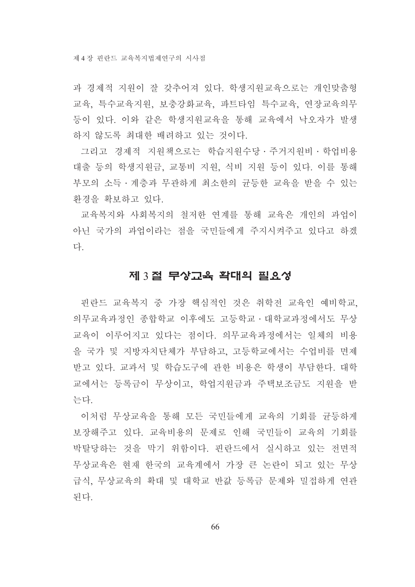과 경제적 지워이 잘 갖추어져 있다. 학생지워교육으로는 개인맞춤형 교육, 특수교육지원, 보충강화교육, 파트타임 특수교육, 연장교육의무 등이 있다. 이와 같은 학생지원교육을 통해 교육에서 낙오자가 발생 하지 않도록 최대한 배려하고 있는 것이다.

그리고 경제적 지원책으로는 학습지원수당 · 주거지원비 · 학업비용 대출 등의 학생지워금, 교통비 지워, 식비 지워 등이 있다. 이를 통해 부모의 소득 · 계층과 무관하게 최소한의 균등한 교육을 받을 수 있는 환경을 확보하고 있다.

교육복지와 사회복지의 철저한 연계를 통해 교육은 개인의 과업이 아닌 국가의 과업이라는 점을 국민들에게 주지시켜주고 있다고 하겠 다.

### 제 3절 무상고육 확대의 필요성

핀란드 교육복지 중 가장 핵심적인 것은 취학전 교육인 예비학교, 의무교육과정인 종합학교 이후에도 고등학교 · 대학교과정에서도 무상 교육이 이루어지고 있다는 점이다. 의무교육과정에서는 일체의 비용 을 국가 및 지방자치단체가 부담하고, 고등학교에서는 수업비를 면제 받고 있다. 교과서 및 학습도구에 관한 비용은 학생이 부담한다. 대학 교에서는 등록금이 무상이고, 학업지원금과 주택보조금도 지원을 받 는다.

이처럼 무상교육을 통해 모든 국민들에게 교육의 기회를 균등하게 보장해주고 있다. 교육비용의 문제로 인해 국민들이 교육의 기회를 박탈당하는 것을 막기 위함이다. 핀란드에서 실시하고 있는 전면적 무상교육은 현재 한국의 교육계에서 가장 큰 논란이 되고 있는 무상 급식. 무상교육의 확대 및 대학교 반값 등록금 문제와 밀접하게 연관 된다.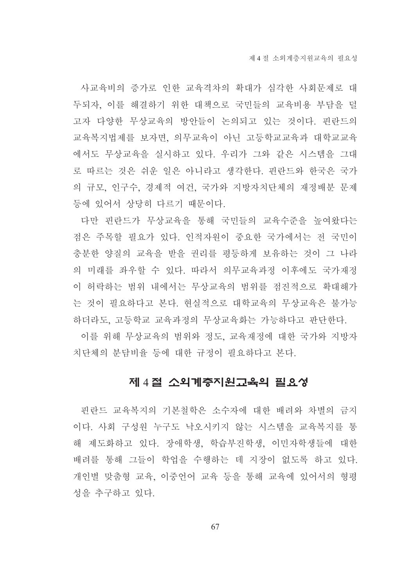사교육비의 증가로 인한 교육격차의 확대가 심각한 사회문제로 대 두되자, 이를 해결하기 위한 대책으로 국민들의 교육비용 부담을 덜 고자 다양한 무상교육의 방안들이 논의되고 있는 것이다. 핀란드의 교육복지법제를 보자면, 의무교육이 아닌 고등학교교육과 대학교교육 에서도 무상교육을 실시하고 있다. 우리가 그와 같은 시스템을 그대 로 따르는 것은 쉬운 일은 아니라고 생각한다. 핀란드와 한국은 국가 의 규모, 인구수, 경제적 여건, 국가와 지방자치단체의 재정배분 문제 등에 있어서 상당히 다르기 때문이다.

다만 핀란드가 무상교육을 통해 국민들의 교육수준을 높여왔다는 점은 주목할 필요가 있다. 인적자원이 중요한 국가에서는 전 국민이 충분한 양질의 교육을 받을 권리를 평등하게 보유하는 것이 그 나라 의 미래를 좌우할 수 있다. 따라서 의무교육과정 이후에도 국가재정 이 허락하는 범위 내에서는 무상교육의 범위를 점진적으로 확대해가 는 것이 필요하다고 본다. 현실적으로 대학교육의 무상교육은 불가능 하더라도. 고등학교 교육과정의 무상교육화는 가능하다고 판단한다.

이를 위해 무상교육의 범위와 정도, 교육재정에 대한 국가와 지방자 치단체의 분담비율 등에 대한 규정이 필요하다고 본다.

### 제 4절 소외계층지원교육의 필요성

핀란드 교육복지의 기본철학은 소수자에 대한 배려와 차별의 금지 이다. 사회 구성원 누구도 낙오시키지 않는 시스템을 교육복지를 통 해 제도화하고 있다. 장애학생, 학습부진학생, 이민자학생들에 대한 배려를 통해 그들이 학업을 수행하는 데 지장이 없도록 하고 있다. 개인별 맞춤형 교육, 이중언어 교육 등을 통해 교육에 있어서의 형평 성을 추구하고 있다.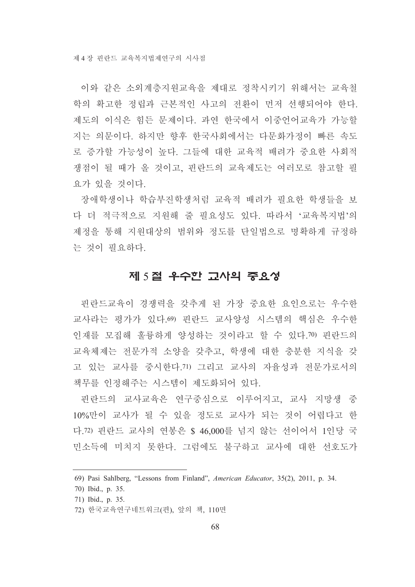이와 같은 소외계층지원교육을 제대로 정착시키기 위해서는 교육철 학의 확고한 정립과 근본적인 사고의 전환이 먼저 선행되어야 한다. 제도의 이식은 힘든 문제이다. 과연 한국에서 이중언어교육가 가능할 지는 의문이다. 하지만 향후 한국사회에서는 다문화가정이 빠른 속도 로 증가할 가능성이 높다. 그들에 대한 교육적 배려가 중요한 사회적 쟁점이 될 때가 올 것이고, 핀란드의 교육제도는 여러모로 참고할 필 요가 있을 것이다.

장애학생이나 학습부진학생처럼 교육적 배려가 필요한 학생들을 보 다 더 적극적으로 지원해 줄 필요성도 있다. 따라서 '교육복지법'의 제정을 통해 지원대상의 범위와 정도를 단일법으로 명확하게 규정하 는 것이 필요하다.

# 제 5절 우수한 교사의 중요성

핀란드교육이 경쟁력을 갖추게 된 가장 중요한 요인으로는 우수한 교사라는 평가가 있다.69) 핀란드 교사양성 시스템의 핵심은 우수한 인재를 모집해 훌륭하게 양성하는 것이라고 할 수 있다.70) 핀란드의 교육체제는 전문가적 소양을 갖추고, 학생에 대한 충분한 지식을 갖 고 있는 교사를 중시한다. 71) 그리고 교사의 자율성과 전문가로서의 책무를 인정해주는 시스템이 제도화되어 있다.

핀란드의 교사교육은 연구중심으로 이루어지고, 교사 지망생 중 10%만이 교사가 될 수 있을 정도로 교사가 되는 것이 어렵다고 한 다.72) 핀란드 교사의 연봉은 \$ 46,000를 넘지 않는 선이어서 1인당 국 민소득에 미치지 못한다. 그럼에도 불구하고 교사에 대한 선호도가

<sup>69)</sup> Pasi Sahlberg, "Lessons from Finland", American Educator, 35(2), 2011, p. 34.

<sup>70)</sup> Ibid., p. 35.

<sup>71)</sup> Ibid., p. 35.

<sup>72)</sup> 한국교육연구네트워크(편), 앞의 책, 110면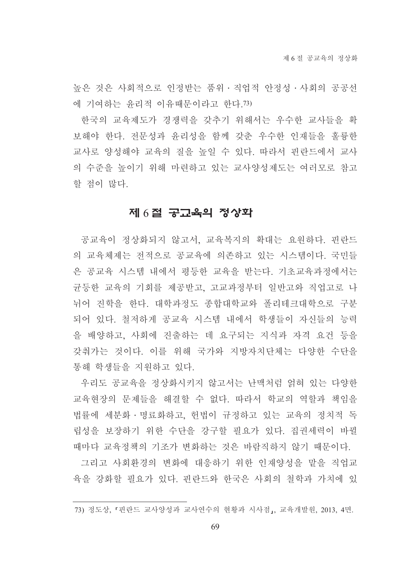높은 것은 사회적으로 인정받는 품위·직업적 안정성·사회의 공공선 에 기여하는 윤리적 이유때문이라고 한다.73)

한국의 교육제도가 경쟁력을 갖추기 위해서는 우수한 교사들을 확 보해야 한다. 전문성과 윤리성을 함께 갖춘 우수한 인재들을 훌륭한 교사로 양성해야 교육의 질을 높일 수 있다. 따라서 핀란드에서 교사 의 수준을 높이기 위해 마련하고 있는 교사양성제도는 여러모로 참고 할 점이 많다.

### 제 6절 공교육의 정상화

공교육이 정상화되지 않고서, 교육복지의 확대는 요원하다. 핀란드 의 교육체제는 전적으로 공교육에 의존하고 있는 시스템이다. 국민들 은 공교육 시스템 내에서 평등한 교육을 받는다. 기초교육과정에서는 균등한 교육의 기회를 제공받고, 고교과정부터 일반고와 직업고로 나 뉘어 진학을 한다. 대학과정도 종합대학교와 폴리테크대학으로 구분 되어 있다. 철저하게 공교육 시스템 내에서 학생들이 자신들의 능력 을 배양하고, 사회에 진출하는 데 요구되는 지식과 자격 요건 등을 갖춰가는 것이다. 이를 위해 국가와 지방자치단체는 다양한 수단을 통해 학생들을 지원하고 있다.

우리도 공교육을 정상화시키지 않고서는 난맥처럼 얽혀 있는 다양한 교육현장의 문제들을 해결할 수 없다. 따라서 학교의 역할과 책임을 법률에 세분화 · 명료화하고, 헌법이 규정하고 있는 교육의 정치적 독 립성을 보장하기 위한 수단을 강구할 필요가 있다. 집권세력이 바뀔 때마다 교육정책의 기조가 변화하는 것은 바람직하지 않기 때문이다.

그리고 사회환경의 변화에 대응하기 위한 인재양성을 맡을 직업교 육을 강화할 필요가 있다. 핀란드와 한국은 사회의 철학과 가치에 있

<sup>73)</sup> 정도상, 『핀란드 교사양성과 교사연수의 현황과 시사점』, 교육개발원, 2013, 4면.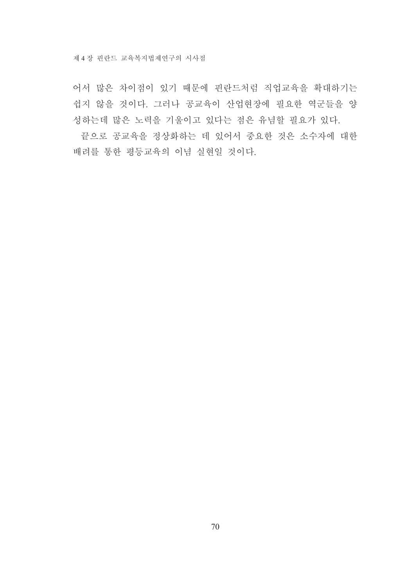어서 많은 차이점이 있기 때문에 핀란드처럼 직업교육을 확대하기는 쉽지 않을 것이다. 그러나 공교육이 산업현장에 필요한 역군들을 양 성하는데 많은 노력을 기울이고 있다는 점은 유념할 필요가 있다.

끝으로 공교육을 정상화하는 데 있어서 중요한 것은 소수자에 대한 배려를 통한 평등교육의 이념 실현일 것이다.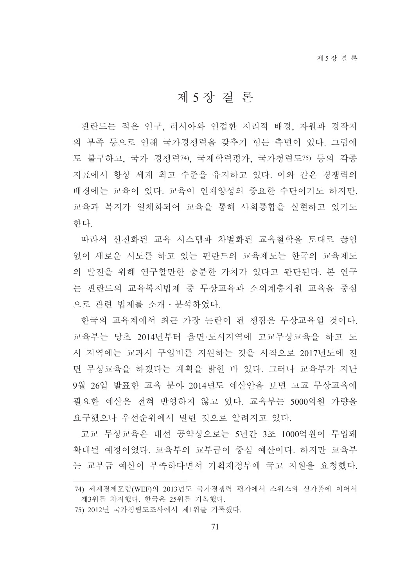# 제 5 장 결 론

핀란드는 적은 인구, 러시아와 인접한 지리적 배경, 자원과 경작지 의 부족 등으로 인해 국가경쟁력을 갖추기 힘든 측면이 있다. 그럼에 도 불구하고, 국가 경쟁력74), 국제학력평가, 국가청렴도75) 등의 각종 지표에서 항상 세계 최고 수준을 유지하고 있다. 이와 같은 경쟁력의 배경에는 교육이 있다. 교육이 인재양성의 중요한 수단이기도 하지만, 교육과 복지가 일체화되어 교육을 통해 사회통합을 실현하고 있기도 한다.

따라서 선진화된 교육 시스템과 차별화된 교육철학을 토대로 끊임 없이 새로운 시도를 하고 있는 핀란드의 교육제도는 한국의 교육제도 의 발전을 위해 연구할만한 충분한 가치가 있다고 판단된다. 본 연구 는 핀란드의 교육복지법제 중 무상교육과 소외계층지워 교육을 중심 으로 관련 법제를 소개·분석하였다.

한국의 교육계에서 최근 가장 논란이 된 쟁점은 무상교육일 것이다. 교육부는 당초 2014년부터 읍면·도서지역에 고교무상교육을 하고 도 시 지역에는 교과서 구입비를 지원하는 것을 시작으로 2017년도에 전 면 무상교육을 하겠다는 계획을 밝힌 바 있다. 그러나 교육부가 지난 9월 26일 발표한 교육 분야 2014년도 예산안을 보면 고교 무상교육에 필요한 예산은 전혀 반영하지 않고 있다. 교육부는 5000억원 가량을 요구했으나 우선순위에서 밀린 것으로 알려지고 있다.

고교 무상교육은 대선 공약상으로는 5년간 3조 1000억원이 투입돼 확대될 예정이었다. 교육부의 교부금이 중심 예산이다. 하지만 교육부 는 교부금 예산이 부족하다면서 기획재정부에 국고 지원을 요청했다.

<sup>74)</sup> 세계경제포럼(WEF)의 2013년도 국가경쟁력 평가에서 스위스와 싱가폴에 이어서 제3위를 차지했다. 한국은 25위를 기록했다.

<sup>75) 2012</sup>년 국가청렴도조사에서 제1위를 기록했다.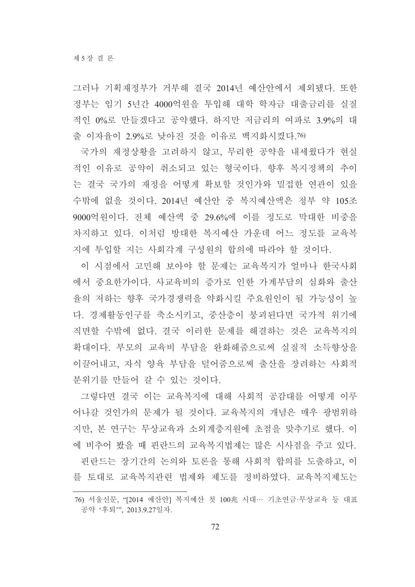그러나 기획재정부가 거부해 결국 2014년 예산안에서 제외됐다. 또한 정부는 임기 5년간 4000억원을 투입해 대학 학자금 대출금리를 실질 적인 0%로 만들겠다고 공약했다. 하지만 저금리의 여파로 3.9%의 대 출 이자율이 2.9%로 낮아진 것을 이유로 백지화시켰다.76)

국가의 재정상황을 고려하지 않고, 무리한 공약을 내세웠다가 현실 적인 이유로 공약이 취소되고 있는 형국이다. 향후 복지정책의 추이 는 결국 국가의 재정을 어떻게 확보할 것인가와 밀접한 연관이 있을 수밖에 없을 것이다. 2014년 예산안 중 복지예산액은 정부 약 105조 9000억원이다. 전체 예산액 중 29.6%에 이를 정도로 막대한 비중을 차지하고 있다. 이처럼 방대한 복지예산 가운데 어느 정도를 교육복 지에 투입할 지는 사회각계 구성원의 합의에 따라야 할 것이다.

이 시점에서 고민해 보아야 할 문제는 교육복지가 얼마나 한국사회 에서 중요한가이다. 사교육비의 증가로 인한 가계부담의 심화와 출산 율의 저하는 향후 국가경쟁력을 약화시킬 주요원인이 될 가능성이 높 다. 경제활동인구를 축소시키고, 중산층이 붕괴된다면 국가적 위기에 직면할 수밖에 없다. 결국 이러한 문제를 해결하는 것은 교육복지의 확대이다. 부모의 교육비 부담을 완화해줌으로써 실질적 소득향상을 이끌어내고, 자식 양육 부담을 덜어줌으로써 출산을 장려하는 사회적 분위기를 만들어 갈 수 있는 것이다.

그렇다면 결국 이는 교육복지에 대해 사회적 공감대를 어떻게 이루 어나갈 것인가의 문제가 될 것이다. 교육복지의 개념은 매우 광범위하 지만, 본 연구는 무상교육과 소외계층지원에 초점을 맞추기로 했다. 이 에 비추어 봤을 때 핀란드의 교육복지법제는 많은 시사점을 주고 있다.

핀란드는 장기간의 논의와 토론을 통해 사회적 합의를 도출하고, 이 를 토대로 교육복지관련 법제와 제도를 정비하였다. 교육복지제도는

<sup>76)</sup> 서울신문, "[2014 예산안] 복지예산 첫 100兆 시대… 기초연금·무상교육 등 대표 공약 '후퇴'", 2013.9.27일자.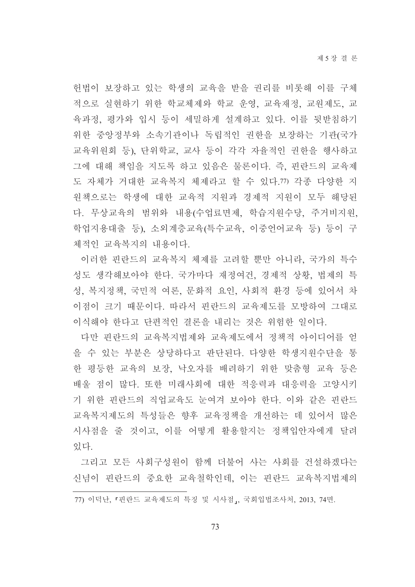헌법이 보장하고 있는 학생의 교육을 받을 권리를 비롯해 이를 구체 적으로 실현하기 위한 학교체제와 학교 운영, 교육재정, 교원제도, 교 육과정, 평가와 입시 등이 세밀하게 설계하고 있다. 이를 뒷받침하기 위한 중앙정부와 소속기관이나 독립적인 권한을 보장하는 기관(국가 교육위원회 등), 단위학교, 교사 등이 각각 자율적인 권한을 행사하고 그에 대해 책임을 지도록 하고 있음은 물론이다. 즉, 핀란드의 교육제 도 자체가 거대한 교육복지 체제라고 할 수 있다.77) 각종 다양한 지 원책으로는 학생에 대한 교육적 지원과 경제적 지원이 모두 해당된 다. 무상교육의 범위와 내용(수업료면제, 학습지원수당, 주거비지원, 학업지용대출 등), 소외계층교육(특수교육, 이중언어교육 등) 등이 구 체적인 교육복지의 내용이다.

이러한 핀란드의 교육복지 체제를 고려할 뿐만 아니라. 국가의 특수 성도 생각해보아야 한다. 국가마다 재정여건, 경제적 상황, 법제의 특 성, 복지정책, 국민적 여론, 문화적 요인, 사회적 환경 등에 있어서 차 이점이 크기 때문이다. 따라서 핀란드의 교육제도를 모방하여 그대로 이식해야 하다고 다편적인 결론을 내리는 것은 위험한 일이다.

다만 핀란드의 교육복지법제와 교육제도에서 정책적 아이디어를 얻 을 수 있는 부분은 상당하다고 판단된다. 다양한 학생지원수단을 통 한 평등한 교육의 보장, 낙오자를 배려하기 위한 맞춤형 교육 등은 배울 점이 많다. 또한 미래사회에 대한 적응력과 대응력을 고양시키 기 위한 핀란드의 직업교육도 눈여겨 보아야 한다. 이와 같은 핀란드 교육복지제도의 특성들은 향후 교육정책을 개선하는 데 있어서 많은 시사점을 줄 것이고, 이를 어떻게 활용할지는 정책입안자에게 달려 있다.

그리고 모든 사회구성원이 함께 더불어 사는 사회를 건설하겠다는 신념이 핀란드의 중요한 교육철학인데, 이는 핀란드 교육복지법제의

77) 이덕난, 『핀란드 교육제도의 특징 및 시사점』, 국회입법조사처, 2013, 74면.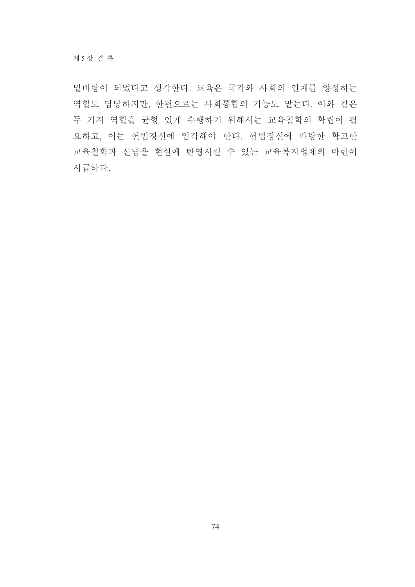밑바탕이 되었다고 생각한다. 교육은 국가와 사회의 인재를 양성하는 역할도 담당하지만, 한편으로는 사회통합의 기능도 맡는다. 이와 같은 두 가지 역할을 균형 있게 수행하기 위해서는 교육철학의 확립이 필 요하고, 이는 헌법정신에 입각해야 한다. 헌법정신에 바탕한 확고한 교육철학과 신념을 현실에 반영시킬 수 있는 교육복지법제의 마련이 시급하다.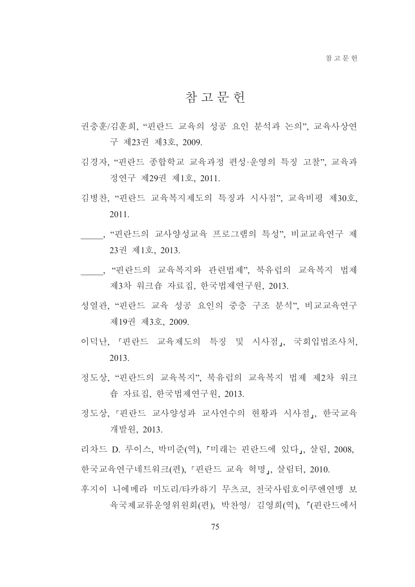# 참 고 무 헌

- 권충훈/김훈희 "핀란드 교육의 성공 요인 부석과 논의" 교육사상여 구 제23권 제3호 2009
- 김경자, "핀란드 종합학교 교육과정 편성·운영의 특징 고찰", 교육과 정연구 제29권 제1호, 2011.
- 김병찬, "핀란드 교육복지제도의 특징과 시사점", 교육비평 제30호, 2011.
- , "핀란드의 교사양성교육 프로그램의 특성", 비교교육연구 제 23권 제1호. 2013.
- , "핀란드의 교육복지와 관련법제", 북유럽의 교육복지 법제 제3차 워크숍 자료집, 한국법제연구원, 2013.
- 성열관. "핀란드 교육 성공 요인의 중층 구조 분석". 비교교육여구 제19권 제3호, 2009.
- 이덕난, 「핀란드 교육제도의 특징 및 시사점」, 국회입법조사처, 2013
- 정도상. "핀란드의 교육복지". 북유럽의 교육복지 법제 제2차 워크 숍 자료집, 한국법제연구원, 2013.
- 정도상 「핀란드 교사양성과 교사연수의 현황과 시사점」 한국교육 개발원, 2013.

리차드 D. 루이스, 박미준(역), 「미래는 핀란드에 있다」, 살림, 2008, 한국교육연구네트워크(편), 「핀란드 교육 혁명」, 살림터, 2010.

후지이 니에메라 미도리/타카하기 무츠코. 전국사립호이쿠엔연맹 보 육국제교류운영위원회(편), 박찬영/ 김영희(역), 『(핀란드에서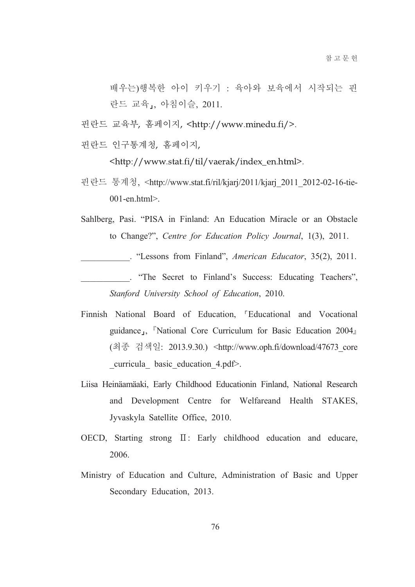배우는)행복한 아이 키우기 : 육아와 보육에서 시작되는 핀 란드 교육,, 아침이슬, 2011.

핀란드 교육부, 홈페이지, <http://www.minedu.fi/>.

핀란드 인구통계청, 홈페이지.

<http://www.stat.fi/til/vaerak/index\_en.html>.

핀란드 통계청, <http://www.stat.fi/ril/kjarj/2011/kjarj 2011 2012-02-16-tie- $001$ -en.html>.

Sahlberg, Pasi. "PISA in Finland: An Education Miracle or an Obstacle to Change?", Centre for Education Policy Journal, 1(3), 2011.

. "Lessons from Finland", American Educator, 35(2), 2011.

. "The Secret to Finland's Success: Educating Teachers", Stanford University School of Education, 2010.

- Finnish National Board of Education, "Educational and Vocational guidance<sub>J</sub>, <sup>"</sup>National Core Curriculum for Basic Education 2004<sub>J</sub> (최종 검색일: 2013.9.30.) <http://www.oph.fi/download/47673 core \_curricula\_ basic\_education\_4.pdf>.
- Liisa Heinäamäaki, Early Childhood Educationin Finland, National Research and Development Centre for Welfareand Health STAKES, Jyvaskyla Satellite Office, 2010.
- OECD, Starting strong II: Early childhood education and educare, 2006.
- Ministry of Education and Culture, Administration of Basic and Upper Secondary Education, 2013.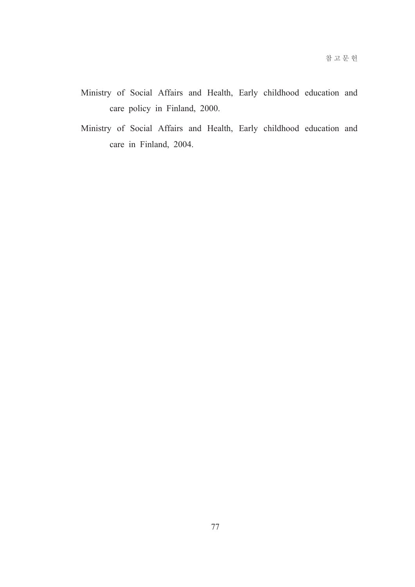- Ministry of Social Affairs and Health, Early childhood education and care policy in Finland, 2000.
- Ministry of Social Affairs and Health, Early childhood education and care in Finland, 2004.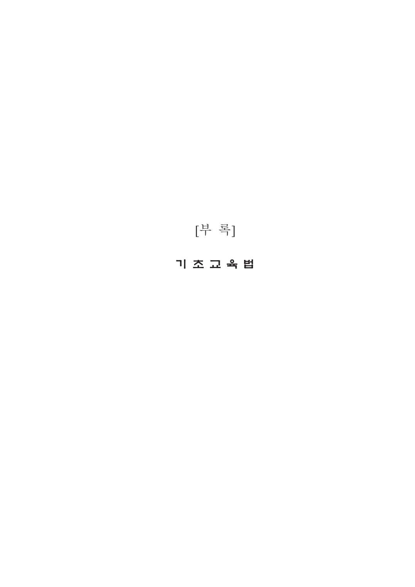# 기 조 교 육 법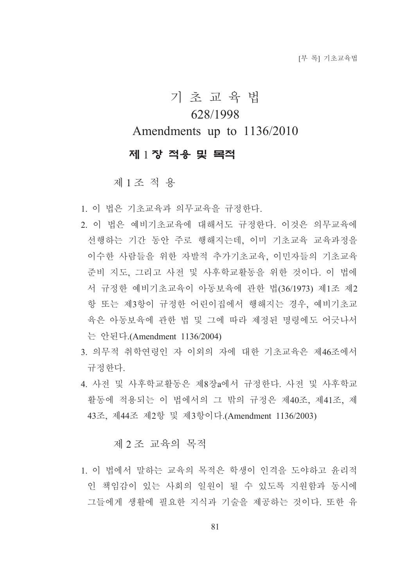# 기 초 교 육 법 628/1998 Amendments up to 1136/2010

## 제 1 장 적용 및 목적

제1조 적용

- 1. 이 법은 기초교육과 의무교육을 규정한다.
- 2. 이 법은 예비기초교육에 대해서도 규정한다. 이것은 의무교육에 선행하는 기간 동안 주로 행해지는데 이미 기초교육 교육과정을 이수한 사람들을 위한 자발적 추가기초교육, 이민자들의 기초교육 준비 지도, 그리고 사전 및 사후학교활동을 위한 것이다. 이 법에 서 규정한 예비기초교육이 아동보육에 관한 법(36/1973) 제1조 제2 항 또는 제3항이 규정한 어린이집에서 행해지는 경우. 예비기초교 육은 아동보육에 관한 법 및 그에 따라 제정된 명령에도 어긋나서 는 안된다.(Amendment 1136/2004)
- 3. 의무적 취학연령인 자 이외의 자에 대한 기초교육은 제46조에서 규정하다
- 4. 사전 및 사후학교활동은 제8장a에서 규정한다. 사전 및 사후학교 활동에 적용되는 이 법에서의 그 밖의 규정은 제40조, 제41조, 제 43조, 제44조 제2항 및 제3항이다.(Amendment 1136/2003)

## 제 2조 교육의 목적

1. 이 법에서 말하는 교육의 목적은 학생이 인격을 도야하고 유리적 인 책임감이 있는 사회의 일워이 될 수 있도록 지워함과 동시에 그들에게 생활에 필요한 지식과 기술을 제공하는 것이다. 또한 유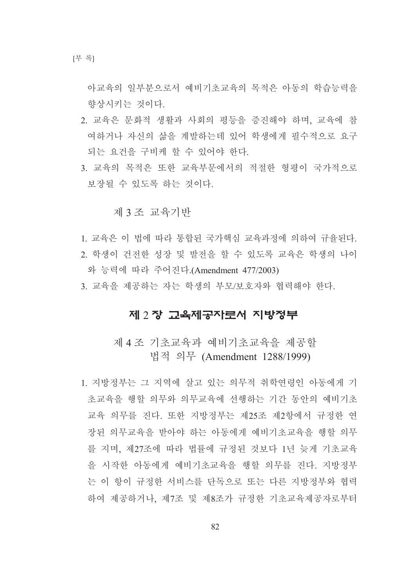아교육의 일부분으로서 예비기초교육의 목적은 아동의 학습능력을 향상시키는 것이다.

- 2. 교육은 문화적 생활과 사회의 평등을 증진해야 하며, 교육에 참 여하거나 자신의 삶을 계발하는데 있어 학생에게 필수적으로 요구 되는 요건을 구비케 할 수 있어야 한다.
- 3. 교육의 목적은 또한 교육부문에서의 적절한 형평이 국가적으로 보장될 수 있도록 하는 것이다.

#### 제 3 조 교육기반

- 1. 교육은 이 법에 따라 통합된 국가핵심 교육과정에 의하여 규율된다.
- 2. 학생이 건전한 성장 및 발전을 할 수 있도록 교육은 학생의 나이 와 능력에 따라 주어진다.(Amendment 477/2003)
- 3. 교육을 제공하는 자는 학생의 부모/보호자와 협력해야 한다.

#### 제 2 장 교육제공자로서 지방정부

제 4 조 기초교육과 예비기초교육을 제공할 법적 의무 (Amendment 1288/1999)

1. 지방정부는 그 지역에 살고 있는 의무적 취학여령인 아동에게 기 초교육을 행할 의무와 의무교육에 선행하는 기간 동안의 예비기초 교육 의무를 진다. 또한 지방정부는 제25조 제2항에서 규정한 여 장된 의무교육을 받아야 하는 아동에게 예비기초교육을 행할 의무 를 지며, 제27조에 따라 법률에 규정된 것보다 1년 늦게 기초교육 을 시작한 아동에게 예비기초교육을 행할 의무를 진다. 지방정부 는 이 항이 규정한 서비스를 단독으로 또는 다른 지방정부와 협력 하여 제공하거나, 제7조 및 제8조가 규정한 기초교육제공자로부터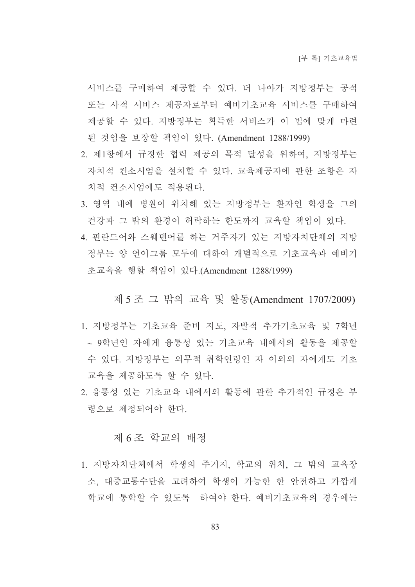서비스를 구매하여 제공할 수 있다. 더 나아가 지방정부는 공적 또는 사적 서비스 제공자로부터 예비기초교육 서비스를 구매하여 제공할 수 있다. 지방정부는 획득한 서비스가 이 법에 맞게 마련 된 것임을 보장할 책임이 있다. (Amendment 1288/1999)

- 2. 제1항에서 규정한 협력 제공의 목적 달성을 위하여, 지방정부는 자치적 컨소시엄을 설치할 수 있다. 교육제공자에 관한 조항은 자 치적 컨소시엄에도 적용된다.
- 3. 영역 내에 병원이 위치해 있는 지방정부는 환자인 학생을 그의 건강과 그 밖의 화경이 허락하는 한도까지 교육할 책임이 있다.
- 4. 핀란드어와 스웨덴어를 하는 거주자가 있는 지방자치단체의 지방 정부는 양 언어그룹 모두에 대하여 개별적으로 기초교육과 예비기 초교육을 행할 책임이 있다.(Amendment 1288/1999)

#### 제 5 조 그 밖의 교육 및 활동(Amendment 1707/2009)

- 1. 지방정부는 기초교육 주비 지도, 자발적 추가기초교육 및 7학년 ~ 9학년인 자에게 융통성 있는 기초교육 내에서의 활동을 제공할 수 있다. 지방정부는 의무적 취학연령인 자 이외의 자에게도 기초 교육을 제공하도록 할 수 있다.
- 2. 융통성 있는 기초교육 내에서의 활동에 관한 추가적인 규정은 부 령으로 제정되어야 한다.

#### 제 6조 학교의 배정

1. 지방자치단체에서 학생의 주거지. 학교의 위치. 그 밖의 교육장 소, 대중교통수단을 고려하여 학생이 가능한 한 안전하고 가깝게 학교에 통학할 수 있도록 하여야 한다. 예비기초교육의 경우에는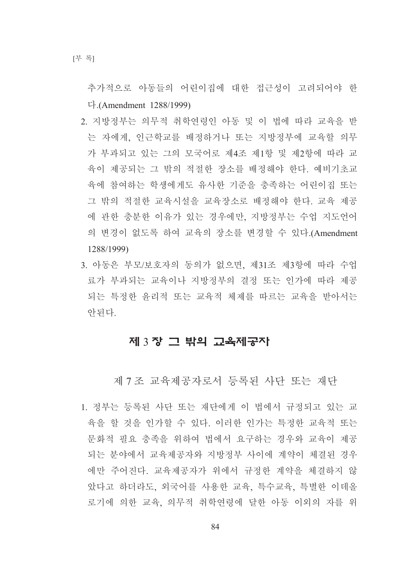추가적으로 아동들의 어린이집에 대한 접근성이 고려되어야 한 다. (Amendment  $1288/1999$ )

- 2. 지방정부는 의무적 취학여령인 아동 및 이 법에 따라 교육을 받 는 자에게, 인근학교를 배정하거나 또는 지방정부에 교육할 의무 가 부과되고 있는 그의 모국어로 제4조 제1항 및 제2항에 따라 교 육이 제공되는 그 밖의 적절한 장소를 배정해야 한다. 예비기초교 육에 참여하는 학생에게도 유사한 기준을 충족하는 어린이집 또는 그 밖의 적절한 교육시설을 교육장소로 배정해야 한다. 교육 제공 에 관한 충분한 이유가 있는 경우에만, 지방정부는 수업 지도어어 의 변경이 없도록 하여 교육의 장소를 변경할 수 있다.(Amendment 1288/1999)
- 3. 아동은 부모/보호자의 동의가 없으면, 제31조 제3항에 따라 수업 료가 부과되는 교육이나 지방정부의 결정 또는 인가에 따라 제공 되는 특정한 유리적 또는 교육적 체제를 따르는 교육을 받아서는 아되다

## 제 3장 그 밖의 고육제공자

제 7조 교육제공자로서 등록된 사단 또는 재단

1. 정부는 등록된 사단 또는 재단에게 이 법에서 규정되고 있는 교 육을 할 것을 인가할 수 있다. 이러한 인가는 특정한 교육적 또는 문화적 필요 충족을 위하여 법에서 요구하는 경우와 교육이 제공 되는 분야에서 교육제공자와 지방정부 사이에 계약이 체결된 경우 에만 주어진다. 교육제공자가 위에서 규정한 계약을 체결하지 않 았다고 하더라도, 외국어를 사용한 교육, 특수교육, 특별한 이데올 로기에 의한 교육, 의무적 취학연령에 달한 아동 이외의 자를 위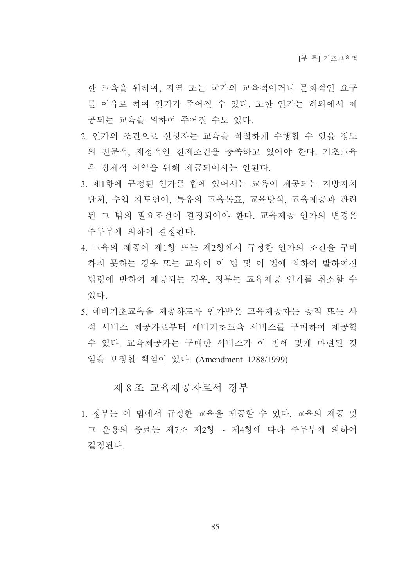한 교육을 위하여, 지역 또는 국가의 교육적이거나 문화적인 요구 를 이유로 하여 인가가 주어질 수 있다. 또한 인가는 해외에서 제 공되는 교육을 위하여 주어질 수도 있다.

- 2. 인가의 조건으로 신청자는 교육을 적절하게 수행할 수 있을 정도 의 전문적, 재정적인 전제조건을 충족하고 있어야 한다. 기초교육 은 경제적 이익을 위해 제공되어서는 안된다.
- 3. 제1항에 규정된 인가를 함에 있어서는 교육이 제공되는 지방자치 단체, 수업 지도언어, 특유의 교육목표, 교육방식, 교육제공과 관련 된 그 밖의 필요조건이 결정되어야 한다. 교육제공 인가의 변경은 주무부에 의하여 결정된다.
- 4. 교육의 제공이 제1항 또는 제2항에서 규정한 인가의 조건을 구비 하지 못하는 경우 또는 교육이 이 법 및 이 법에 의하여 발하여진 법령에 반하여 제공되는 경우, 정부는 교육제공 인가를 취소할 수 있다
- 5. 예비기초교육을 제공하도록 인가받은 교육제공자는 공적 또는 사 적 서비스 제공자로부터 예비기초교육 서비스를 구매하여 제공할 수 있다. 교육제공자는 구매한 서비스가 이 법에 맞게 마련된 것 임을 보장할 책임이 있다. (Amendment 1288/1999)

제 8 조 교육제공자로서 정부

1. 정부는 이 법에서 규정한 교육을 제공할 수 있다. 교육의 제공 및 그 운용의 종료는 제7조 제2항 ~ 제4항에 따라 주무부에 의하여 결정된다.

85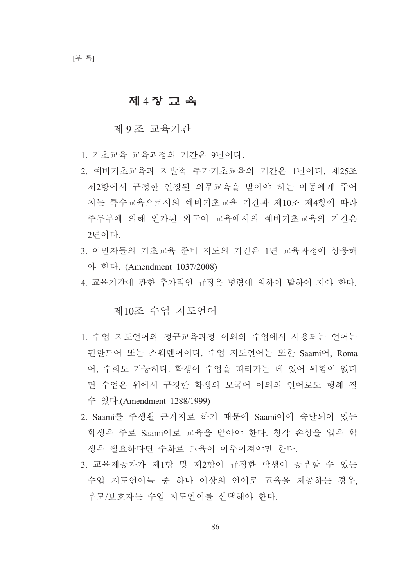## 제 4장 교육

제 9 조 교육기간

- 1. 기초교육 교육과정의 기간은 9년이다.
- 2. 예비기초교육과 자발적 추가기초교육의 기간은 1년이다. 제25조 제2항에서 규정한 여장된 의무교육을 받아야 하는 아동에게 주어 지는 특수교육으로서의 예비기초교육 기간과 제10조 제4항에 따라 주무부에 의해 인가된 외국어 교육에서의 예비기초교육의 기간은 2년이다.
- 3. 이민자들의 기초교육 준비 지도의 기간은 1년 교육과정에 상응해 야 한다. (Amendment 1037/2008)
- 4. 교육기간에 관한 추가적인 규정은 명령에 의하여 발하여 져야 한다.

제10조 수업 지도어어

- 1. 수업 지도언어와 정규교육과정 이외의 수업에서 사용되는 언어는 핀란드어 또는 스웨덴어이다. 수업 지도언어는 또한 Saami어, Roma 어, 수화도 가능하다. 학생이 수업을 따라가는 데 있어 위험이 없다 면 수업은 위에서 규정한 학생의 모국어 이외의 언어로도 행해 질 수 있다(Amendment 1288/1999)
- 2. Saami를 주생활 근거지로 하기 때문에 Saami어에 숙달되어 있는 학생은 주로 Saami어로 교육을 받아야 한다. 청각 손상을 입은 학 생은 필요하다면 수화로 교육이 이루어져야만 한다.
- 3. 교육제공자가 제1항 및 제2항이 규정한 학생이 공부할 수 있는 수업 지도언어들 중 하나 이상의 언어로 교육을 제공하는 경우, 부모/보호자는 수업 지도언어를 선택해야 한다.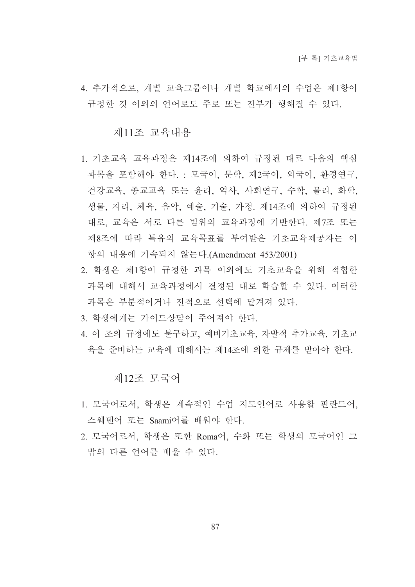4. 추가적으로, 개별 교육그룹이나 개별 학교에서의 수업은 제1항이 규정한 것 이외의 언어로도 주로 또는 전부가 행해질 수 있다.

#### 제11조 교육내용

- 1. 기초교육 교육과정은 제14조에 의하여 규정된 대로 다음의 핵심 과목을 포함해야 하다. : 모국어, 문학, 제2국어, 외국어, 화경연구, 건강교육, 종교교육 또는 윤리, 역사, 사회연구, 수학, 물리, 화학, 생물, 지리, 체육, 음악, 예술, 기술, 가정, 제14조에 의하여 규정된 대로, 교육은 서로 다른 범위의 교육과정에 기반한다. 제7조 또는 제8조에 따라 특유의 교육목표를 부여받은 기초교육제공자는 이 항의 내용에 기속되지 않는다.(Amendment 453/2001)
- 2. 학생은 제1항이 규정한 과목 이외에도 기초교육을 위해 적합한 과목에 대해서 교육과정에서 결정된 대로 학습할 수 있다. 이러한 과목은 부분적이거나 전적으로 선택에 맡겨져 있다.
- 3. 학생에게는 가이드상담이 주어져야 하다.
- 4. 이 조의 규정에도 불구하고, 예비기초교육, 자발적 추가교육, 기초교 육을 주비하는 교육에 대해서는 제14조에 의한 규제를 받아야 하다.

#### 제12조 모국어

- 1. 모국어로서, 학생은 계속적인 수업 지도언어로 사용할 핀란드어, 스웨덴어 또는 Saami어를 배워야 하다.
- 2. 모국어로서, 학생은 또한 Roma어, 수화 또는 학생의 모국어인 그 밖의 다른 언어를 배울 수 있다.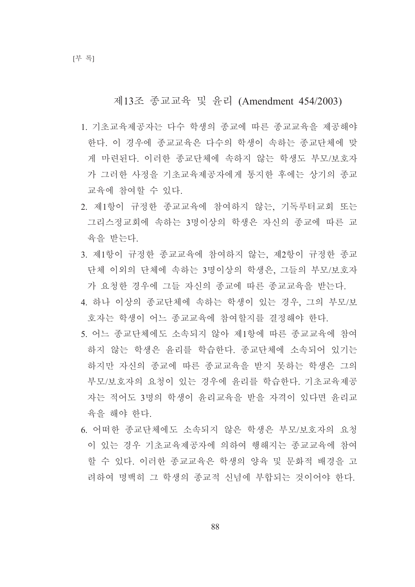## 제13조 종교교육 및 유리 (Amendment 454/2003)

- 1. 기초교육제공자는 다수 학생의 종교에 따른 종교교육을 제공해야 한다. 이 경우에 종교교육은 다수의 학생이 속하는 종교단체에 맞 게 마련된다. 이러한 종교단체에 속하지 않는 학생도 부모/보호자 가 그러한 사정을 기초교육제공자에게 통지한 후에는 상기의 종교 교육에 참여할 수 있다.
- 2. 제1항이 규정한 종교교육에 참여하지 않는. 기독루터교회 또는 그리스정교회에 속하는 3명이상의 학생은 자신의 종교에 따른 교 육을 받는다.
- 3. 제1항이 규정한 종교교육에 참여하지 않는, 제2항이 규정한 종교 단체 이외의 단체에 속하는 3명이상의 학생은, 그들의 부모/보호자 가 요청한 경우에 그들 자신의 종교에 따른 종교교육을 받는다.
- 4. 하나 이상의 종교단체에 속하는 학생이 있는 경우. 그의 부모/보 호자는 학생이 어느 종교교육에 참여할지를 결정해야 한다.
- 5. 어느 종교단체에도 소속되지 않아 제1항에 따른 종교교육에 참여 하지 않는 학생은 윤리를 학습한다. 종교단체에 소속되어 있기는 하지만 자신의 종교에 따른 종교교육을 받지 못하는 학생은 그의 부모/보호자의 요청이 있는 경우에 윤리를 학습한다. 기초교육제공 자는 적어도 3명의 학생이 유리교육을 받을 자격이 있다면 유리교 육을 해야 한다.
- 6. 어떠한 종교단체에도 소속되지 않은 학생은 부모/보호자의 요청 이 있는 경우 기초교육제공자에 의하여 행해지는 종교교육에 참여 할 수 있다. 이러한 종교교육은 학생의 양육 및 문화적 배경을 고 려하여 명백히 그 학생의 종교적 신념에 부합되는 것이어야 한다.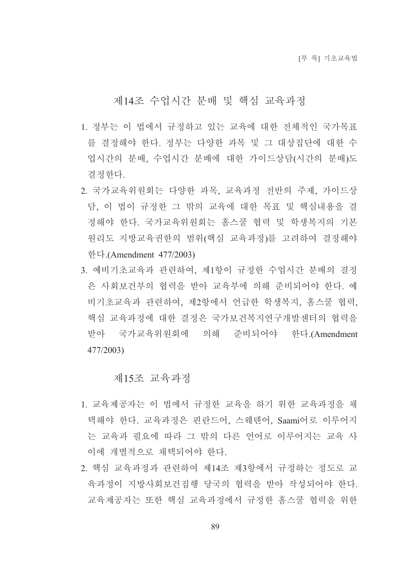## 제14조 수업시간 분배 및 핵심 교육과정

- 1. 정부는 이 법에서 규정하고 있는 교육에 대한 전체적인 국가목표 를 결정해야 하다. 정부는 다양한 과목 및 그 대상집단에 대한 수 업시간의 분배, 수업시간 분배에 대한 가이드상담(시간의 분배)도 결정한다.
- 2. 국가교육위원회는 다양한 과목, 교육과정 전반의 주제, 가이드상 담. 이 법이 규정한 그 밖의 교육에 대한 목표 및 핵심내용을 결 정해야 한다. 국가교육위원회는 홈스쿨 협력 및 학생복지의 기본 워리도 지방교육권한의 범위(핵심 교육과정)를 고려하여 결정해야 한다.(Amendment 477/2003)
- 3. 예비기초교육과 관련하여, 제1항이 규정한 수업시간 분배의 결정 은 사회보건부의 협력을 받아 교육부에 의해 주비되어야 한다. 예 비기초교육과 관련하여, 제2항에서 언급한 학생복지, 홈스쿨 협력, 핵심 교육과정에 대한 결정은 국가보건복지연구개발센터의 협력을 받아 국가교육위워회에 의해 주비되어야 한다.(Amendment 477/2003)

#### 제15조 교육과정

- 1. 교육제공자는 이 법에서 규정한 교육을 하기 위한 교육과정을 채 택해야 한다. 교육과정은 핀란드어, 스웨덴어, Saami어로 이루어지 는 교육과 필요에 따라 그 밖의 다른 언어로 이루어지는 교육 사 이에 개별적으로 채택되어야 한다.
- 2. 핵심 교육과정과 관련하여 제14조 제3항에서 규정하는 정도로 교 육과정이 지방사회보거집행 당국의 협력을 받아 작성되어야 한다. 교육제공자는 또한 핵심 교육과정에서 규정한 홈스쿨 협력을 위한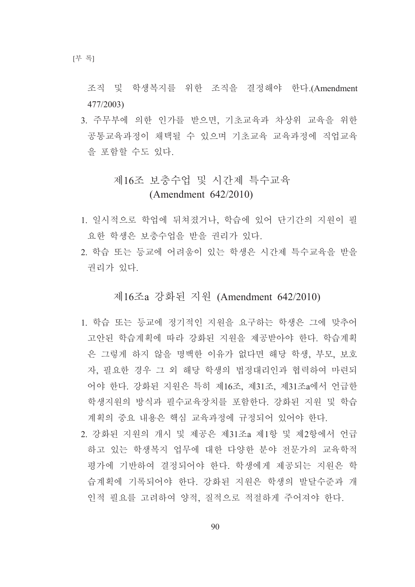조직 및 학생복지를 위한 조직을 결정해야 한다. (Amendment  $477/2003$ 

3. 주무부에 의한 인가를 받으면, 기초교육과 차상위 교육을 위한 공통교육과정이 채택될 수 있으며 기초교육 교육과정에 직업교육 을 포함할 수도 있다.

# 제16조 보충수업 및 시간제 특수교육  $(Amendment 642/2010)$

- 1. 일시적으로 학업에 뒤쳐졌거나. 학습에 있어 단기간의 지워이 필 요한 학생은 보충수업을 받을 권리가 있다.
- 2. 학습 또는 등교에 어려움이 있는 학생은 시간제 특수교육을 받을 권리가 있다.

제16조a 강화된 지워 (Amendment 642/2010)

- 1. 학습 또는 등교에 정기적인 지원을 요구하는 학생은 그에 맞추어 고안된 학습계획에 따라 강화된 지원을 제공받아야 한다. 학습계획 은 그렇게 하지 않을 명백한 이유가 없다면 해당 학생, 부모, 보호 자. 필요한 경우 그 외 해당 학생의 법정대리인과 협력하여 마련되 어야 한다. 강화된 지원은 특히 제16조, 제31조, 제31조a에서 언급한 학생지원의 방식과 필수교육장치를 포함한다. 강화된 지원 및 학습 계획의 중요 내용은 핵심 교육과정에 규정되어 있어야 하다.
- 2. 강화된 지워의 개시 및 제공은 제31조a 제1항 및 제2항에서 언급 하고 있는 학생복지 업무에 대한 다양한 분야 전문가의 교육학적 평가에 기반하여 결정되어야 한다. 학생에게 제공되는 지워은 학 습계획에 기록되어야 한다. 강화된 지원은 학생의 발달수준과 개 인적 필요를 고려하여 양적, 질적으로 적절하게 주어져야 하다.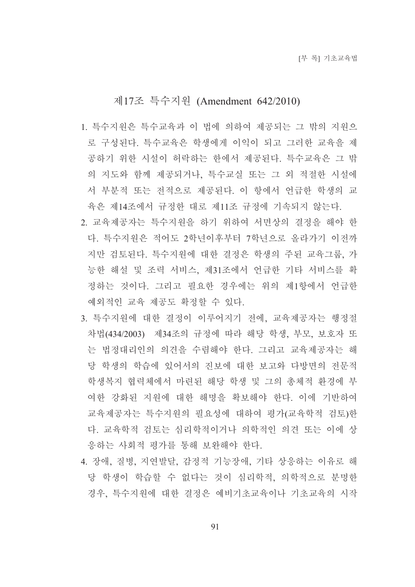## 제17조 특수지원 (Amendment 642/2010)

- 1. 특수지워은 특수교육과 이 법에 의하여 제공되는 그 밖의 지워으 로 구성된다. 특수교육은 학생에게 이익이 되고 그러한 교육을 제 공하기 위한 시설이 허락하는 한에서 제공된다. 특수교육은 그 밖 의 지도와 함께 제공되거나, 특수교실 또는 그 외 적절한 시설에 서 부분적 또는 전적으로 제공된다. 이 항에서 언급한 학생의 교 육은 제14조에서 규정한 대로 제11조 규정에 기속되지 않는다.
- 2. 교육제공자는 특수지원을 하기 위하여 서면상의 결정을 해야 한 다. 특수지원은 적어도 2학년이후부터 7학년으로 올라가기 이전까 지만 검토된다. 특수지원에 대한 결정은 학생의 주된 교육그룹, 가 능한 해설 및 조력 서비스, 제31조에서 언급한 기타 서비스를 확 정하는 것이다. 그리고 필요한 경우에는 위의 제1항에서 언급한 예외적인 교육 제공도 확정할 수 있다.
- 3. 특수지원에 대한 결정이 이루어지기 전에, 교육제공자는 행정절 차법(434/2003) 제34조의 규정에 따라 해당 학생, 부모, 보호자 또 는 법정대리인의 의견을 수렴해야 한다. 그리고 교육제공자는 해 당 학생의 학습에 있어서의 진보에 대한 보고와 다방면의 전문적 학생복지 협력체에서 마련된 해당 학생 및 그의 총체적 환경에 부 여한 강화된 지원에 대한 해명을 확보해야 한다. 이에 기반하여 교육제공자는 특수지원의 필요성에 대하여 평가(교육학적 검토)한 다. 교육학적 검토는 심리학적이거나 의학적인 의견 또는 이에 상 응하는 사회적 평가를 통해 보완해야 한다.
- 4. 장애, 질병, 지연발달, 감정적 기능장애, 기타 상응하는 이유로 해 당 학생이 학습할 수 없다는 것이 심리학적, 의학적으로 분명한 경우, 특수지원에 대한 결정은 예비기초교육이나 기초교육의 시작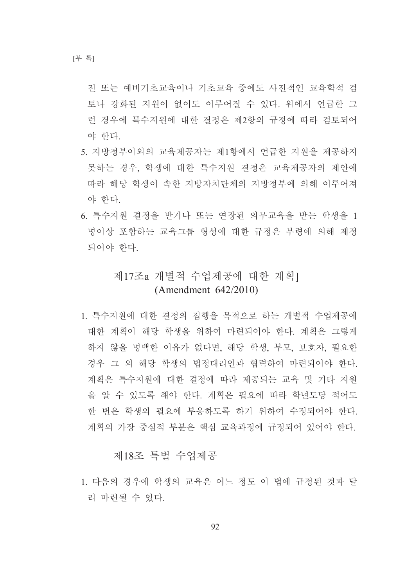전 또는 예비기초교육이나 기초교육 중에도 사전적인 교육학적 검 토나 강화된 지워이 없이도 이루어질 수 있다. 위에서 어급한 그 런 경우에 특수지워에 대한 결정은 제2항의 규정에 따라 검토되어 야 한다.

- 5. 지방정부이외의 교육제공자는 제1항에서 언급한 지원을 제공하지 못하는 경우, 학생에 대한 특수지원 결정은 교육제공자의 제안에 따라 해당 학생이 속한 지방자치단체의 지방정부에 의해 이루어져 야 한다.
- 6. 특수지원 결정을 받거나 또는 연장된 의무교육을 받는 학생을 1 명이상 포함하는 교육그룹 형성에 대한 규정은 부령에 의해 제정 되어야 한다.

# 제17조a 개별적 수업제공에 대한 계획1 (Amendment  $642/2010$ )

1. 특수지원에 대한 결정의 집행을 목적으로 하는 개별적 수업제공에 대한 계획이 해당 학생을 위하여 마려되어야 한다. 계획은 그렇게 하지 않을 명백한 이유가 없다면, 해당 학생, 부모, 보호자, 필요한 경우 그 외 해당 학생의 법정대리인과 협력하여 마련되어야 한다. 계획은 특수지원에 대한 결정에 따라 제공되는 교육 및 기타 지원 을 알 수 있도록 해야 한다. 계획은 필요에 따라 학년도당 적어도 한 번은 학생의 필요에 부응하도록 하기 위하여 수정되어야 한다. 계획의 가장 중심적 부분은 핵심 교육과정에 규정되어 있어야 한다.

## 제18조 특별 수업제공

1. 다음의 경우에 학생의 교육은 어느 정도 이 법에 규정된 것과 달 리 마련될 수 있다.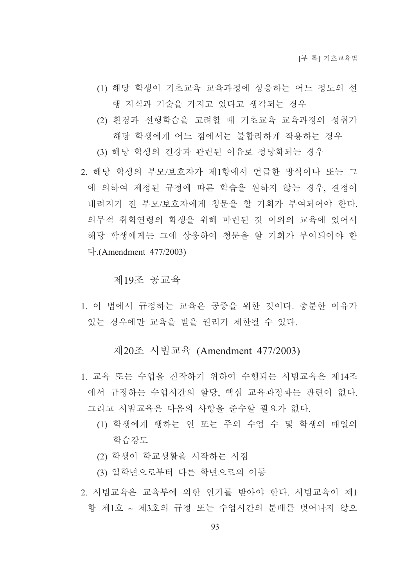- (1) 해당 학생이 기초교육 교육과정에 상응하는 어느 정도의 선 행 지식과 기술을 가지고 있다고 생각되는 경우
- (2) 환경과 선행학습을 고려할 때 기초교육 교육과정의 성취가 해당 학생에게 어느 점에서는 불합리하게 작용하는 경우
- (3) 해당 학생의 건강과 관련된 이유로 정당화되는 경우
- 2. 해당 학생의 부모/보호자가 제1항에서 어급한 방식이나 또는 그 에 의하여 제정된 규정에 따른 학습을 원하지 않는 경우, 결정이 내려지기 전 부모/보호자에게 청문을 할 기회가 부여되어야 한다. 의무적 취학연령의 학생을 위해 마련된 것 이외의 교육에 있어서 해당 학생에게는 그에 상응하여 청문을 할 기회가 부여되어야 한  $\Gamma$ . (Amendment 477/2003)

#### 제19조 공교육

1. 이 법에서 규정하는 교육은 공중을 위한 것이다. 충분한 이유가 있는 경우에만 교육을 받을 권리가 제한될 수 있다.

# 제20조 시범교육 (Amendment 477/2003)

- 1. 교육 또는 수업을 진작하기 위하여 수행되는 시범교육은 제14조 에서 규정하는 수업시간의 할당, 핵심 교육과정과는 관련이 없다. 그리고 시범교육은 다음의 사항을 준수할 필요가 없다.
	- (1) 학생에게 행하는 연 또는 주의 수업 수 및 학생의 매일의 학습강도
	- (2) 학생이 학교생활을 시작하는 시점
	- (3) 일학년으로부터 다른 학년으로의 이동
- 2. 시범교육은 교육부에 의한 인가를 받아야 한다. 시범교육이 제1 항 제1호 ~ 제3호의 규정 또는 수업시간의 분배를 벗어나지 않으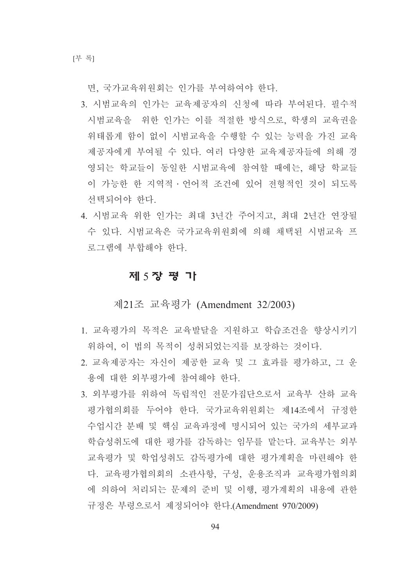면, 국가교육위원회는 인가를 부여하여야 한다.

- 3. 시범교육의 인가는 교육제공자의 신청에 따라 부여된다. 필수적 시범교육을 위한 인가는 이를 적절한 방식으로, 학생의 교육권을 위태롭게 함이 없이 시범교육을 수행할 수 있는 능력을 가진 교육 제공자에게 부여될 수 있다. 여러 다양한 교육제공자들에 의해 경 영되는 학교들이 동일한 시범교육에 참여할 때에는, 해당 학교들 이 가능한 한 지역적 · 언어적 조건에 있어 전형적인 것이 되도록 선택되어야 한다.
- 4. 시범교육 위한 인가는 최대 3년간 주어지고, 최대 2년간 연장될 수 있다. 시범교육은 국가교육위원회에 의해 채택된 시범교육 프 로그램에 부합해야 한다.

## 제 5장 평 가

제21조 교육평가 (Amendment 32/2003)

- 1. 교육평가의 목적은 교육발달을 지원하고 학습조건을 향상시키기 위하여, 이 법의 목적이 성취되었는지를 보장하는 것이다.
- 2. 교육제공자는 자신이 제공한 교육 및 그 효과를 평가하고, 그 운 용에 대한 외부평가에 참여해야 한다.
- 3. 외부평가를 위하여 독립적인 전문가집단으로서 교육부 산하 교육 평가협의회를 두어야 한다. 국가교육위원회는 제14조에서 규정한 수업시간 분배 및 핵심 교육과정에 명시되어 있는 국가의 세부교과 학습성취도에 대한 평가를 감독하는 임무를 맡는다. 교육부는 외부 교육평가 및 학업성취도 감독평가에 대한 평가계획을 마련해야 한 다. 교육평가협의회의 소관사항, 구성, 운용조직과 교육평가협의회 에 의하여 처리되는 문제의 준비 및 이행, 평가계획의 내용에 관한 규정은 부령으로서 제정되어야 한다.(Amendment 970/2009)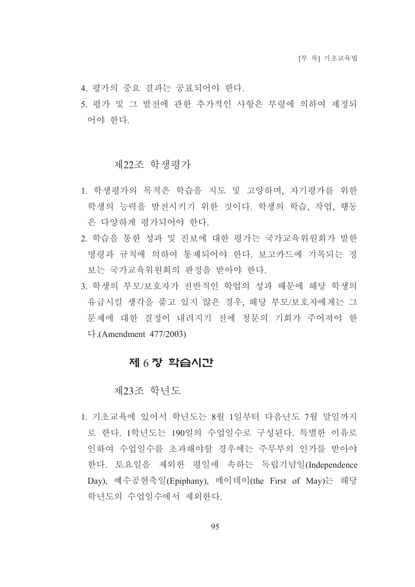- 4. 평가의 중요 결과는 공표되어야 한다.
- 5. 평가 및 그 발전에 관한 추가적인 사항은 부령에 의하여 제정되 어야 한다.

#### 제22조 학생평가

- 1. 학생평가의 목적은 학습을 지도 및 고양하며, 자기평가를 위한 학생의 능력을 발전시키기 위한 것이다. 학생의 학습, 작업, 행동 은 다양하게 평가되어야 한다.
- 2. 학습을 통한 성과 및 진보에 대한 평가는 국가교육위원회가 발한 명령과 규칙에 의하여 통제되어야 한다. 보고카드에 기록되는 정 보는 국가교육위원회의 판정을 받아야 한다.
- 3. 학생의 부모/보호자가 전반적인 학업의 성과 때문에 해당 학생의 유급시킬 생각을 품고 있지 않은 경우, 해당 부모/보호자에게는 그 문제에 대한 결정이 내려지기 전에 청문의 기회가 주어져야 한  $\Gamma$ . (Amendment 477/2003)

## 제 6장 학습시간

#### 제23조 학년도

1. 기초교육에 있어서 학년도는 8월 1일부터 다음년도 7월 말일까지 로 한다. 1학년도는 190일의 수업일수로 구성된다. 특별한 이유로 인하여 수업일수를 초과해야할 경우에는 주무부의 인가를 받아야 한다. 토요일을 제외한 평일에 속하는 독립기념일(Independence Day), 예수공현축일(Epiphany), 메이데이(the First of May)는 해당 학년도의 수업일수에서 제외한다.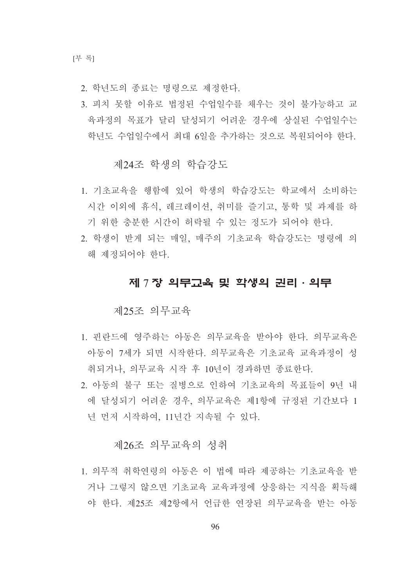- 2. 학년도의 종료는 명령으로 제정한다.
- 3. 피치 못할 이유로 법정된 수업일수를 채우는 것이 불가능하고 교 육과정의 목표가 달리 달성되기 어려운 경우에 상실된 수업일수는 학년도 수업일수에서 최대 6일을 추가하는 것으로 복원되어야 한다.

## 제24조 학생의 학습강도

- 1. 기초교육을 행함에 있어 학생의 학습강도는 학교에서 소비하는 시간 이외에 휴식. 레크레이션. 취미를 즐기고. 통학 및 과제를 하 기 위한 충분한 시간이 허락될 수 있는 정도가 되어야 한다.
- 2. 학생이 받게 되는 매일, 매주의 기초교육 학습강도는 명령에 의 해 제정되어야 한다.

## 제 7 장 의무교육 및 학생의 권리 · 의무

#### 제25조 의무교육

- 1. 핀란드에 영주하는 아동은 의무교육을 받아야 한다. 의무교육은 아동이 7세가 되면 시작한다. 의무교육은 기초교육 교육과정이 성 취되거나, 의무교육 시작 후 10년이 경과하면 종료한다.
- 2. 아동의 불구 또는 질병으로 인하여 기초교육의 목표들이 9년 내 에 달성되기 어려운 경우 의무교육은 제1항에 규정된 기간보다 1 년 먼저 시작하여 11년간 지속될 수 있다.

#### 제26조 의무교육의 성취

1. 의무적 취학연령의 아동은 이 법에 따라 제공하는 기초교육을 받 거나 그렇지 않으면 기초교육 교육과정에 상응하는 지식을 획득해 야 한다. 제25조 제2항에서 어급한 여장된 의무교육을 받는 아동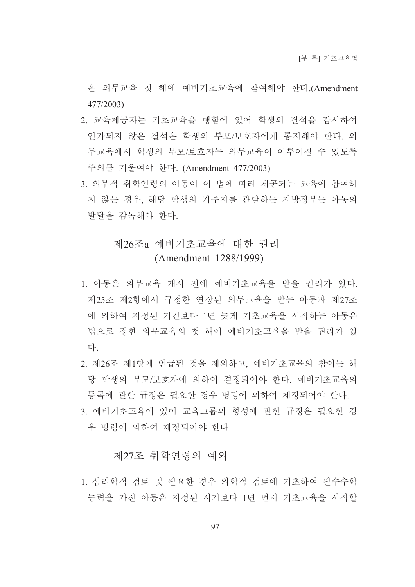은 의무교육 첫 해에 예비기초교육에 참여해야 한다.(Amendment 477/2003)

- 2. 교육제공자는 기초교육을 행함에 있어 학생의 결석을 감시하여 인가되지 않은 결석은 학생의 부모/보호자에게 통지해야 한다. 의 무교육에서 학생의 부모/보호자는 의무교육이 이루어질 수 있도록 주의를 기울여야 한다. (Amendment 477/2003)
- 3. 의무적 취학연령의 아동이 이 법에 따라 제공되는 교육에 참여하 지 않는 경우, 해당 학생의 거주지를 관할하는 지방정부는 아동의 발달을 감독해야 한다.

# 제26조a 예비기초교육에 대한 권리 (Amendment 1288/1999)

- 1. 아동은 의무교육 개시 전에 예비기초교육을 받을 권리가 있다. 제25조 제2항에서 규정한 연장된 의무교육을 받는 아동과 제27조 에 의하여 지정된 기간보다 1년 늦게 기초교육을 시작하는 아동은 법으로 정한 의무교육의 첫 해에 예비기초교육을 받을 권리가 있 다
- 2. 제26조 제1항에 언급된 것을 제외하고, 예비기초교육의 참여는 해 당 학생의 부모/보호자에 의하여 결정되어야 한다. 예비기초교육의 등록에 관한 규정은 필요한 경우 명령에 의하여 제정되어야 한다.
- 3. 예비기초교육에 있어 교육그룹의 형성에 관한 규정은 필요한 경 우 명령에 의하여 제정되어야 한다.

#### 제27조 취학여려의 예외

1. 심리학적 검토 및 필요한 경우 의학적 검토에 기초하여 필수수학 능력을 가진 아동은 지정된 시기보다 1년 먼저 기초교육을 시작할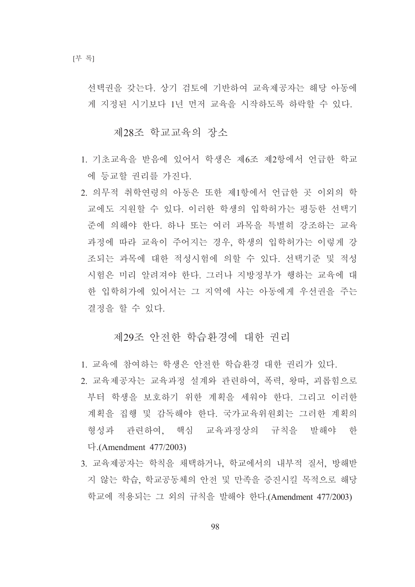선택권을 갖는다. 상기 검토에 기반하여 교육제공자는 해당 아동에 게 지정된 시기보다 1년 먼저 교육을 시작하도록 하락할 수 있다.

제28조 학교교육의 장소

- 1. 기초교육을 받음에 있어서 학생은 제6조 제2항에서 언급한 학교 에 등교할 권리를 가진다.
- 2. 의무적 취학연령의 아동은 또한 제1항에서 언급한 곳 이외의 학 교에도 지워할 수 있다. 이러한 학생의 입학허가는 평등한 선택기 주에 의해야 한다. 하나 또는 여러 과목을 특별히 강조하는 교육 과정에 따라 교육이 주어지는 경우, 학생의 입학허가는 이렇게 강 조되는 과목에 대한 적성시험에 의할 수 있다. 선택기주 및 적성 시험은 미리 알려져야 한다. 그러나 지방정부가 행하는 교육에 대 한 입학허가에 있어서는 그 지역에 사는 아동에게 우선권을 주는 결정을 할 수 있다.

#### 제29조 아저한 학습화경에 대한 권리

- 1. 교육에 참여하는 학생은 안전한 학습환경 대한 권리가 있다.
- 2. 교육제공자는 교육과정 설계와 관련하여, 폭력, 왕따, 괴롭힘으로 부터 학생을 보호하기 위한 계획을 세워야 한다. 그리고 이러한 계획을 집행 및 감독해야 한다. 국가교육위원회는 그러한 계획의 형성과 관련하여, 핵심 교육과정상의 규칙을 발해야 한 다. (Amendment  $477/2003$ )
- 3. 교육제공자는 학칙을 채택하거나, 학교에서의 내부적 질서, 방해받 지 않는 학습, 학교공동체의 안전 및 만족을 증진시킬 목적으로 해당 학교에 적용되는 그 외의 규칙을 발해야 한다.(Amendment 477/2003)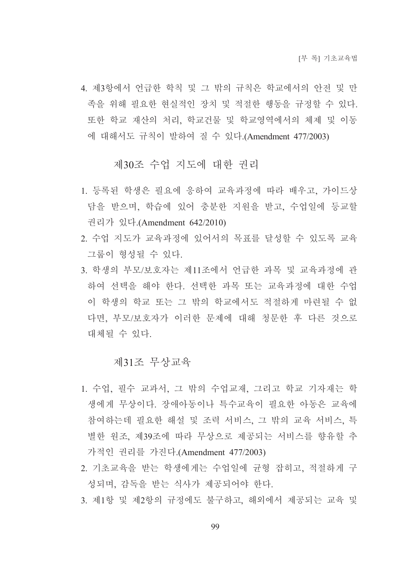4. 제3항에서 언급한 학칙 및 그 밖의 규칙은 학교에서의 안전 및 만 족을 위해 필요한 현실적인 장치 및 적절한 행동을 규정할 수 있다. 또한 학교 재산의 처리, 학교건물 및 학교영역에서의 체제 및 이동 에 대해서도 규칙이 발하여 질 수 있다.(Amendment 477/2003)

제30조 수업 지도에 대한 권리

- 1. 등록된 학생은 필요에 응하여 교육과정에 따라 배우고, 가이드상 담을 받으며, 학습에 있어 충분한 지워을 받고, 수업일에 등교할 권리가 있다.(Amendment 642/2010)
- 2. 수업 지도가 교육과정에 있어서의 목표를 달성할 수 있도록 교육 그룹이 형성될 수 있다.
- 3. 학생의 부모/보호자는 제11조에서 언급한 과목 및 교육과정에 관 하여 선택을 해야 한다. 선택한 과목 또는 교육과정에 대한 수업 이 학생의 학교 또는 그 밖의 학교에서도 적절하게 마련될 수 없 다면, 부모/보호자가 이러한 문제에 대해 청문한 후 다른 것으로 대체될 수 있다.

#### 제31조 무상교육

- 1. 수업, 필수 교과서, 그 밖의 수업교재, 그리고 학교 기자재는 학 생에게 무상이다. 장애아동이나 특수교육이 필요한 아동은 교육에 참여하는데 필요한 해설 및 조력 서비스, 그 밖의 교육 서비스, 특 별한 원조, 제39조에 따라 무상으로 제공되는 서비스를 향유할 추 가적인 권리를 가진다.(Amendment 477/2003)
- 2. 기초교육을 받는 학생에게는 수업일에 균형 잡히고, 적절하게 구 성되며, 감독을 받는 식사가 제공되어야 한다.
- 3. 제1항 및 제2항의 규정에도 불구하고. 해외에서 제공되는 교육 및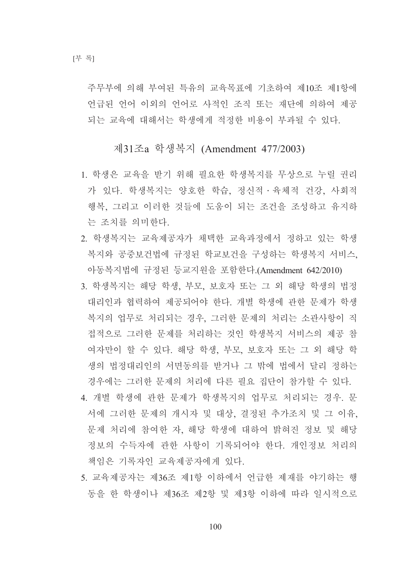주무부에 의해 부여된 특유의 교육목표에 기초하여 제10조 제1항에 언급된 언어 이외의 언어로 사적인 조직 또는 재단에 의하여 제공 되는 교육에 대해서는 학생에게 적정한 비용이 부과될 수 있다.

## 제31조a 학생복지 (Amendment 477/2003)

- 1. 학생은 교육을 받기 위해 필요한 학생복지를 무상으로 누릴 권리 가 있다. 학생복지는 양호한 학습, 정신적 · 육체적 건강, 사회적 행복. 그리고 이러한 것들에 도움이 되는 조건을 조성하고 유지하 는 조치를 의미한다.
- 2. 학생복지는 교육제공자가 채택한 교육과정에서 정하고 있는 학생 복지와 공중보건법에 규정된 학교보건을 구성하는 학생복지 서비스. 아동복지법에 규정된 등교지원을 포함한다.(Amendment 642/2010)
- 3. 학생복지는 해당 학생, 부모, 보호자 또는 그 외 해당 학생의 법정 대리인과 협력하여 제공되어야 한다. 개별 학생에 관한 문제가 학생 복지의 업무로 처리되는 경우, 그러한 문제의 처리는 소관사항이 직 접적으로 그러한 문제를 처리하는 것인 학생복지 서비스의 제공 참 여자만이 할 수 있다. 해당 학생, 부모, 보호자 또는 그 외 해당 학 생의 법정대리인의 서면동의를 받거나 그 밖에 법에서 달리 정하는 경우에는 그러한 문제의 처리에 다른 필요 집단이 참가할 수 있다.
- 4. 개별 학생에 관한 문제가 학생복지의 업무로 처리되는 경우. 문 서에 그러한 문제의 개시자 및 대상, 결정된 추가조치 및 그 이유, 문제 처리에 참여한 자, 해당 학생에 대하여 밝혀진 정보 및 해당 정보의 수득자에 관한 사항이 기록되어야 한다. 개인정보 처리의 책임은 기록자인 교육제공자에게 있다.
- 5. 교육제공자는 제36조 제1항 이하에서 언급한 제재를 야기하는 행 동을 한 학생이나 제36조 제2항 및 제3항 이하에 따라 일시적으로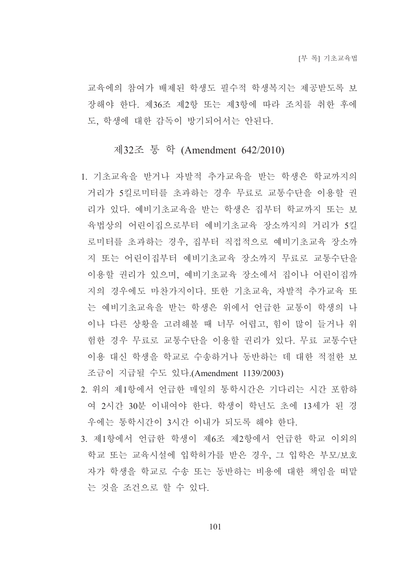교육에의 참여가 배제된 학생도 필수적 학생복지는 제공받도록 보 장해야 한다. 제36조 제2항 또는 제3항에 따라 조치를 취한 후에 도, 학생에 대한 감독이 방기되어서는 안된다.

## 제32조 통 학 (Amendment 642/2010)

- 1. 기초교육을 받거나 자발적 추가교육을 받는 학생은 학교까지의 거리가 5킬로미터를 초과하는 경우 무료로 교통수단을 이용할 권 리가 있다. 예비기초교육을 받는 학생은 집부터 학교까지 또는 보 육법상의 어린이집으로부터 예비기초교육 장소까지의 거리가 5킬 로미터를 초과하는 경우. 집부터 직접적으로 예비기초교육 장소까 지 또는 어린이집부터 예비기초교육 장소까지 무료로 교통수단을 이용할 권리가 있으며, 예비기초교육 장소에서 집이나 어린이집까 지의 경우에도 마차가지이다. 또한 기초교육, 자발적 추가교육 또 는 예비기초교육을 받는 학생은 위에서 언급한 교통이 학생의 나 이나 다른 상황을 고려해볼 때 너무 어렵고, 힘이 많이 들거나 위 험한 경우 무료로 교통수단을 이용할 권리가 있다. 무료 교통수단 이용 대신 학생을 학교로 수송하거나 동반하는 데 대한 적절한 보 조금이 지급될 수도 있다.(Amendment 1139/2003)
- 2. 위의 제1항에서 언급한 매일의 통학시간은 기다리는 시간 포함하 여 2시간 30분 이내여야 한다. 학생이 학년도 초에 13세가 된 경 우에는 통학시간이 3시간 이내가 되도록 해야 한다.
- 3. 제1항에서 어급한 학생이 제6조 제2항에서 어급한 학교 이외의 학교 또는 교육시설에 입학허가를 받은 경우, 그 입학은 부모/보호 자가 학생을 학교로 수송 또는 동반하는 비용에 대한 책임을 떠맡 는 것을 조건으로 할 수 있다.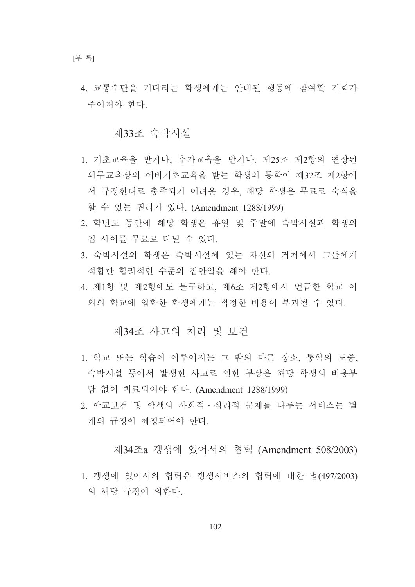4. 교통수단을 기다리는 학생에게는 안내된 행동에 참여할 기회가 주어져야 한다.

제33조 숙박시설

- 1. 기초교육을 받거나, 추가교육을 받거나. 제25조 제2항의 연장된 의무교육상의 예비기초교육을 받는 학생의 통학이 제32조 제2항에 서 규정하대로 충족되기 어려운 경우, 해당 학생은 무료로 숙식을 할 수 있는 권리가 있다. (Amendment 1288/1999)
- 2. 학년도 동안에 해당 학생은 휴일 및 주말에 숙박시설과 학생의 집 사이를 무료로 다닐 수 있다.
- 3. 숙박시설의 학생은 숙박시설에 있는 자신의 거처에서 그들에게 적합한 합리적인 수주의 집안일을 해야 한다.
- 4. 제1항 및 제2항에도 불구하고, 제6조 제2항에서 언급한 학교 이 외의 학교에 입학한 학생에게는 적정한 비용이 부과될 수 있다.

## 제34조 사고의 처리 및 보건

- 1. 학교 또는 학습이 이루어지는 그 밖의 다른 장소, 통학의 도중. 숙박시설 등에서 발생한 사고로 인한 부상은 해당 학생의 비용부 담 없이 치료되어야 한다. (Amendment 1288/1999)
- 2. 학교보건 및 학생의 사회적 · 심리적 문제를 다루는 서비스는 별 개의 규정이 제정되어야 한다.

## 제34조a 갱생에 있어서의 협력 (Amendment 508/2003)

1. 갱생에 있어서의 협력은 갱생서비스의 협력에 대한 법(497/2003) 의 해당 규정에 의한다.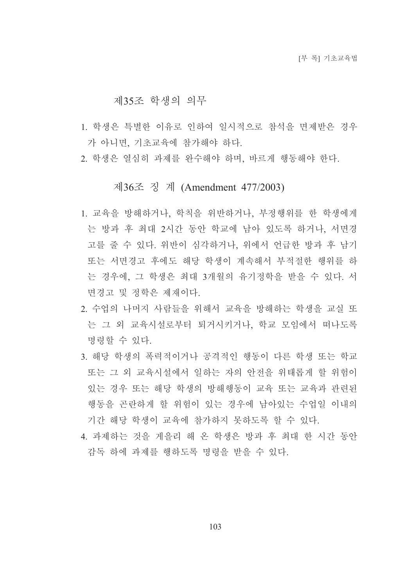#### 제35조 학생의 의무

- 1. 학생은 특별한 이유로 인하여 일시적으로 참석을 면제받은 경우 가 아니면. 기초교육에 참가해야 하다.
- 2. 학생은 열심히 과제를 완수해야 하며, 바르게 행동해야 한다.

## 제36조 징 계 (Amendment 477/2003)

- 1. 교육을 방해하거나, 학칙을 위반하거나, 부정행위를 한 학생에게 는 방과 후 최대 2시간 동안 학교에 남아 있도록 하거나, 서면경 고를 줄 수 있다. 위반이 심각하거나, 위에서 언급한 방과 후 남기 또는 서면경고 후에도 해당 학생이 계속해서 부적절한 행위를 하 는 경우에, 그 학생은 최대 3개월의 유기정학을 받을 수 있다. 서 면경고 및 정학은 제재이다.
- 2. 수업의 나머지 사람들을 위해서 교육을 방해하는 학생을 교실 또 는 그 외 교육시설로부터 퇴거시키거나 학교 모임에서 떠나도록 명령할 수 있다.
- 3. 해당 학생의 폭력적이거나 공격적인 행동이 다른 학생 또는 학교 또는 그 외 교육시설에서 일하는 자의 안전을 위태롭게 할 위험이 있는 경우 또는 해당 학생의 방해행동이 교육 또는 교육과 관련된 행동을 곤란하게 할 위험이 있는 경우에 남아있는 수업일 이내의 기간 해당 학생이 교육에 참가하지 못하도록 할 수 있다.
- 4. 과제하는 것을 게을리 해 온 학생은 방과 후 최대 한 시간 동안 감독 하에 과제를 행하도록 명령을 받을 수 있다.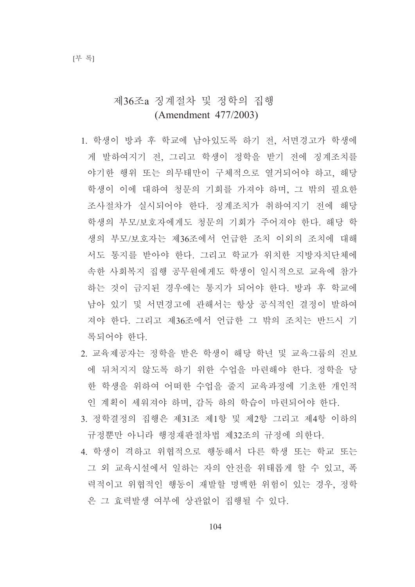# 제36조a 징계절차 및 정학의 집행 (Amendment 477/2003)

- 1. 학생이 방과 후 학교에 남아있도록 하기 전, 서면경고가 학생에 게 발하여지기 전, 그리고 학생이 정학을 받기 전에 징계조치를 야기한 행위 또는 의무태만이 구체적으로 열거되어야 하고, 해당 학생이 이에 대하여 청문의 기회를 가져야 하며, 그 밖의 필요한 조사절차가 실시되어야 한다. 징계조치가 취하여지기 전에 해당 학생의 부모/보호자에게도 청문의 기회가 주어져야 한다. 해당 학 생의 부모/보호자는 제36조에서 언급한 조치 이외의 조치에 대해 서도 통지를 받아야 한다. 그리고 학교가 위치한 지방자치단체에 속한 사회복지 집행 공무원에게도 학생이 일시적으로 교육에 참가 하는 것이 금지된 경우에는 통지가 되어야 한다. 방과 후 학교에 낚아 있기 및 서면경고에 관해서는 항상 공식적인 결정이 발하여 져야 한다. 그리고 제36조에서 언급한 그 밖의 조치는 반드시 기 록되어야 한다.
- 2. 교육제공자는 정학을 받은 학생이 해당 학년 및 교육그룹의 진보 에 뒤처지지 않도록 하기 위한 수업을 마련해야 한다. 정학을 당 한 학생을 위하여 어떠한 수업을 줄지 교육과정에 기초한 개인적 인 계획이 세워져야 하며, 감독 하의 학습이 마련되어야 하다.
- 3. 정학결정의 집행은 제31조 제1항 및 제2항 그리고 제4항 이하의 규정뿐만 아니라 행정재판절차법 제32조의 규정에 의한다.
- 4. 학생이 격하고 위협적으로 행동해서 다른 학생 또는 학교 또는 그 외 교육시설에서 일하는 자의 안전을 위태롭게 할 수 있고, 폭 력적이고 위협적인 행동이 재발할 명백한 위험이 있는 경우, 정학 은 그 효력발생 여부에 상관없이 집행될 수 있다.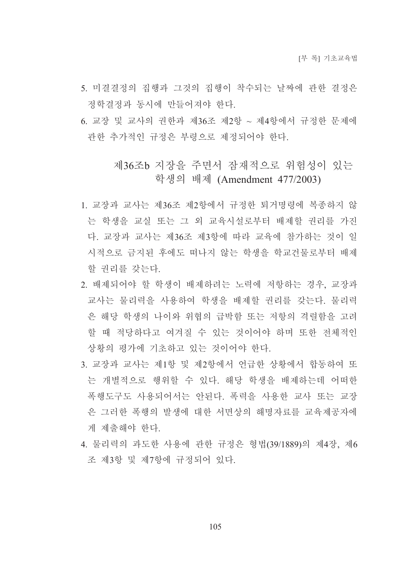- 5. 미결결정의 집행과 그것의 집행이 착수되는 날짜에 관한 결정은 정학결정과 동시에 만들어져야 하다.
- 6. 교장 및 교사의 권한과 제36조 제2항 ~ 제4항에서 규정한 문제에 관한 추가적인 규정은 부령으로 제정되어야 한다.

## 제36조b 지장을 주면서 잠재적으로 위험성이 있는 학생의 배제 (Amendment 477/2003)

- 1. 교장과 교사는 제36조 제2항에서 규정한 퇴거명령에 복종하지 않 는 학생을 교실 또는 그 외 교육시설로부터 배제할 권리를 가진 다. 교장과 교사는 제36조 제3항에 따라 교육에 참가하는 것이 일 시적으로 금지된 후에도 떠나지 않는 학생을 학교건물로부터 배제 할 권리를 갖는다.
- 2. 배제되어야 할 학생이 배제하려는 노력에 저항하는 경우, 교장과 교사는 물리력을 사용하여 학생을 배제할 권리를 갖는다. 물리력 은 해당 학생의 나이와 위협의 급박함 또는 저항의 격렬함을 고려 할 때 적당하다고 여겨질 수 있는 것이어야 하며 또한 전체적인 상황의 평가에 기초하고 있는 것이어야 한다.
- 3. 교장과 교사는 제1항 및 제2항에서 언급한 상황에서 합동하여 또 는 개별적으로 행위할 수 있다. 해당 학생을 배제하는데 어떠한 폭행도구도 사용되어서는 안된다. 폭력을 사용한 교사 또는 교장 은 그러한 폭행의 발생에 대한 서면상의 해명자료를 교육제공자에 게 제출해야 한다.
- 4. 물리력의 과도한 사용에 관한 규정은 형법(39/1889)의 제4장, 제6 조 제3항 및 제7항에 규정되어 있다.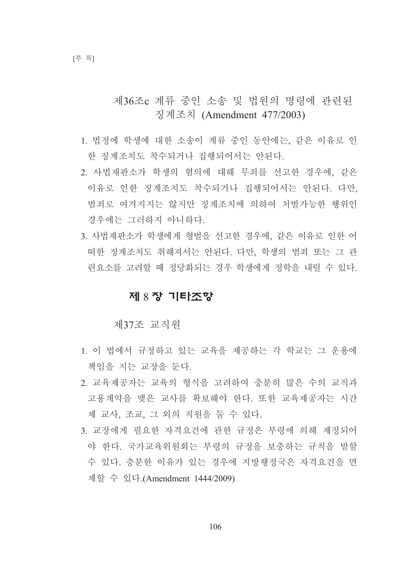제36조c 계류 중인 소송 및 법워의 명령에 관련되 징계조치 (Amendment 477/2003)

- 1. 법정에 학생에 대한 소송이 계류 중인 동안에는, 같은 이유로 인 한 징계조치도 착수되거나 집행되어서는 아뒤다.
- 2. 사법재판소가 학생의 혐의에 대해 무죄를 선고한 경우에, 같은 이유로 인한 징계조치도 착수되거나 집행되어서는 안된다. 다만, 범죄로 여겨지지는 않지만 징계조치에 의하여 처벌가능한 행위인 경우에는 그러하지 아니하다.
- 3. 사법재판소가 학생에게 형벌을 선고한 경우에, 같은 이유로 인한 어 떠한 징계조치도 취해져서는 안된다. 다만, 학생의 범죄 또는 그 관 련요소를 고려할 때 정당화되는 경우 학생에게 정학을 내릴 수 있다.

### 제 8 장 기타조항

제37조 교직워

- 1. 이 법에서 규정하고 있는 교육을 제공하는 각 학교는 그 운용에 책임을 지는 교장을 둔다.
- 2. 교육제공자는 교육의 형식을 고려하여 충분히 많은 수의 교직과 고용계약을 맺은 교사를 확보해야 한다. 또한 교육제공자는 시간 제 교사, 조교, 그 외의 직원을 둘 수 있다.
- 3. 교장에게 필요한 자격요건에 관한 규정은 부령에 의해 제정되어 야 한다. 국가교육위워회는 부령의 규정을 보충하는 규칙을 발할 수 있다. 충분한 이유가 있는 경우에 지방행정국은 자격요건을 면 제할 수 있다.(Amendment 1444/2009)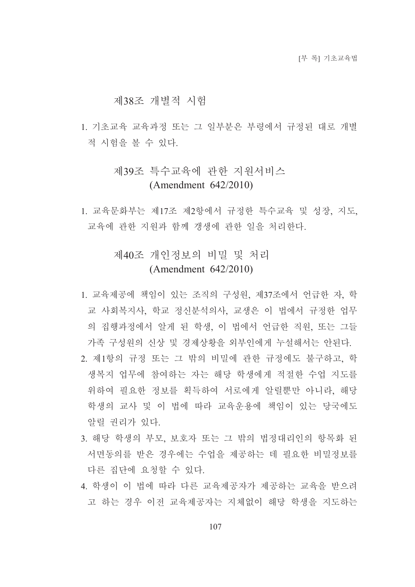#### 제38조 개별적 시험

1. 기초교육 교육과정 또는 그 일부분은 부령에서 규정된 대로 개별 적 시험을 볼 수 있다.

## 제39조 특수교육에 관한 지워서비스  $(Amendment 642/2010)$

1. 교육문화부는 제17조 제2항에서 규정한 특수교육 및 성장, 지도, 교육에 관한 지원과 함께 갱생에 관한 일을 처리한다.

# 제40조 개인정보의 비밀 및 처리  $(Amendment 642/2010)$

- 1. 교육제공에 책임이 있는 조직의 구성워. 제37조에서 언급한 자. 학 교 사회복지사, 학교 정신분석의사, 교생은 이 법에서 규정한 업무 의 집행과정에서 알게 된 학생, 이 법에서 언급한 직원, 또는 그들 가족 구성원의 신상 및 경제상황을 외부인에게 누설해서는 안된다.
- 2. 제1항의 규정 또는 그 밖의 비밀에 관한 규정에도 불구하고. 학 생복지 업무에 참여하는 자는 해당 학생에게 적절한 수업 지도를 위하여 필요한 정보를 획득하여 서로에게 알릴뿐만 아니라. 해당 학생의 교사 및 이 법에 따라 교육운용에 책임이 있는 당국에도 알릴 권리가 있다.
- 3. 해당 학생의 부모, 보호자 또는 그 밖의 법정대리인의 항목화 된 서면동의를 받은 경우에는 수업을 제공하는 데 필요한 비밀정보를 다른 집단에 요청할 수 있다.
- 4. 학생이 이 법에 따라 다른 교육제공자가 제공하는 교육을 받으려 고 하는 경우 이전 교육제공자는 지체없이 해당 학생을 지도하는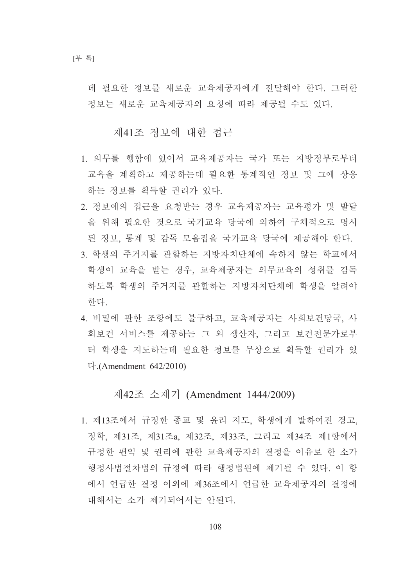데 필요한 정보를 새로운 교육제공자에게 전달해야 한다. 그러한 정보는 새로운 교육제공자의 요청에 따라 제공될 수도 있다.

#### 제41조 정보에 대한 접근

- 1. 의무를 행함에 있어서 교육제공자는 국가 또는 지방정부로부터 교육을 계획하고 제공하는데 필요한 통계적인 정보 및 그에 상응 하는 정보를 획득할 권리가 있다.
- 2. 정보에의 접근을 요청받는 경우 교육제공자는 교육평가 및 발달 을 위해 필요한 것으로 국가교육 당국에 의하여 구체적으로 명시 된 정보, 통계 및 감독 모음집을 국가교육 당국에 제공해야 한다.
- 3. 학생의 주거지를 관할하는 지방자치단체에 속하지 않는 학교에서 학생이 교육을 받는 경우, 교육제공자는 의무교육의 성취를 감독 하도록 학생의 주거지를 과할하는 지방자치단체에 학생을 알려야 한다
- 4. 비밀에 관한 조항에도 불구하고. 교육제공자는 사회보건당국. 사 회보건 서비스를 제공하는 그 외 생산자, 그리고 보건전문가로부 터 학생을 지도하는데 필요한 정보를 무상으로 획득할 권리가 있  $\vec{\mathsf{L}}$ . (Amendment 642/2010)

## 제42조 소제기 (Amendment 1444/2009)

1. 제13조에서 규정한 종교 및 유리 지도. 학생에게 발하여진 경고. 정학, 제31조, 제31조a, 제32조, 제33조, 그리고 제34조 제1항에서 규정한 편익 및 권리에 관한 교육제공자의 결정을 이유로 한 소가 행정사법절차법의 규정에 따라 행정법원에 제기될 수 있다. 이 항 에서 언급한 결정 이외에 제36조에서 언급한 교육제공자의 결정에 대해서는 소가 제기되어서는 아되다.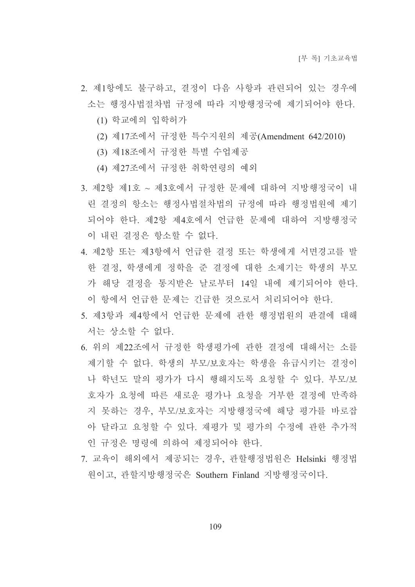- 2. 제1항에도 불구하고, 결정이 다음 사항과 관련되어 있는 경우에 소는 행정사법절차법 규정에 따라 지방행정국에 제기되어야 한다.
	- (1) 학교에의 입학허가
	- (2) 제17조에서 규정한 특수지원의 제공(Amendment 642/2010)
	- (3) 제18조에서 규정한 특별 수업제공
	- (4) 제27조에서 규정한 취학연령의 예외
- 3. 제2항 제1호 ~ 제3호에서 규정한 문제에 대하여 지방행정국이 내 린 결정의 항소는 행정사법절차법의 규정에 따라 행정법워에 제기 되어야 한다. 제2항 제4호에서 언급한 문제에 대하여 지방행정국 이 내린 결정은 항소할 수 없다.
- 4. 제2항 또는 제3항에서 언급한 결정 또는 학생에게 서면경고를 발 한 결정, 학생에게 정학을 준 결정에 대한 소제기는 학생의 부모 가 해당 결정을 통지받은 날로부터 14일 내에 제기되어야 한다. 이 항에서 언급한 문제는 긴급한 것으로서 처리되어야 한다.
- 5. 제3항과 제4항에서 언급한 문제에 관한 행정법원의 판결에 대해 서는 상소할 수 없다.
- 6. 위의 제22조에서 규정한 학생평가에 관한 결정에 대해서는 소를 제기할 수 없다. 학생의 부모/보호자는 학생을 유급시키는 결정이 나 학년도 말의 평가가 다시 행해지도록 요청할 수 있다. 부모/보 호자가 요청에 따른 새로운 평가나 요청을 거부한 결정에 만족하 지 못하는 경우, 부모/보호자는 지방행정국에 해당 평가를 바로잡 아 달라고 요청할 수 있다. 재평가 및 평가의 수정에 관한 추가적 인 규정은 명령에 의하여 제정되어야 한다.
- 7. 교육이 해외에서 제공되는 경우, 관할행정법원은 Helsinki 행정법 원이고, 관할지방행정국은 Southern Finland 지방행정국이다.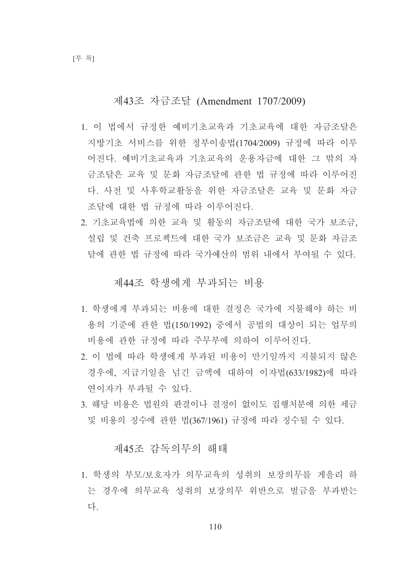## 제43조 자금조달 (Amendment 1707/2009)

- 1. 이 법에서 규정한 예비기초교육과 기초교육에 대한 자금조달은 지방기초 서비스를 위한 정부이송법(1704/2009) 규정에 따라 이루 어진다. 예비기초교육과 기초교육의 운용자금에 대한 그 밖의 자 금조달은 교육 및 문화 자금조달에 관한 법 규정에 따라 이루어진 다. 사전 및 사후학교활동을 위한 자금조달은 교육 및 문화 자금 조달에 대한 법 규정에 따라 이루어진다.
- 2. 기초교육법에 의한 교육 및 활동의 자금조달에 대한 국가 보조금. 설립 및 건축 프로젝트에 대한 국가 보조금은 교육 및 문화 자금조 달에 관한 법 규정에 따라 국가예산의 범위 내에서 부여될 수 있다.

#### 제44조 학생에게 부과되는 비용

- 1. 학생에게 부과되는 비용에 대한 결정은 국가에 지불해야 하는 비 용의 기준에 관한 법(150/1992) 중에서 공법의 대상이 되는 업무의 비용에 관한 규정에 따라 주무부에 의하여 이루어진다.
- 2. 이 법에 따라 학생에게 부과된 비용이 만기일까지 지불되지 않은 경우에, 지급기일을 넘긴 금액에 대하여 이자법(633/1982)에 따라 여이자가 부과될 수 있다.
- 3. 해당 비용은 법원의 판결이나 결정이 없이도 집행처분에 의한 세금 및 비용의 징수에 관한 법(367/1961) 규정에 따라 징수될 수 있다.

## 제45조 감독의무의 해태

1. 학생의 부모/보호자가 의무교육의 성취의 보장의무를 게을리 하 는 경우에 의무교육 성취의 보장의무 위반으로 벌금을 부과받는 다.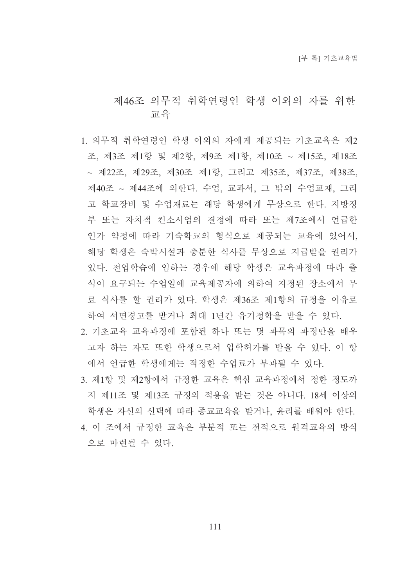# 제46조 의무적 취학여령인 학생 이외의 자를 위하 교육

- 1. 의무적 취학연령인 학생 이외의 자에게 제공되는 기초교육은 제2 조, 제3조 제1항 및 제2항, 제9조 제1항, 제10조 ~ 제15조, 제18조 ~ 제22조, 제29조, 제30조 제1항, 그리고 제35조, 제37조, 제38조, 제40조 ~ 제44조에 의한다. 수업, 교과서, 그 밖의 수업교재, 그리 고 학교장비 및 수업재료는 해당 학생에게 무상으로 한다. 지방정 부 또는 자치적 컨소시엄의 결정에 따라 또는 제7조에서 언급한 인가 약정에 따라 기숙학교의 형식으로 제공되는 교육에 있어서. 해당 학생은 숙박시설과 충분한 식사를 무상으로 지급받을 권리가 있다. 전업학습에 임하는 경우에 해당 학생은 교육과정에 따라 출 석이 요구되는 수업일에 교육제공자에 의하여 지정된 장소에서 무 료 식사를 할 권리가 있다. 학생은 제36조 제1항의 규정을 이유로 하여 서면경고를 받거나 최대 1년간 유기정학을 받을 수 있다.
- 2. 기초교육 교육과정에 포함된 하나 또는 몇 과목의 과정만을 배우 고자 하는 자도 또한 학생으로서 입학허가를 받을 수 있다. 이 항 에서 언급한 학생에게는 적정한 수업료가 부과될 수 있다.
- 3. 제1항 및 제2항에서 규정한 교육은 핵심 교육과정에서 정한 정도까 지 제11조 및 제13조 규정의 적용을 받는 것은 아니다. 18세 이상의 학생은 자신의 선택에 따라 종교교육을 받거나, 윤리를 배워야 한다. 4. 이 조에서 규정한 교육은 부분적 또는 전적으로 원격교육의 방식 으로 마련될 수 있다.

111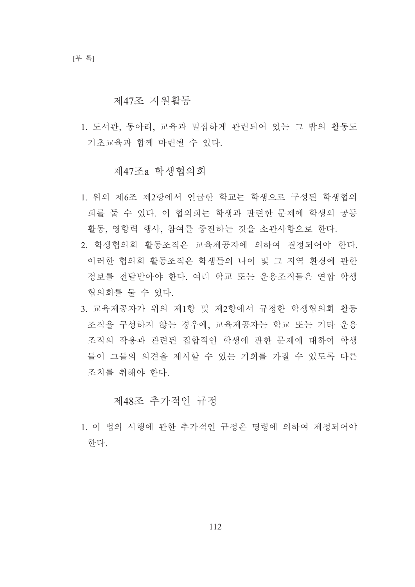#### 제47조 지워활동

1. 도서관, 동아리, 교육과 밀접하게 관련되어 있는 그 밖의 활동도 기초교육과 함께 마려될 수 있다.

#### 제47조a 학생협의회

- 1. 위의 제6조 제2항에서 언급한 학교는 학생으로 구성된 학생협의 회를 둘 수 있다. 이 협의회는 학생과 관련한 문제에 학생의 공동 활동, 영향력 행사, 참여를 증진하는 것을 소관사항으로 한다.
- 2. 학생협의회 활동조직은 교육제공자에 의하여 결정되어야 한다. 이러한 협의회 활동조직은 학생들의 나이 및 그 지역 환경에 관한 정보를 전달받아야 한다. 여러 학교 또는 운용조직들은 연합 학생 협의회를 둘 수 있다.
- 3. 교육제공자가 위의 제1항 및 제2항에서 규정한 학생협의회 활동 조직을 구성하지 않는 경우에, 교육제공자는 학교 또는 기타 운용 조직의 작용과 관련된 집합적인 학생에 관한 문제에 대하여 학생 들이 그들의 의견을 제시할 수 있는 기회를 가질 수 있도록 다른 조치를 취해야 하다.

## 제48조 추가적인 규정

1. 이 법의 시행에 관한 추가적인 규정은 명령에 의하여 제정되어야 한다.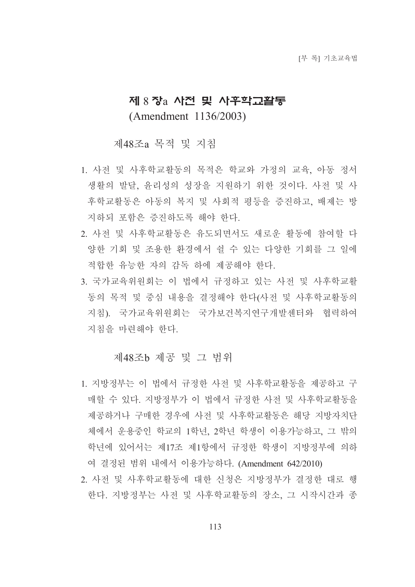# 제 8 장a 사전 및 사후학교활동 (Amendment 1136/2003)

### 제48조a 목적 및 지침

- 1. 사전 및 사후학교활동의 목적은 학교와 가정의 교육, 아동 정서 생활의 발달, 윤리성의 성장을 지원하기 위한 것이다. 사전 및 사 후학교활동은 아동의 복지 및 사회적 평등을 증진하고, 배제는 방 지하되 포함은 증진하도록 해야 한다.
- 2. 사전 및 사후학교활동은 유도되면서도 새로운 활동에 참여할 다 양한 기회 및 조용한 환경에서 쉴 수 있는 다양한 기회를 그 일에 적합한 유능한 자의 감독 하에 제공해야 한다.
- 3. 국가교육위원회는 이 법에서 규정하고 있는 사전 및 사후학교활 동의 목적 및 중심 내용을 결정해야 한다(사전 및 사후학교활동의 지침). 국가교육위원회는 국가보건복지연구개발센터와 협력하여 지침을 마련해야 한다.

#### 제48조b 제공 및 그 범위

- 1. 지방정부는 이 법에서 규정한 사전 및 사후학교활동을 제공하고 구 매할 수 있다. 지방정부가 이 법에서 규정한 사전 및 사후학교활동을 제공하거나 구매한 경우에 사전 및 사후학교활동은 해당 지방자치단 체에서 운용중인 학교의 1학년, 2학년 학생이 이용가능하고, 그 밖의 학년에 있어서는 제17조 제1항에서 규정한 학생이 지방정부에 의하 여 결정된 범위 내에서 이용가능하다. (Amendment 642/2010)
- 2. 사전 및 사후학교활동에 대한 신청은 지방정부가 결정한 대로 행 한다. 지방정부는 사전 및 사후학교활동의 장소, 그 시작시간과 종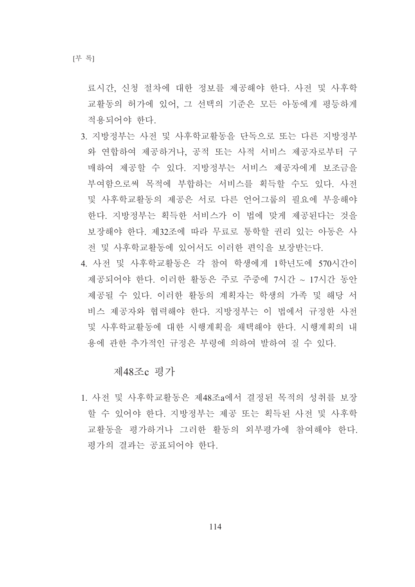[부 록]

료시간, 신청 절차에 대한 정보를 제공해야 한다. 사전 및 사후학 교활동의 허가에 있어, 그 선택의 기준은 모든 아동에게 평등하게 적용되어야 한다.

- 3. 지방정부는 사전 및 사후학교활동을 단독으로 또는 다른 지방정부 와 연합하여 제공하거나, 공적 또는 사적 서비스 제공자로부터 구 매하여 제공할 수 있다. 지방정부는 서비스 제공자에게 보조금을 부여함으로써 목적에 부합하는 서비스를 획득할 수도 있다. 사전 및 사후학교활동의 제공은 서로 다른 언어그룹의 필요에 부응해야 한다. 지방정부는 획득한 서비스가 이 법에 맞게 제공된다는 것을 보장해야 한다. 제32조에 따라 무료로 통학할 권리 있는 아동은 사 전 및 사후학교활동에 있어서도 이러한 편익을 보장받는다.
- 4. 사전 및 사후학교활동은 각 참여 학생에게 1학년도에 570시간이 제공되어야 한다. 이러한 활동은 주로 주중에 7시간 ~ 17시간 동안 제공될 수 있다. 이러한 활동의 계획자는 학생의 가족 및 해당 서 비스 제공자와 협력해야 한다. 지방정부는 이 법에서 규정한 사전 및 사후학교활동에 대한 시행계획을 채택해야 한다. 시행계획의 내 용에 관한 추가적인 규정은 부령에 의하여 발하여 질 수 있다.

제48조c 평가

1. 사전 및 사후학교활동은 제48조a에서 결정된 목적의 성취를 보장 할 수 있어야 한다. 지방정부는 제공 또는 획득된 사전 및 사후학 교활동을 평가하거나 그러한 활동의 외부평가에 참여해야 한다. 평가의 결과는 공표되어야 한다.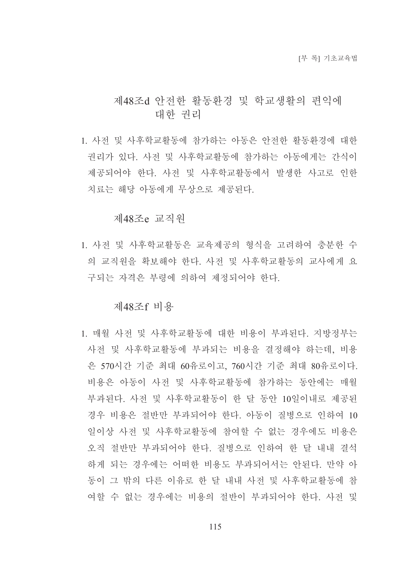## 제48조d 안전한 활동환경 및 학교생활의 편익에 대한 권리

1. 사전 및 사후학교활동에 참가하는 아동은 안전한 활동환경에 대한 권리가 있다. 사전 및 사후학교활동에 참가하는 아동에게는 간식이 제공되어야 한다. 사전 및 사후학교활동에서 발생한 사고로 이한 치료는 해당 아동에게 무상으로 제공된다.

#### 제48조e 교직워

1. 사전 및 사후학교활동은 교육제공의 형식을 고려하여 충분한 수 의 교직워을 확보해야 한다. 사전 및 사후학교활동의 교사에게 요 구되는 자격은 부령에 의하여 제정되어야 한다.

#### 제48조f 비용

1. 매월 사전 및 사후학교활동에 대한 비용이 부과된다. 지방정부는 사전 및 사후학교활동에 부과되는 비용을 결정해야 하는데 비용 은 570시간 기준 최대 60유로이고, 760시간 기준 최대 80유로이다. 비용은 아동이 사전 및 사후학교활동에 참가하는 동안에는 매월 부과된다. 사전 및 사후학교활동이 한 달 동안 10일이내로 제공된 경우 비용은 절반만 부과되어야 한다. 아동이 질병으로 인하여 10 일이상 사전 및 사후학교활동에 참여할 수 없는 경우에도 비용은 오직 절반만 부과되어야 한다. 질병으로 인하여 한 달 내내 결석 하게 되는 경우에는 어떠한 비용도 부과되어서는 안된다. 만약 아 동이 그 밖의 다른 이유로 한 달 내내 사전 및 사후학교활동에 참 여할 수 없는 경우에는 비용의 절반이 부과되어야 한다. 사전 및